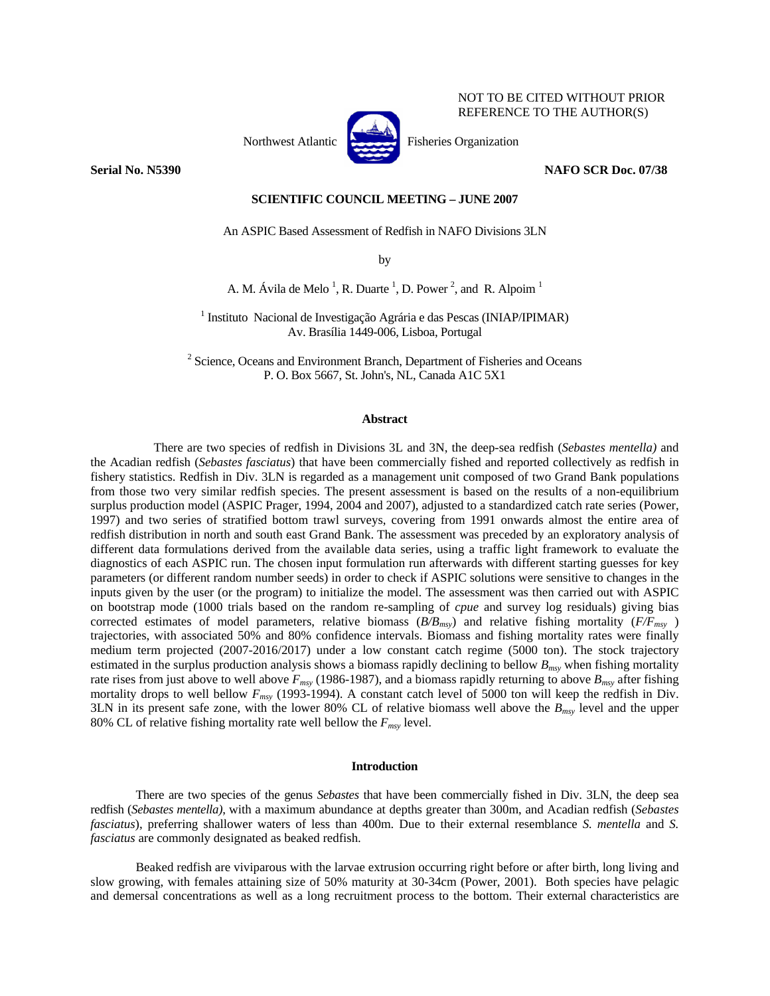

NOT TO BE CITED WITHOUT PRIOR REFERENCE TO THE AUTHOR(S)

**Serial No. N5390 NAFO SCR Doc. 07/38** 

# **SCIENTIFIC COUNCIL MEETING – JUNE 2007**

An ASPIC Based Assessment of Redfish in NAFO Divisions 3LN

by

A. M. Ávila de Melo<sup>1</sup>, R. Duarte<sup>1</sup>, D. Power<sup>2</sup>, and R. Alpoim<sup>1</sup>

<sup>1</sup> Instituto Nacional de Investigação Agrária e das Pescas (INIAP/IPIMAR) Av. Brasília 1449-006, Lisboa, Portugal

 $2^2$  Science, Oceans and Environment Branch, Department of Fisheries and Oceans P. O. Box 5667, St. John's, NL, Canada A1C 5X1

# **Abstract**

There are two species of redfish in Divisions 3L and 3N, the deep-sea redfish (*Sebastes mentella)* and the Acadian redfish (*Sebastes fasciatus*) that have been commercially fished and reported collectively as redfish in fishery statistics. Redfish in Div. 3LN is regarded as a management unit composed of two Grand Bank populations from those two very similar redfish species. The present assessment is based on the results of a non-equilibrium surplus production model (ASPIC Prager, 1994, 2004 and 2007), adjusted to a standardized catch rate series (Power, 1997) and two series of stratified bottom trawl surveys, covering from 1991 onwards almost the entire area of redfish distribution in north and south east Grand Bank. The assessment was preceded by an exploratory analysis of different data formulations derived from the available data series, using a traffic light framework to evaluate the diagnostics of each ASPIC run. The chosen input formulation run afterwards with different starting guesses for key parameters (or different random number seeds) in order to check if ASPIC solutions were sensitive to changes in the inputs given by the user (or the program) to initialize the model. The assessment was then carried out with ASPIC on bootstrap mode (1000 trials based on the random re-sampling of *cpue* and survey log residuals) giving bias corrected estimates of model parameters, relative biomass  $(B/B<sub>msv</sub>)$  and relative fishing mortality  $(F/F<sub>msv</sub>)$ trajectories, with associated 50% and 80% confidence intervals. Biomass and fishing mortality rates were finally medium term projected (2007-2016/2017) under a low constant catch regime (5000 ton). The stock trajectory estimated in the surplus production analysis shows a biomass rapidly declining to bellow  $B_{msy}$  when fishing mortality rate rises from just above to well above  $F_{msv}$  (1986-1987), and a biomass rapidly returning to above  $B_{msv}$  after fishing mortality drops to well bellow *Fmsy* (1993-1994). A constant catch level of 5000 ton will keep the redfish in Div. 3LN in its present safe zone, with the lower 80% CL of relative biomass well above the *Bmsy* level and the upper 80% CL of relative fishing mortality rate well bellow the  $F_{msv}$  level.

# **Introduction**

There are two species of the genus *Sebastes* that have been commercially fished in Div. 3LN, the deep sea redfish (*Sebastes mentella)*, with a maximum abundance at depths greater than 300m, and Acadian redfish (*Sebastes fasciatus*), preferring shallower waters of less than 400m. Due to their external resemblance *S. mentella* and *S. fasciatus* are commonly designated as beaked redfish.

Beaked redfish are viviparous with the larvae extrusion occurring right before or after birth, long living and slow growing, with females attaining size of 50% maturity at 30-34cm (Power, 2001). Both species have pelagic and demersal concentrations as well as a long recruitment process to the bottom. Their external characteristics are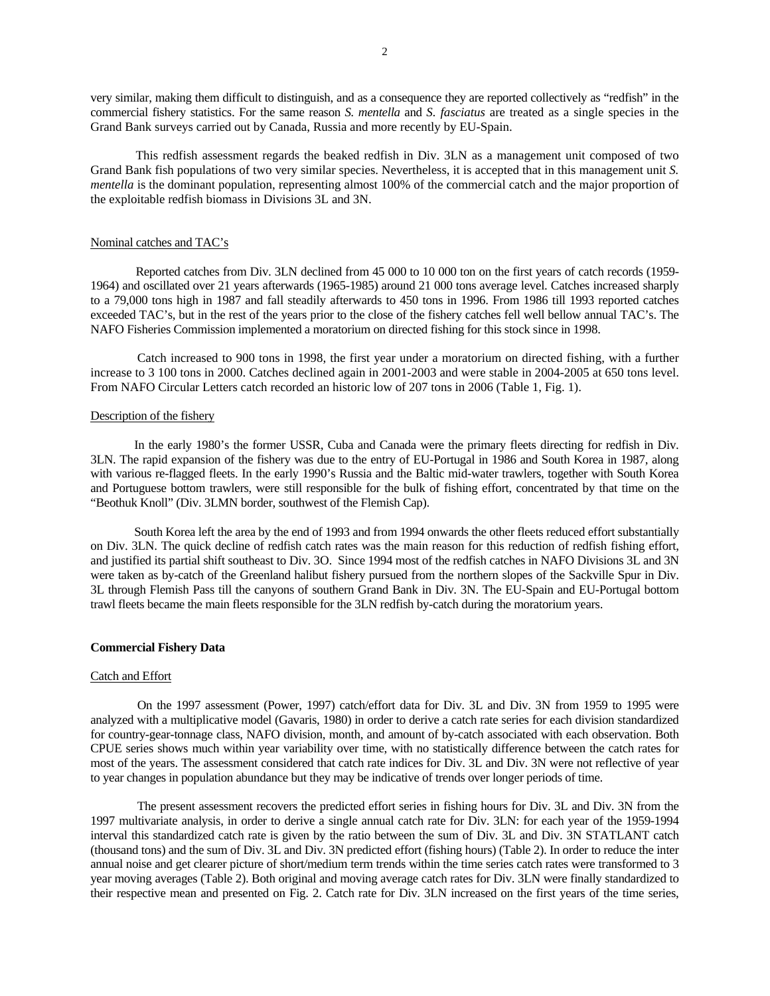very similar, making them difficult to distinguish, and as a consequence they are reported collectively as "redfish" in the commercial fishery statistics. For the same reason *S. mentella* and *S. fasciatus* are treated as a single species in the Grand Bank surveys carried out by Canada, Russia and more recently by EU-Spain.

This redfish assessment regards the beaked redfish in Div. 3LN as a management unit composed of two Grand Bank fish populations of two very similar species. Nevertheless, it is accepted that in this management unit *S. mentella* is the dominant population, representing almost 100% of the commercial catch and the major proportion of the exploitable redfish biomass in Divisions 3L and 3N.

# Nominal catches and TAC's

 Reported catches from Div. 3LN declined from 45 000 to 10 000 ton on the first years of catch records (1959- 1964) and oscillated over 21 years afterwards (1965-1985) around 21 000 tons average level. Catches increased sharply to a 79,000 tons high in 1987 and fall steadily afterwards to 450 tons in 1996. From 1986 till 1993 reported catches exceeded TAC's, but in the rest of the years prior to the close of the fishery catches fell well bellow annual TAC's. The NAFO Fisheries Commission implemented a moratorium on directed fishing for this stock since in 1998.

Catch increased to 900 tons in 1998, the first year under a moratorium on directed fishing, with a further increase to 3 100 tons in 2000. Catches declined again in 2001-2003 and were stable in 2004-2005 at 650 tons level. From NAFO Circular Letters catch recorded an historic low of 207 tons in 2006 (Table 1, Fig. 1).

# Description of the fishery

In the early 1980's the former USSR, Cuba and Canada were the primary fleets directing for redfish in Div. 3LN. The rapid expansion of the fishery was due to the entry of EU-Portugal in 1986 and South Korea in 1987, along with various re-flagged fleets. In the early 1990's Russia and the Baltic mid-water trawlers, together with South Korea and Portuguese bottom trawlers, were still responsible for the bulk of fishing effort, concentrated by that time on the "Beothuk Knoll" (Div. 3LMN border, southwest of the Flemish Cap).

South Korea left the area by the end of 1993 and from 1994 onwards the other fleets reduced effort substantially on Div. 3LN. The quick decline of redfish catch rates was the main reason for this reduction of redfish fishing effort, and justified its partial shift southeast to Div. 3O. Since 1994 most of the redfish catches in NAFO Divisions 3L and 3N were taken as by-catch of the Greenland halibut fishery pursued from the northern slopes of the Sackville Spur in Div. 3L through Flemish Pass till the canyons of southern Grand Bank in Div. 3N. The EU-Spain and EU-Portugal bottom trawl fleets became the main fleets responsible for the 3LN redfish by-catch during the moratorium years.

# **Commercial Fishery Data**

#### Catch and Effort

On the 1997 assessment (Power, 1997) catch/effort data for Div. 3L and Div. 3N from 1959 to 1995 were analyzed with a multiplicative model (Gavaris, 1980) in order to derive a catch rate series for each division standardized for country-gear-tonnage class, NAFO division, month, and amount of by-catch associated with each observation. Both CPUE series shows much within year variability over time, with no statistically difference between the catch rates for most of the years. The assessment considered that catch rate indices for Div. 3L and Div. 3N were not reflective of year to year changes in population abundance but they may be indicative of trends over longer periods of time.

The present assessment recovers the predicted effort series in fishing hours for Div. 3L and Div. 3N from the 1997 multivariate analysis, in order to derive a single annual catch rate for Div. 3LN: for each year of the 1959-1994 interval this standardized catch rate is given by the ratio between the sum of Div. 3L and Div. 3N STATLANT catch (thousand tons) and the sum of Div. 3L and Div. 3N predicted effort (fishing hours) (Table 2). In order to reduce the inter annual noise and get clearer picture of short/medium term trends within the time series catch rates were transformed to 3 year moving averages (Table 2). Both original and moving average catch rates for Div. 3LN were finally standardized to their respective mean and presented on Fig. 2. Catch rate for Div. 3LN increased on the first years of the time series,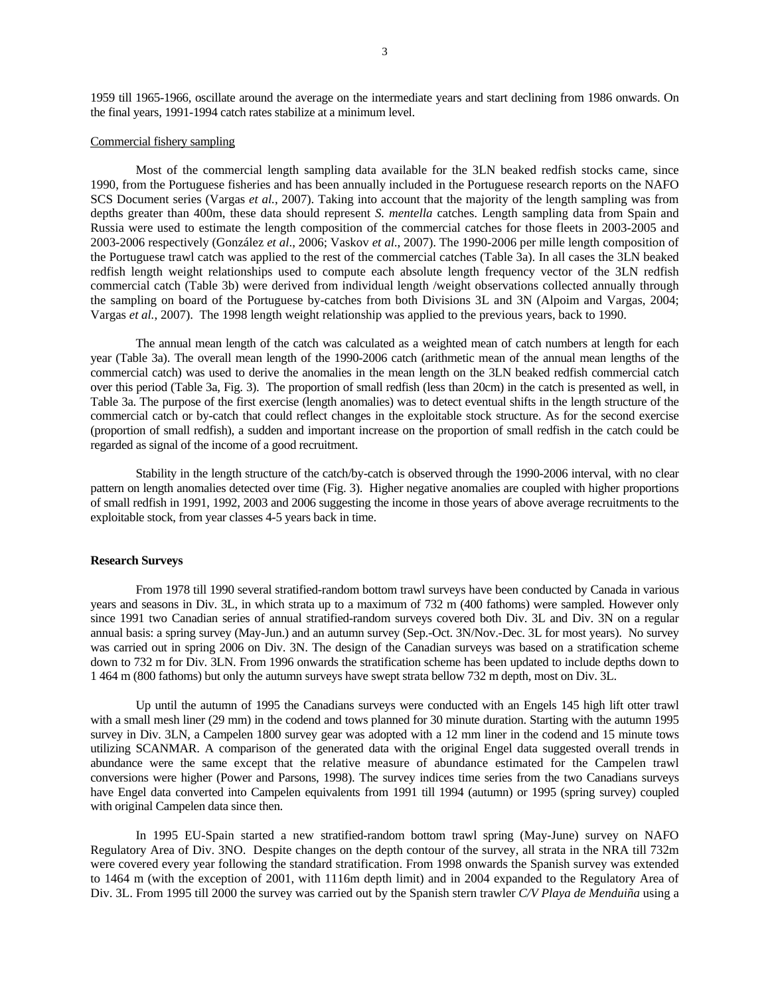1959 till 1965-1966, oscillate around the average on the intermediate years and start declining from 1986 onwards. On the final years, 1991-1994 catch rates stabilize at a minimum level.

# Commercial fishery sampling

Most of the commercial length sampling data available for the 3LN beaked redfish stocks came, since 1990, from the Portuguese fisheries and has been annually included in the Portuguese research reports on the NAFO SCS Document series (Vargas *et al.*, 2007). Taking into account that the majority of the length sampling was from depths greater than 400m, these data should represent *S. mentella* catches. Length sampling data from Spain and Russia were used to estimate the length composition of the commercial catches for those fleets in 2003-2005 and 2003-2006 respectively (González *et al*., 2006; Vaskov *et al*., 2007). The 1990-2006 per mille length composition of the Portuguese trawl catch was applied to the rest of the commercial catches (Table 3a). In all cases the 3LN beaked redfish length weight relationships used to compute each absolute length frequency vector of the 3LN redfish commercial catch (Table 3b) were derived from individual length /weight observations collected annually through the sampling on board of the Portuguese by-catches from both Divisions 3L and 3N (Alpoim and Vargas, 2004; Vargas *et al.*, 2007). The 1998 length weight relationship was applied to the previous years, back to 1990.

The annual mean length of the catch was calculated as a weighted mean of catch numbers at length for each year (Table 3a). The overall mean length of the 1990-2006 catch (arithmetic mean of the annual mean lengths of the commercial catch) was used to derive the anomalies in the mean length on the 3LN beaked redfish commercial catch over this period (Table 3a, Fig. 3). The proportion of small redfish (less than 20cm) in the catch is presented as well, in Table 3a. The purpose of the first exercise (length anomalies) was to detect eventual shifts in the length structure of the commercial catch or by-catch that could reflect changes in the exploitable stock structure. As for the second exercise (proportion of small redfish), a sudden and important increase on the proportion of small redfish in the catch could be regarded as signal of the income of a good recruitment.

Stability in the length structure of the catch/by-catch is observed through the 1990-2006 interval, with no clear pattern on length anomalies detected over time (Fig. 3). Higher negative anomalies are coupled with higher proportions of small redfish in 1991, 1992, 2003 and 2006 suggesting the income in those years of above average recruitments to the exploitable stock, from year classes 4-5 years back in time.

# **Research Surveys**

 From 1978 till 1990 several stratified-random bottom trawl surveys have been conducted by Canada in various years and seasons in Div. 3L, in which strata up to a maximum of 732 m (400 fathoms) were sampled. However only since 1991 two Canadian series of annual stratified-random surveys covered both Div. 3L and Div. 3N on a regular annual basis: a spring survey (May-Jun.) and an autumn survey (Sep.-Oct. 3N/Nov.-Dec. 3L for most years). No survey was carried out in spring 2006 on Div. 3N. The design of the Canadian surveys was based on a stratification scheme down to 732 m for Div. 3LN. From 1996 onwards the stratification scheme has been updated to include depths down to 1 464 m (800 fathoms) but only the autumn surveys have swept strata bellow 732 m depth, most on Div. 3L.

 Up until the autumn of 1995 the Canadians surveys were conducted with an Engels 145 high lift otter trawl with a small mesh liner (29 mm) in the codend and tows planned for 30 minute duration. Starting with the autumn 1995 survey in Div. 3LN, a Campelen 1800 survey gear was adopted with a 12 mm liner in the codend and 15 minute tows utilizing SCANMAR. A comparison of the generated data with the original Engel data suggested overall trends in abundance were the same except that the relative measure of abundance estimated for the Campelen trawl conversions were higher (Power and Parsons, 1998). The survey indices time series from the two Canadians surveys have Engel data converted into Campelen equivalents from 1991 till 1994 (autumn) or 1995 (spring survey) coupled with original Campelen data since then.

In 1995 EU-Spain started a new stratified-random bottom trawl spring (May-June) survey on NAFO Regulatory Area of Div. 3NO. Despite changes on the depth contour of the survey, all strata in the NRA till 732m were covered every year following the standard stratification. From 1998 onwards the Spanish survey was extended to 1464 m (with the exception of 2001, with 1116m depth limit) and in 2004 expanded to the Regulatory Area of Div. 3L. From 1995 till 2000 the survey was carried out by the Spanish stern trawler *C/V Playa de Menduiña* using a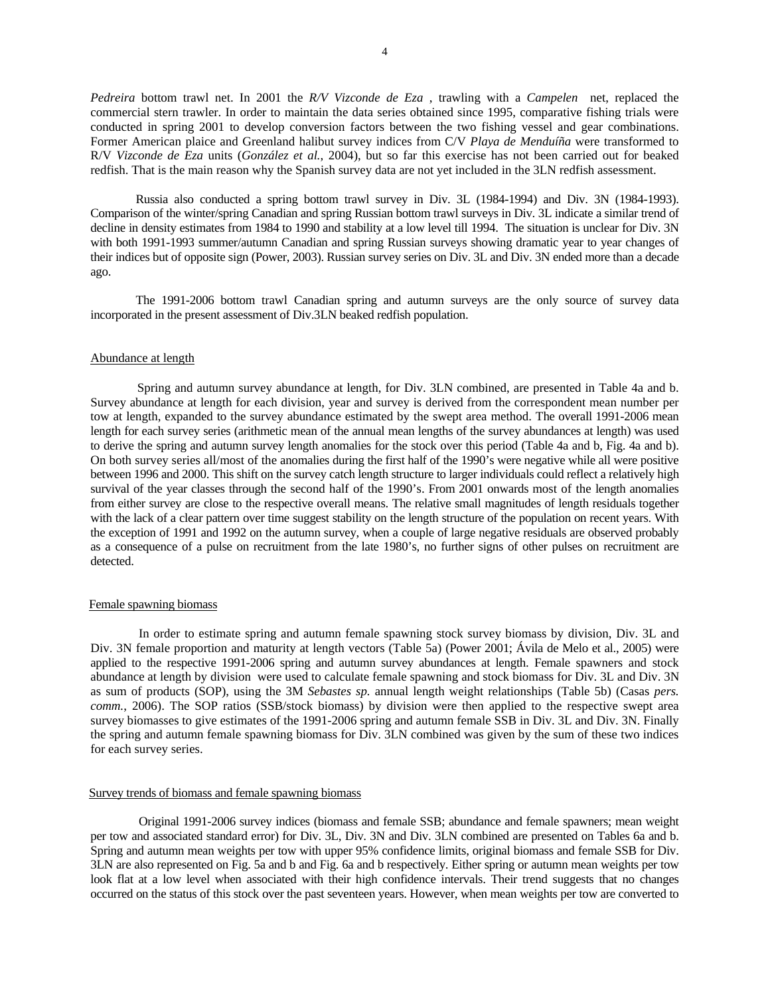*Pedreira* bottom trawl net. In 2001 the *R/V Vizconde de Eza* , trawling with a *Campelen* net, replaced the commercial stern trawler. In order to maintain the data series obtained since 1995, comparative fishing trials were conducted in spring 2001 to develop conversion factors between the two fishing vessel and gear combinations. Former American plaice and Greenland halibut survey indices from C/V *Playa de Menduíña* were transformed to R/V *Vizconde de Eza* units (*González et al.*, 2004), but so far this exercise has not been carried out for beaked redfish. That is the main reason why the Spanish survey data are not yet included in the 3LN redfish assessment.

Russia also conducted a spring bottom trawl survey in Div. 3L (1984-1994) and Div. 3N (1984-1993). Comparison of the winter/spring Canadian and spring Russian bottom trawl surveys in Div. 3L indicate a similar trend of decline in density estimates from 1984 to 1990 and stability at a low level till 1994. The situation is unclear for Div. 3N with both 1991-1993 summer/autumn Canadian and spring Russian surveys showing dramatic year to year changes of their indices but of opposite sign (Power, 2003). Russian survey series on Div. 3L and Div. 3N ended more than a decade ago.

The 1991-2006 bottom trawl Canadian spring and autumn surveys are the only source of survey data incorporated in the present assessment of Div.3LN beaked redfish population.

#### Abundance at length

Spring and autumn survey abundance at length, for Div. 3LN combined, are presented in Table 4a and b. Survey abundance at length for each division, year and survey is derived from the correspondent mean number per tow at length, expanded to the survey abundance estimated by the swept area method. The overall 1991-2006 mean length for each survey series (arithmetic mean of the annual mean lengths of the survey abundances at length) was used to derive the spring and autumn survey length anomalies for the stock over this period (Table 4a and b, Fig. 4a and b). On both survey series all/most of the anomalies during the first half of the 1990's were negative while all were positive between 1996 and 2000. This shift on the survey catch length structure to larger individuals could reflect a relatively high survival of the year classes through the second half of the 1990's. From 2001 onwards most of the length anomalies from either survey are close to the respective overall means. The relative small magnitudes of length residuals together with the lack of a clear pattern over time suggest stability on the length structure of the population on recent years. With the exception of 1991 and 1992 on the autumn survey, when a couple of large negative residuals are observed probably as a consequence of a pulse on recruitment from the late 1980's, no further signs of other pulses on recruitment are detected.

# Female spawning biomass

In order to estimate spring and autumn female spawning stock survey biomass by division, Div. 3L and Div. 3N female proportion and maturity at length vectors (Table 5a) (Power 2001; Ávila de Melo et al., 2005) were applied to the respective 1991-2006 spring and autumn survey abundances at length. Female spawners and stock abundance at length by division were used to calculate female spawning and stock biomass for Div. 3L and Div. 3N as sum of products (SOP), using the 3M *Sebastes sp.* annual length weight relationships (Table 5b) (Casas *pers. comm.*, 2006). The SOP ratios (SSB/stock biomass) by division were then applied to the respective swept area survey biomasses to give estimates of the 1991-2006 spring and autumn female SSB in Div. 3L and Div. 3N. Finally the spring and autumn female spawning biomass for Div. 3LN combined was given by the sum of these two indices for each survey series.

#### Survey trends of biomass and female spawning biomass

Original 1991-2006 survey indices (biomass and female SSB; abundance and female spawners; mean weight per tow and associated standard error) for Div. 3L, Div. 3N and Div. 3LN combined are presented on Tables 6a and b. Spring and autumn mean weights per tow with upper 95% confidence limits, original biomass and female SSB for Div. 3LN are also represented on Fig. 5a and b and Fig. 6a and b respectively. Either spring or autumn mean weights per tow look flat at a low level when associated with their high confidence intervals. Their trend suggests that no changes occurred on the status of this stock over the past seventeen years. However, when mean weights per tow are converted to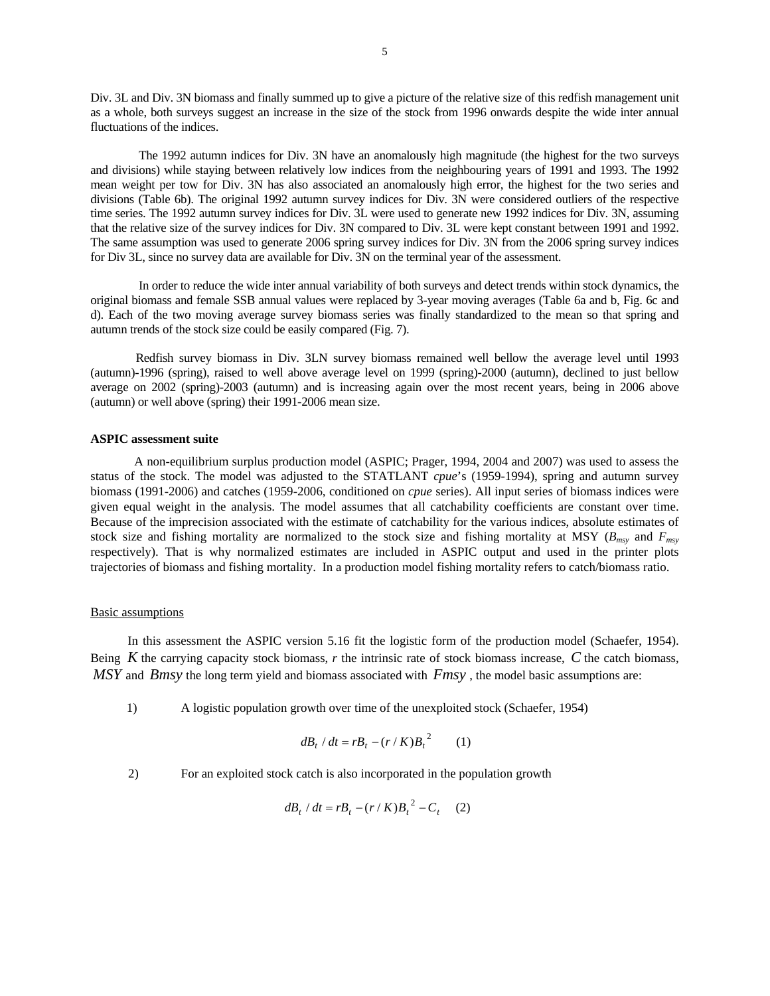Div. 3L and Div. 3N biomass and finally summed up to give a picture of the relative size of this redfish management unit as a whole, both surveys suggest an increase in the size of the stock from 1996 onwards despite the wide inter annual fluctuations of the indices.

The 1992 autumn indices for Div. 3N have an anomalously high magnitude (the highest for the two surveys and divisions) while staying between relatively low indices from the neighbouring years of 1991 and 1993. The 1992 mean weight per tow for Div. 3N has also associated an anomalously high error, the highest for the two series and divisions (Table 6b). The original 1992 autumn survey indices for Div. 3N were considered outliers of the respective time series. The 1992 autumn survey indices for Div. 3L were used to generate new 1992 indices for Div. 3N, assuming that the relative size of the survey indices for Div. 3N compared to Div. 3L were kept constant between 1991 and 1992. The same assumption was used to generate 2006 spring survey indices for Div. 3N from the 2006 spring survey indices for Div 3L, since no survey data are available for Div. 3N on the terminal year of the assessment.

In order to reduce the wide inter annual variability of both surveys and detect trends within stock dynamics, the original biomass and female SSB annual values were replaced by 3-year moving averages (Table 6a and b, Fig. 6c and d). Each of the two moving average survey biomass series was finally standardized to the mean so that spring and autumn trends of the stock size could be easily compared (Fig. 7).

 Redfish survey biomass in Div. 3LN survey biomass remained well bellow the average level until 1993 (autumn)-1996 (spring), raised to well above average level on 1999 (spring)-2000 (autumn), declined to just bellow average on 2002 (spring)-2003 (autumn) and is increasing again over the most recent years, being in 2006 above (autumn) or well above (spring) their 1991-2006 mean size.

# **ASPIC assessment suite**

A non-equilibrium surplus production model (ASPIC; Prager, 1994, 2004 and 2007) was used to assess the status of the stock. The model was adjusted to the STATLANT *cpue*'s (1959-1994), spring and autumn survey biomass (1991-2006) and catches (1959-2006, conditioned on *cpue* series). All input series of biomass indices were given equal weight in the analysis. The model assumes that all catchability coefficients are constant over time. Because of the imprecision associated with the estimate of catchability for the various indices, absolute estimates of stock size and fishing mortality are normalized to the stock size and fishing mortality at MSY ( $B_{msy}$  and  $F_{msy}$ ) respectively). That is why normalized estimates are included in ASPIC output and used in the printer plots trajectories of biomass and fishing mortality. In a production model fishing mortality refers to catch/biomass ratio.

### Basic assumptions

In this assessment the ASPIC version 5.16 fit the logistic form of the production model (Schaefer, 1954). Being *K* the carrying capacity stock biomass, *r* the intrinsic rate of stock biomass increase, *C* the catch biomass, *MSY* and *Bmsy* the long term yield and biomass associated with *Fmsy* , the model basic assumptions are:

1) A logistic population growth over time of the unexploited stock (Schaefer, 1954)

$$
dB_t / dt = rB_t - (r / K)B_t^2 \qquad (1)
$$

2) For an exploited stock catch is also incorporated in the population growth

$$
dB_t / dt = rB_t - (r / K)B_t^2 - C_t \quad (2)
$$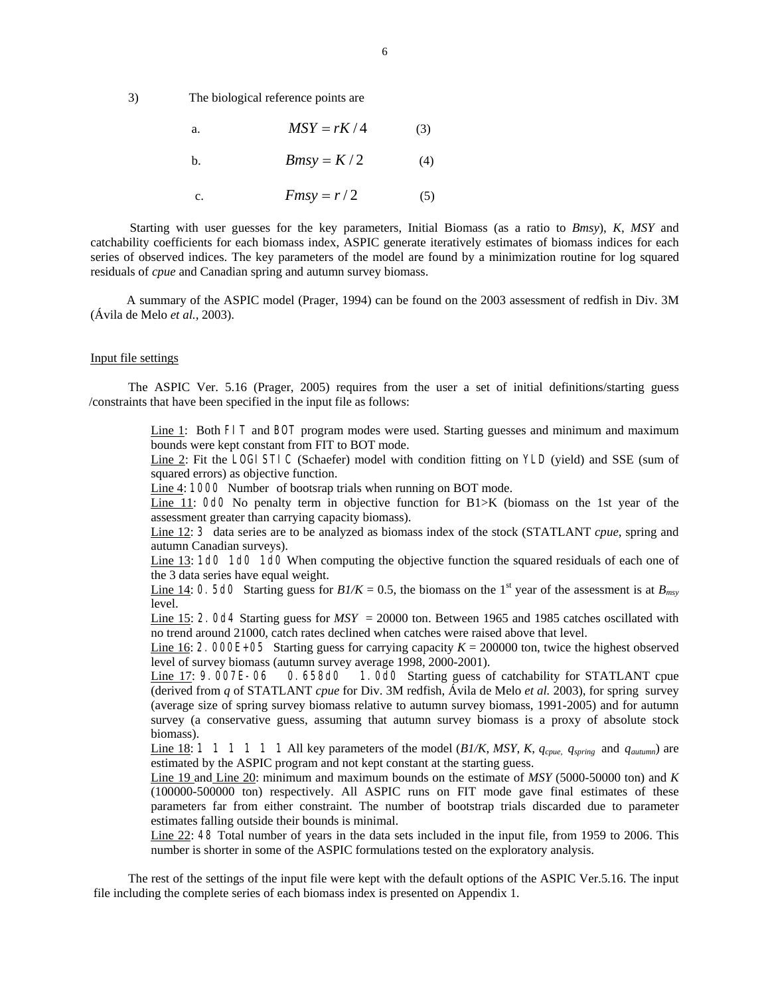3) The biological reference points are

a. 
$$
MSY = rK/4
$$
 (3)  
b.  $Bmsy = K/2$  (4)

c.  $Fmsv = r/2$  (5)

 Starting with user guesses for the key parameters, Initial Biomass (as a ratio to *Bmsy*), *K*, *MSY* and catchability coefficients for each biomass index, ASPIC generate iteratively estimates of biomass indices for each series of observed indices. The key parameters of the model are found by a minimization routine for log squared residuals of *cpue* and Canadian spring and autumn survey biomass.

A summary of the ASPIC model (Prager, 1994) can be found on the 2003 assessment of redfish in Div. 3M (Ávila de Melo *et al.*, 2003).

# Input file settings

The ASPIC Ver. 5.16 (Prager, 2005) requires from the user a set of initial definitions/starting guess /constraints that have been specified in the input file as follows:

> Line 1: Both FIT and BOT program modes were used. Starting guesses and minimum and maximum bounds were kept constant from FIT to BOT mode.

> Line 2: Fit the LOGI STIC (Schaefer) model with condition fitting on YLD (yield) and SSE (sum of squared errors) as objective function.

Line 4: 1000 Number of bootsrap trials when running on BOT mode.

Line 11: OdO No penalty term in objective function for B1>K (biomass on the 1st year of the assessment greater than carrying capacity biomass).

Line 12: 3 data series are to be analyzed as biomass index of the stock (STATLANT *cpue*, spring and autumn Canadian surveys).

Line 13: 1d0 1d0 1d0 When computing the objective function the squared residuals of each one of the 3 data series have equal weight.

Line 14: 0. 5d0 Starting guess for  $B1/K = 0.5$ , the biomass on the 1<sup>st</sup> year of the assessment is at  $B_{\text{mv}}$ level.

Line 15: 2.0d4 Starting guess for  $MSY = 20000$  ton. Between 1965 and 1985 catches oscillated with no trend around 21000, catch rates declined when catches were raised above that level.

Line 16: 2. 000E+05 Starting guess for carrying capacity  $K = 200000$  ton, twice the highest observed level of survey biomass (autumn survey average 1998, 2000-2001).

Line 17: 9.007E-06 0.658d0 1.0d0 Starting guess of catchability for STATLANT cpue (derived from *q* of STATLANT *cpue* for Div. 3M redfish, Ávila de Melo *et al.* 2003), for spring survey (average size of spring survey biomass relative to autumn survey biomass, 1991-2005) and for autumn survey (a conservative guess, assuming that autumn survey biomass is a proxy of absolute stock biomass).

Line 18: 1 1 1 1 1 1 All key parameters of the model (*B1/K*, *MSY*, *K*, *qcpue*, *qspring* and *qautumn*) are estimated by the ASPIC program and not kept constant at the starting guess.

Line 19 and Line 20: minimum and maximum bounds on the estimate of *MSY* (5000-50000 ton) and *K* (100000-500000 ton) respectively. All ASPIC runs on FIT mode gave final estimates of these parameters far from either constraint. The number of bootstrap trials discarded due to parameter estimates falling outside their bounds is minimal.

Line 22: 48 Total number of years in the data sets included in the input file, from 1959 to 2006. This number is shorter in some of the ASPIC formulations tested on the exploratory analysis.

The rest of the settings of the input file were kept with the default options of the ASPIC Ver.5.16. The input file including the complete series of each biomass index is presented on Appendix 1.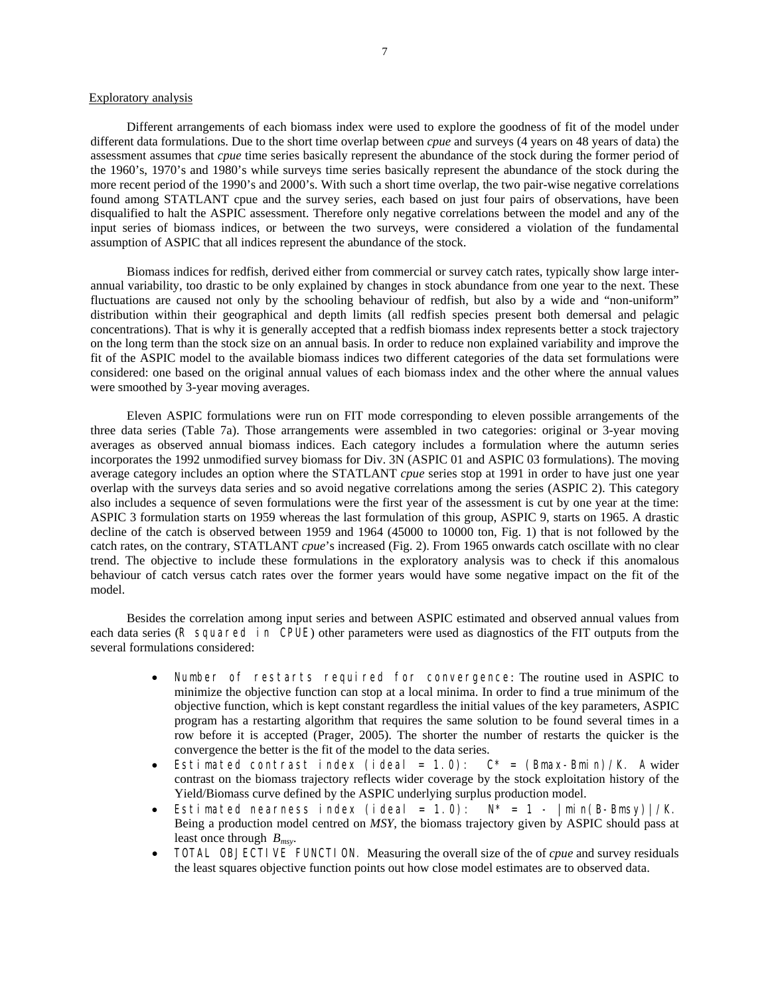# Exploratory analysis

Different arrangements of each biomass index were used to explore the goodness of fit of the model under different data formulations. Due to the short time overlap between *cpue* and surveys (4 years on 48 years of data) the assessment assumes that *cpue* time series basically represent the abundance of the stock during the former period of the 1960's, 1970's and 1980's while surveys time series basically represent the abundance of the stock during the more recent period of the 1990's and 2000's. With such a short time overlap, the two pair-wise negative correlations found among STATLANT cpue and the survey series, each based on just four pairs of observations, have been disqualified to halt the ASPIC assessment. Therefore only negative correlations between the model and any of the input series of biomass indices, or between the two surveys, were considered a violation of the fundamental assumption of ASPIC that all indices represent the abundance of the stock.

Biomass indices for redfish, derived either from commercial or survey catch rates, typically show large interannual variability, too drastic to be only explained by changes in stock abundance from one year to the next. These fluctuations are caused not only by the schooling behaviour of redfish, but also by a wide and "non-uniform" distribution within their geographical and depth limits (all redfish species present both demersal and pelagic concentrations). That is why it is generally accepted that a redfish biomass index represents better a stock trajectory on the long term than the stock size on an annual basis. In order to reduce non explained variability and improve the fit of the ASPIC model to the available biomass indices two different categories of the data set formulations were considered: one based on the original annual values of each biomass index and the other where the annual values were smoothed by 3-year moving averages.

Eleven ASPIC formulations were run on FIT mode corresponding to eleven possible arrangements of the three data series (Table 7a). Those arrangements were assembled in two categories: original or 3-year moving averages as observed annual biomass indices. Each category includes a formulation where the autumn series incorporates the 1992 unmodified survey biomass for Div. 3N (ASPIC 01 and ASPIC 03 formulations). The moving average category includes an option where the STATLANT *cpue* series stop at 1991 in order to have just one year overlap with the surveys data series and so avoid negative correlations among the series (ASPIC 2). This category also includes a sequence of seven formulations were the first year of the assessment is cut by one year at the time: ASPIC 3 formulation starts on 1959 whereas the last formulation of this group, ASPIC 9, starts on 1965. A drastic decline of the catch is observed between 1959 and 1964 (45000 to 10000 ton, Fig. 1) that is not followed by the catch rates, on the contrary, STATLANT *cpue*'s increased (Fig. 2). From 1965 onwards catch oscillate with no clear trend. The objective to include these formulations in the exploratory analysis was to check if this anomalous behaviour of catch versus catch rates over the former years would have some negative impact on the fit of the model.

Besides the correlation among input series and between ASPIC estimated and observed annual values from each data series (R squared in CPUE) other parameters were used as diagnostics of the FIT outputs from the several formulations considered:

- Number of restarts required for convergence: The routine used in ASPIC to minimize the objective function can stop at a local minima. In order to find a true minimum of the objective function, which is kept constant regardless the initial values of the key parameters, ASPIC program has a restarting algorithm that requires the same solution to be found several times in a row before it is accepted (Prager, 2005). The shorter the number of restarts the quicker is the convergence the better is the fit of the model to the data series.
- Estimated contrast index (ideal = 1.0):  $C^*$  = (Bmax-Bmin)/K. A wider contrast on the biomass trajectory reflects wider coverage by the stock exploitation history of the Yield/Biomass curve defined by the ASPIC underlying surplus production model.
- Estimated nearness index (ideal =  $1.0$ ):  $N^* = 1 |min(B-Bmsy)|/K$ . Being a production model centred on *MSY*, the biomass trajectory given by ASPIC should pass at least once through *Bmsy*.
- TOTAL OBJECTIVE FUNCTION. Measuring the overall size of the of *cpue* and survey residuals the least squares objective function points out how close model estimates are to observed data.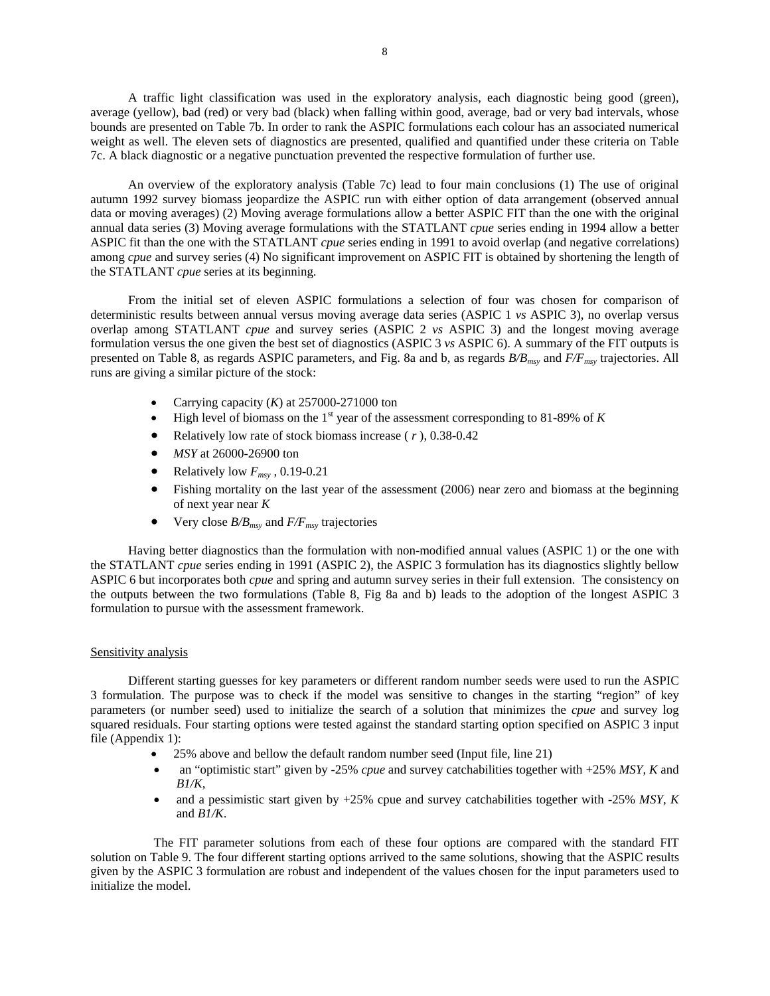A traffic light classification was used in the exploratory analysis, each diagnostic being good (green), average (yellow), bad (red) or very bad (black) when falling within good, average, bad or very bad intervals, whose bounds are presented on Table 7b. In order to rank the ASPIC formulations each colour has an associated numerical weight as well. The eleven sets of diagnostics are presented, qualified and quantified under these criteria on Table 7c. A black diagnostic or a negative punctuation prevented the respective formulation of further use.

An overview of the exploratory analysis (Table 7c) lead to four main conclusions (1) The use of original autumn 1992 survey biomass jeopardize the ASPIC run with either option of data arrangement (observed annual data or moving averages) (2) Moving average formulations allow a better ASPIC FIT than the one with the original annual data series (3) Moving average formulations with the STATLANT *cpue* series ending in 1994 allow a better ASPIC fit than the one with the STATLANT *cpue* series ending in 1991 to avoid overlap (and negative correlations) among *cpue* and survey series (4) No significant improvement on ASPIC FIT is obtained by shortening the length of the STATLANT *cpue* series at its beginning.

From the initial set of eleven ASPIC formulations a selection of four was chosen for comparison of deterministic results between annual versus moving average data series (ASPIC 1 *vs* ASPIC 3), no overlap versus overlap among STATLANT *cpue* and survey series (ASPIC 2 *vs* ASPIC 3) and the longest moving average formulation versus the one given the best set of diagnostics (ASPIC 3 *vs* ASPIC 6). A summary of the FIT outputs is presented on Table 8, as regards ASPIC parameters, and Fig. 8a and b, as regards *B/Bmsy* and *F/Fmsy* trajectories. All runs are giving a similar picture of the stock:

- Carrying capacity  $(K)$  at 257000-271000 ton
- High level of biomass on the  $1<sup>st</sup>$  year of the assessment corresponding to 81-89% of *K*
- Relatively low rate of stock biomass increase ( *r* ), 0.38-0.42
- *MSY* at 26000-26900 ton
- Relatively low  $F_{msv}$ , 0.19-0.21
- Fishing mortality on the last year of the assessment (2006) near zero and biomass at the beginning of next year near *K*
- Very close  $B/B_{msy}$  and  $F/F_{msy}$  trajectories

Having better diagnostics than the formulation with non-modified annual values (ASPIC 1) or the one with the STATLANT *cpue* series ending in 1991 (ASPIC 2), the ASPIC 3 formulation has its diagnostics slightly bellow ASPIC 6 but incorporates both *cpue* and spring and autumn survey series in their full extension. The consistency on the outputs between the two formulations (Table 8, Fig 8a and b) leads to the adoption of the longest ASPIC 3 formulation to pursue with the assessment framework.

# Sensitivity analysis

Different starting guesses for key parameters or different random number seeds were used to run the ASPIC 3 formulation. The purpose was to check if the model was sensitive to changes in the starting "region" of key parameters (or number seed) used to initialize the search of a solution that minimizes the *cpue* and survey log squared residuals. Four starting options were tested against the standard starting option specified on ASPIC 3 input file (Appendix 1):

- 25% above and bellow the default random number seed (Input file, line 21)
- an "optimistic start" given by -25% *cpue* and survey catchabilities together with +25% *MSY*, *K* and *B1/K*,
- and a pessimistic start given by +25% cpue and survey catchabilities together with -25% *MSY*, *K* and *B1/K*.

The FIT parameter solutions from each of these four options are compared with the standard FIT solution on Table 9. The four different starting options arrived to the same solutions, showing that the ASPIC results given by the ASPIC 3 formulation are robust and independent of the values chosen for the input parameters used to initialize the model.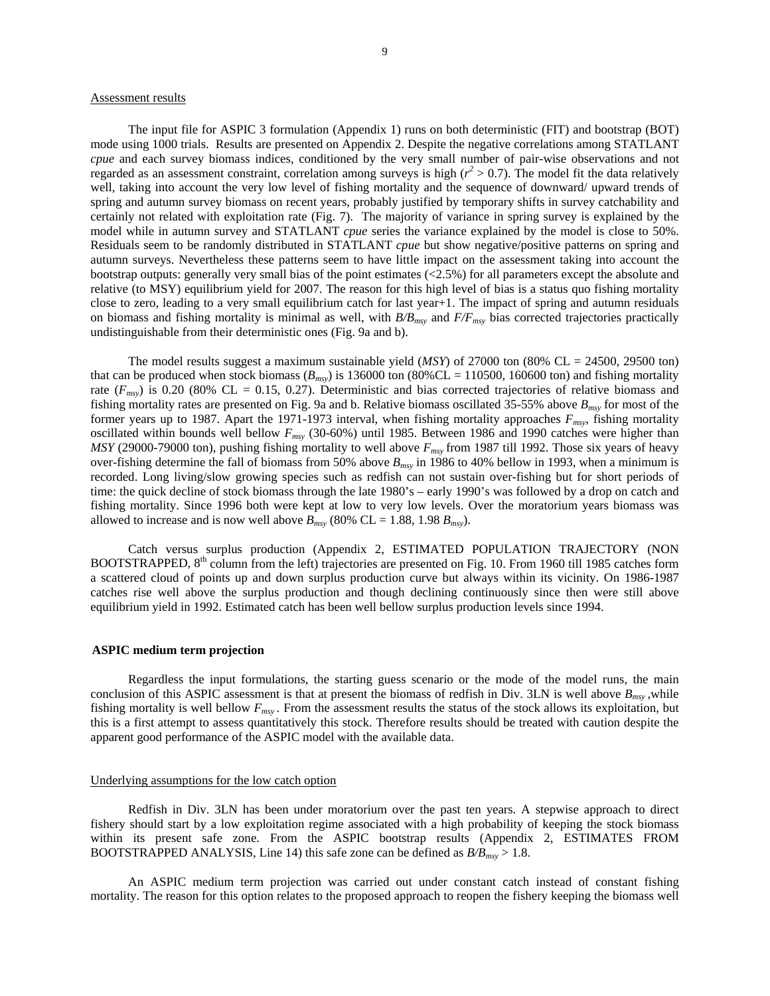### Assessment results

The input file for ASPIC 3 formulation (Appendix 1) runs on both deterministic (FIT) and bootstrap (BOT) mode using 1000 trials. Results are presented on Appendix 2. Despite the negative correlations among STATLANT *cpue* and each survey biomass indices, conditioned by the very small number of pair-wise observations and not regarded as an assessment constraint, correlation among surveys is high  $(r^2 > 0.7)$ . The model fit the data relatively well, taking into account the very low level of fishing mortality and the sequence of downward/ upward trends of spring and autumn survey biomass on recent years, probably justified by temporary shifts in survey catchability and certainly not related with exploitation rate (Fig. 7). The majority of variance in spring survey is explained by the model while in autumn survey and STATLANT *cpue* series the variance explained by the model is close to 50%. Residuals seem to be randomly distributed in STATLANT *cpue* but show negative/positive patterns on spring and autumn surveys. Nevertheless these patterns seem to have little impact on the assessment taking into account the bootstrap outputs: generally very small bias of the point estimates (<2.5%) for all parameters except the absolute and relative (to MSY) equilibrium yield for 2007. The reason for this high level of bias is a status quo fishing mortality close to zero, leading to a very small equilibrium catch for last year+1. The impact of spring and autumn residuals on biomass and fishing mortality is minimal as well, with  $B/B_{msy}$  and  $F/F_{msy}$  bias corrected trajectories practically undistinguishable from their deterministic ones (Fig. 9a and b).

The model results suggest a maximum sustainable yield (*MSY*) of 27000 ton (80% CL = 24500, 29500 ton) that can be produced when stock biomass  $(B_{msy})$  is 136000 ton (80%CL = 110500, 160600 ton) and fishing mortality rate  $(F_{msy})$  is 0.20 (80% CL = 0.15, 0.27). Deterministic and bias corrected trajectories of relative biomass and fishing mortality rates are presented on Fig. 9a and b. Relative biomass oscillated 35-55% above *Bmsy* for most of the former years up to 1987. Apart the 1971-1973 interval, when fishing mortality approaches *Fmsy*, fishing mortality oscillated within bounds well bellow *Fmsy* (30-60%) until 1985. Between 1986 and 1990 catches were higher than *MSY* (29000-79000 ton), pushing fishing mortality to well above  $F_{msy}$  from 1987 till 1992. Those six years of heavy over-fishing determine the fall of biomass from 50% above  $B_{msv}$  in 1986 to 40% bellow in 1993, when a minimum is recorded. Long living/slow growing species such as redfish can not sustain over-fishing but for short periods of time: the quick decline of stock biomass through the late 1980's – early 1990's was followed by a drop on catch and fishing mortality. Since 1996 both were kept at low to very low levels. Over the moratorium years biomass was allowed to increase and is now well above  $B_{msv}$  (80% CL = 1.88, 1.98  $B_{msv}$ ).

Catch versus surplus production (Appendix 2, ESTIMATED POPULATION TRAJECTORY (NON BOOTSTRAPPED, 8<sup>th</sup> column from the left) trajectories are presented on Fig. 10. From 1960 till 1985 catches form a scattered cloud of points up and down surplus production curve but always within its vicinity. On 1986-1987 catches rise well above the surplus production and though declining continuously since then were still above equilibrium yield in 1992. Estimated catch has been well bellow surplus production levels since 1994.

### **ASPIC medium term projection**

Regardless the input formulations, the starting guess scenario or the mode of the model runs, the main conclusion of this ASPIC assessment is that at present the biomass of redfish in Div. 3LN is well above  $B_{msv}$ , while fishing mortality is well bellow *Fmsy .* From the assessment results the status of the stock allows its exploitation, but this is a first attempt to assess quantitatively this stock. Therefore results should be treated with caution despite the apparent good performance of the ASPIC model with the available data.

### Underlying assumptions for the low catch option

Redfish in Div. 3LN has been under moratorium over the past ten years. A stepwise approach to direct fishery should start by a low exploitation regime associated with a high probability of keeping the stock biomass within its present safe zone. From the ASPIC bootstrap results (Appendix 2, ESTIMATES FROM BOOTSTRAPPED ANALYSIS, Line 14) this safe zone can be defined as *B/Bmsy* > 1.8.

An ASPIC medium term projection was carried out under constant catch instead of constant fishing mortality. The reason for this option relates to the proposed approach to reopen the fishery keeping the biomass well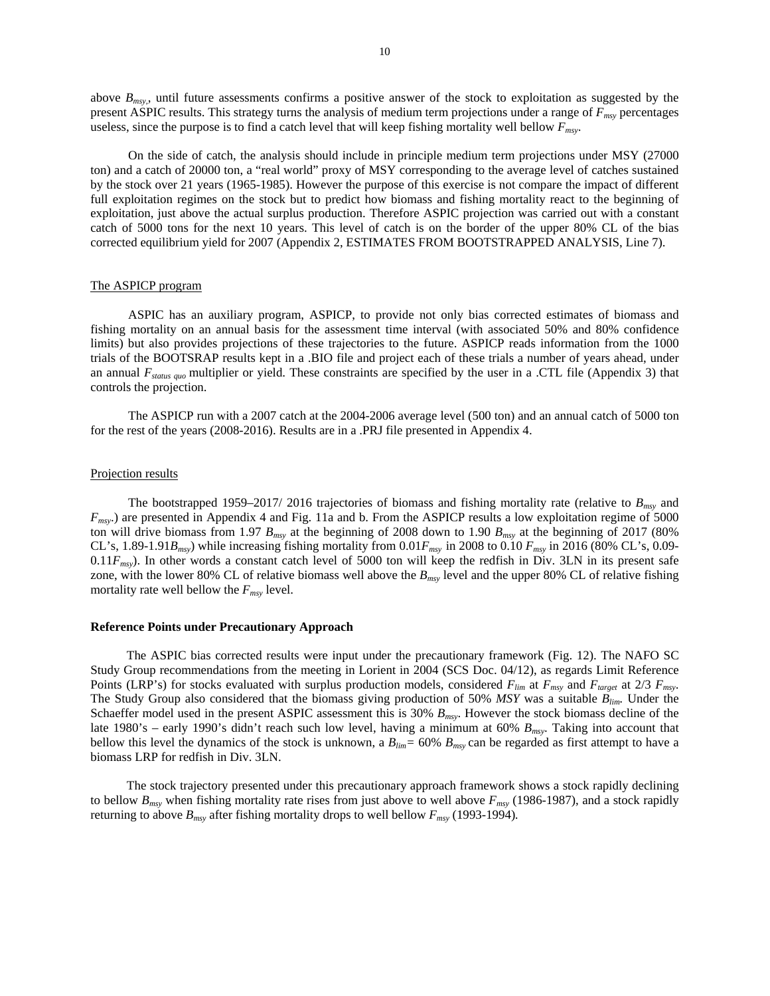above *Bmsy,*, until future assessments confirms a positive answer of the stock to exploitation as suggested by the present ASPIC results. This strategy turns the analysis of medium term projections under a range of *Fmsy* percentages useless, since the purpose is to find a catch level that will keep fishing mortality well bellow *Fmsy*.

On the side of catch, the analysis should include in principle medium term projections under MSY (27000 ton) and a catch of 20000 ton, a "real world" proxy of MSY corresponding to the average level of catches sustained by the stock over 21 years (1965-1985). However the purpose of this exercise is not compare the impact of different full exploitation regimes on the stock but to predict how biomass and fishing mortality react to the beginning of exploitation, just above the actual surplus production. Therefore ASPIC projection was carried out with a constant catch of 5000 tons for the next 10 years. This level of catch is on the border of the upper 80% CL of the bias corrected equilibrium yield for 2007 (Appendix 2, ESTIMATES FROM BOOTSTRAPPED ANALYSIS, Line 7).

### The ASPICP program

ASPIC has an auxiliary program, ASPICP, to provide not only bias corrected estimates of biomass and fishing mortality on an annual basis for the assessment time interval (with associated 50% and 80% confidence limits) but also provides projections of these trajectories to the future. ASPICP reads information from the 1000 trials of the BOOTSRAP results kept in a .BIO file and project each of these trials a number of years ahead, under an annual *Fstatus quo* multiplier or yield. These constraints are specified by the user in a .CTL file (Appendix 3) that controls the projection.

The ASPICP run with a 2007 catch at the 2004-2006 average level (500 ton) and an annual catch of 5000 ton for the rest of the years (2008-2016). Results are in a .PRJ file presented in Appendix 4.

#### Projection results

The bootstrapped 1959–2017/ 2016 trajectories of biomass and fishing mortality rate (relative to *Bmsy* and *Fmsy*.) are presented in Appendix 4 and Fig. 11a and b. From the ASPICP results a low exploitation regime of 5000 ton will drive biomass from 1.97  $B_{\text{msy}}$  at the beginning of 2008 down to 1.90  $B_{\text{msy}}$  at the beginning of 2017 (80%) CL's, 1.89-1.91*Bmsy*) while increasing fishing mortality from 0.01*Fmsy* in 2008 to 0.10 *Fmsy* in 2016 (80% CL's, 0.09- 0.11*Fmsy*). In other words a constant catch level of 5000 ton will keep the redfish in Div. 3LN in its present safe zone, with the lower 80% CL of relative biomass well above the *Bmsy* level and the upper 80% CL of relative fishing mortality rate well bellow the  $F_{msy}$  level.

#### **Reference Points under Precautionary Approach**

The ASPIC bias corrected results were input under the precautionary framework (Fig. 12). The NAFO SC Study Group recommendations from the meeting in Lorient in 2004 (SCS Doc. 04/12), as regards Limit Reference Points (LRP's) for stocks evaluated with surplus production models, considered  $F_{lim}$  at  $F_{msv}$  and  $F_{target}$  at 2/3  $F_{msv}$ . The Study Group also considered that the biomass giving production of 50% *MSY* was a suitable *Blim.* Under the Schaeffer model used in the present ASPIC assessment this is 30% *Bmsy*. However the stock biomass decline of the late 1980's – early 1990's didn't reach such low level, having a minimum at 60% *Bmsy*. Taking into account that bellow this level the dynamics of the stock is unknown, a *Blim=* 60% *Bmsy* can be regarded as first attempt to have a biomass LRP for redfish in Div. 3LN.

The stock trajectory presented under this precautionary approach framework shows a stock rapidly declining to bellow  $B_{msv}$  when fishing mortality rate rises from just above to well above  $F_{msv}$  (1986-1987), and a stock rapidly returning to above  $B_{msy}$  after fishing mortality drops to well bellow  $F_{msy}$  (1993-1994).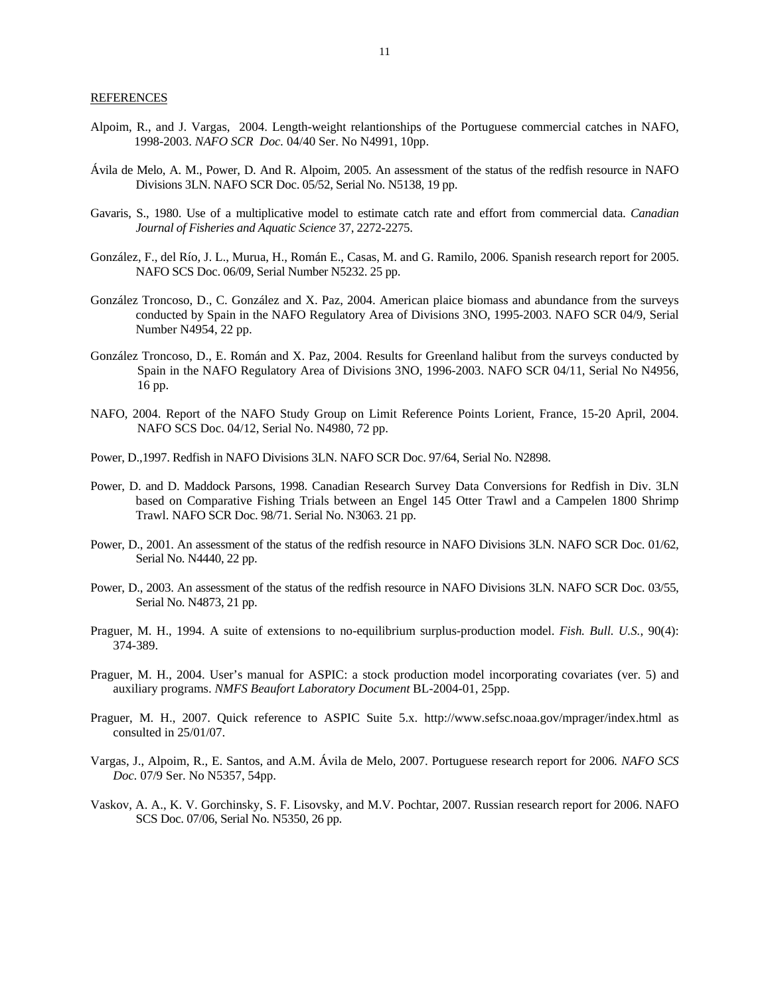- Alpoim, R., and J. Vargas, 2004. Length-weight relantionships of the Portuguese commercial catches in NAFO, 1998-2003. *NAFO SCR Doc.* 04/40 Ser. No N4991, 10pp.
- Ávila de Melo, A. M., Power, D. And R. Alpoim, 2005. An assessment of the status of the redfish resource in NAFO Divisions 3LN. NAFO SCR Doc. 05/52, Serial No. N5138, 19 pp.
- Gavaris, S., 1980. Use of a multiplicative model to estimate catch rate and effort from commercial data. *Canadian Journal of Fisheries and Aquatic Science* 37, 2272-2275.
- González, F., del Río, J. L., Murua, H., Román E., Casas, M. and G. Ramilo, 2006. Spanish research report for 2005. NAFO SCS Doc. 06/09, Serial Number N5232. 25 pp.
- González Troncoso, D., C. González and X. Paz, 2004. American plaice biomass and abundance from the surveys conducted by Spain in the NAFO Regulatory Area of Divisions 3NO, 1995-2003. NAFO SCR 04/9, Serial Number N4954, 22 pp.
- González Troncoso, D., E. Román and X. Paz, 2004. Results for Greenland halibut from the surveys conducted by Spain in the NAFO Regulatory Area of Divisions 3NO, 1996-2003. NAFO SCR 04/11, Serial No N4956, 16 pp.
- NAFO, 2004. Report of the NAFO Study Group on Limit Reference Points Lorient, France, 15-20 April, 2004. NAFO SCS Doc. 04/12, Serial No. N4980, 72 pp.
- Power, D.,1997. Redfish in NAFO Divisions 3LN. NAFO SCR Doc. 97/64, Serial No. N2898.
- Power, D. and D. Maddock Parsons, 1998. Canadian Research Survey Data Conversions for Redfish in Div. 3LN based on Comparative Fishing Trials between an Engel 145 Otter Trawl and a Campelen 1800 Shrimp Trawl. NAFO SCR Doc. 98/71. Serial No. N3063. 21 pp.
- Power, D., 2001. An assessment of the status of the redfish resource in NAFO Divisions 3LN. NAFO SCR Doc. 01/62, Serial No. N4440, 22 pp.
- Power, D., 2003. An assessment of the status of the redfish resource in NAFO Divisions 3LN. NAFO SCR Doc. 03/55, Serial No. N4873, 21 pp.
- Praguer, M. H., 1994. A suite of extensions to no-equilibrium surplus-production model. *Fish. Bull. U.S.*, 90(4): 374-389.
- Praguer, M. H., 2004. User's manual for ASPIC: a stock production model incorporating covariates (ver. 5) and auxiliary programs. *NMFS Beaufort Laboratory Document* BL-2004-01, 25pp.
- Praguer, M. H., 2007. Quick reference to ASPIC Suite 5.x. http://www.sefsc.noaa.gov/mprager/index.html as consulted in 25/01/07.
- Vargas, J., Alpoim, R., E. Santos, and A.M. Ávila de Melo, 2007. Portuguese research report for 2006*. NAFO SCS Doc.* 07/9 Ser. No N5357, 54pp.
- Vaskov, A. A., K. V. Gorchinsky, S. F. Lisovsky, and M.V. Pochtar, 2007. Russian research report for 2006. NAFO SCS Doc. 07/06, Serial No. N5350, 26 pp.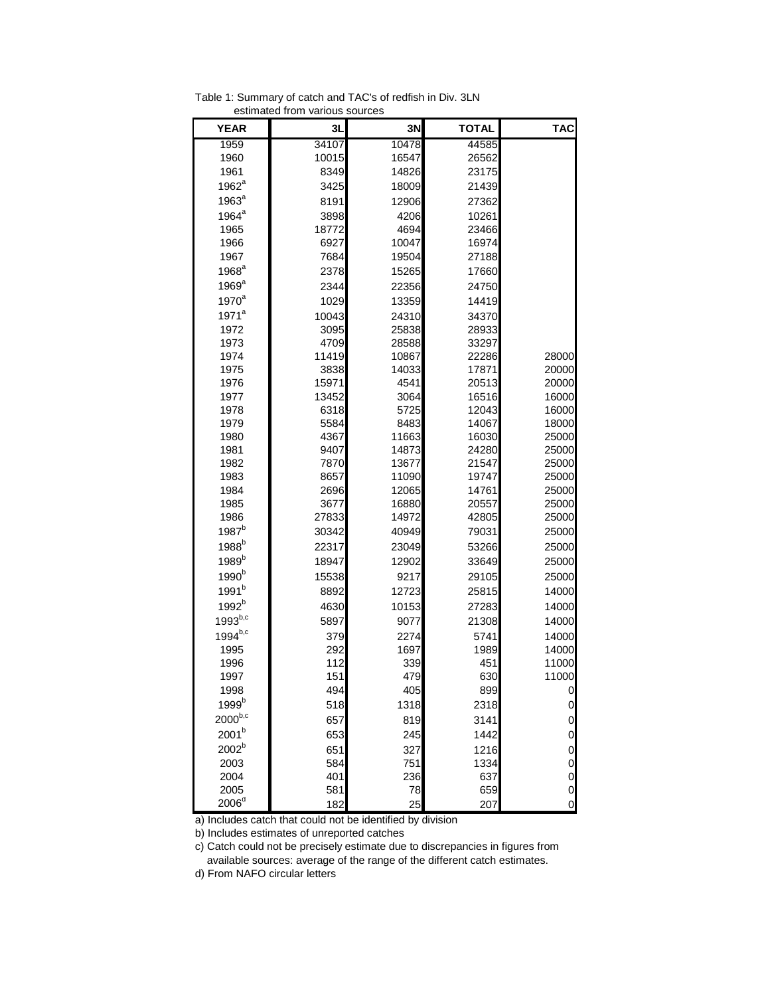| <b>YEAR</b>       | 3L    | 3Ν    | <b>TOTAL</b> | <b>TAC</b>     |
|-------------------|-------|-------|--------------|----------------|
| 1959              | 34107 | 10478 | 44585        |                |
| 1960              | 10015 | 16547 | 26562        |                |
| 1961              | 8349  | 14826 | 23175        |                |
| $1962^a$          | 3425  | 18009 | 21439        |                |
| 1963 <sup>a</sup> | 8191  | 12906 | 27362        |                |
| $1964^a$          | 3898  | 4206  | 10261        |                |
| 1965              | 18772 | 4694  | 23466        |                |
| 1966              | 6927  | 10047 | 16974        |                |
| 1967              | 7684  | 19504 | 27188        |                |
| $1968^a$          | 2378  | 15265 | 17660        |                |
| $1969^a$          | 2344  | 22356 | 24750        |                |
| $1970^a$          | 1029  | 13359 | 14419        |                |
| 1971 <sup>a</sup> | 10043 | 24310 | 34370        |                |
| 1972              | 3095  | 25838 | 28933        |                |
| 1973              | 4709  | 28588 | 33297        |                |
| 1974              | 11419 | 10867 | 22286        | 28000          |
| 1975              | 3838  | 14033 | 17871        | 20000          |
| 1976              | 15971 | 4541  | 20513        | 20000          |
| 1977              | 13452 | 3064  | 16516        | 16000          |
| 1978              | 6318  | 5725  | 12043        | 16000          |
| 1979              | 5584  | 8483  | 14067        | 18000          |
| 1980              | 4367  | 11663 | 16030        | 25000          |
| 1981              | 9407  | 14873 | 24280        | 25000          |
| 1982              | 7870  | 13677 | 21547        | 25000          |
| 1983              | 8657  | 11090 | 19747        | 25000          |
| 1984              | 2696  | 12065 | 14761        | 25000          |
| 1985              | 3677  | 16880 | 20557        | 25000          |
| 1986              | 27833 | 14972 | 42805        | 25000          |
| 1987 <sup>b</sup> | 30342 | 40949 | 79031        | 25000          |
| 1988 <sup>b</sup> | 22317 | 23049 | 53266        | 25000          |
| 1989 <sup>b</sup> | 18947 | 12902 | 33649        | 25000          |
| 1990 <sup>b</sup> | 15538 | 9217  | 29105        | 25000          |
| 1991 <sup>b</sup> | 8892  | 12723 | 25815        | 14000          |
| 1992 <sup>b</sup> | 4630  | 10153 | 27283        | 14000          |
| $1993^{b,c}$      | 5897  | 9077  | 21308        | 14000          |
| $1994^{b,c}$      | 379   | 2274  | 5741         | 14000          |
| 1995              | 292   | 1697  | 1989         | 14000          |
| 1996              | 112   | 339   | 451          | 11000          |
| 1997              | 151   | 479   | 630          | 11000          |
| 1998              | 494   | 405   | 899          | $\mathbf 0$    |
| 1999 <sup>b</sup> | 518   | 1318  | 2318         | $\mathbf 0$    |
| $2000^{b,c}$      | 657   | 819   | 3141         | 0              |
| $2001^{\rm b}$    | 653   | 245   | 1442         | 0              |
| 2002 <sup>b</sup> | 651   | 327   | 1216         | $\mathbf 0$    |
| 2003              | 584   | 751   | 1334         | 0              |
| 2004              | 401   | 236   | 637          | $\pmb{0}$      |
| 2005              | 581   | 78    | 659          | $\overline{O}$ |
| 2006 <sup>d</sup> | 182   | 25    | 207          | $\overline{0}$ |

Table 1: Summary of catch and TAC's of redfish in Div. 3LN estimated from various sources

a) Includes catch that could not be identified by division

b) Includes estimates of unreported catches

c) Catch could not be precisely estimate due to discrepancies in figures from available sources: average of the range of the different catch estimates.

d) From NAFO circular letters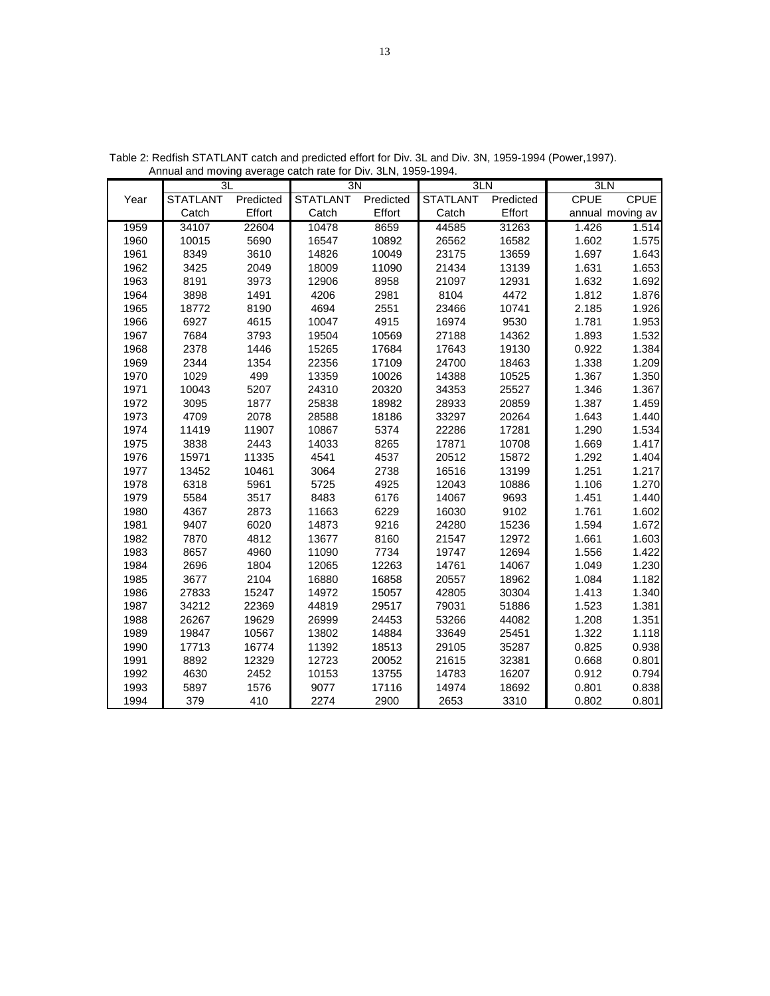|      | 3L              |           | $\overline{3N}$ |           | 3LN             |           | 3LN         |                  |
|------|-----------------|-----------|-----------------|-----------|-----------------|-----------|-------------|------------------|
| Year | <b>STATLANT</b> | Predicted | <b>STATLANT</b> | Predicted | <b>STATLANT</b> | Predicted | <b>CPUE</b> | <b>CPUE</b>      |
|      | Catch           | Effort    | Catch           | Effort    | Catch           | Effort    |             | annual moving av |
| 1959 | 34107           | 22604     | 10478           | 8659      | 44585           | 31263     | 1.426       | 1.514            |
| 1960 | 10015           | 5690      | 16547           | 10892     | 26562           | 16582     | 1.602       | 1.575            |
| 1961 | 8349            | 3610      | 14826           | 10049     | 23175           | 13659     | 1.697       | 1.643            |
| 1962 | 3425            | 2049      | 18009           | 11090     | 21434           | 13139     | 1.631       | 1.653            |
| 1963 | 8191            | 3973      | 12906           | 8958      | 21097           | 12931     | 1.632       | 1.692            |
| 1964 | 3898            | 1491      | 4206            | 2981      | 8104            | 4472      | 1.812       | 1.876            |
| 1965 | 18772           | 8190      | 4694            | 2551      | 23466           | 10741     | 2.185       | 1.926            |
| 1966 | 6927            | 4615      | 10047           | 4915      | 16974           | 9530      | 1.781       | 1.953            |
| 1967 | 7684            | 3793      | 19504           | 10569     | 27188           | 14362     | 1.893       | 1.532            |
| 1968 | 2378            | 1446      | 15265           | 17684     | 17643           | 19130     | 0.922       | 1.384            |
| 1969 | 2344            | 1354      | 22356           | 17109     | 24700           | 18463     | 1.338       | 1.209            |
| 1970 | 1029            | 499       | 13359           | 10026     | 14388           | 10525     | 1.367       | 1.350            |
| 1971 | 10043           | 5207      | 24310           | 20320     | 34353           | 25527     | 1.346       | 1.367            |
| 1972 | 3095            | 1877      | 25838           | 18982     | 28933           | 20859     | 1.387       | 1.459            |
| 1973 | 4709            | 2078      | 28588           | 18186     | 33297           | 20264     | 1.643       | 1.440            |
| 1974 | 11419           | 11907     | 10867           | 5374      | 22286           | 17281     | 1.290       | 1.534            |
| 1975 | 3838            | 2443      | 14033           | 8265      | 17871           | 10708     | 1.669       | 1.417            |
| 1976 | 15971           | 11335     | 4541            | 4537      | 20512           | 15872     | 1.292       | 1.404            |
| 1977 | 13452           | 10461     | 3064            | 2738      | 16516           | 13199     | 1.251       | 1.217            |
| 1978 | 6318            | 5961      | 5725            | 4925      | 12043           | 10886     | 1.106       | 1.270            |
| 1979 | 5584            | 3517      | 8483            | 6176      | 14067           | 9693      | 1.451       | 1.440            |
| 1980 | 4367            | 2873      | 11663           | 6229      | 16030           | 9102      | 1.761       | 1.602            |
| 1981 | 9407            | 6020      | 14873           | 9216      | 24280           | 15236     | 1.594       | 1.672            |
| 1982 | 7870            | 4812      | 13677           | 8160      | 21547           | 12972     | 1.661       | 1.603            |
| 1983 | 8657            | 4960      | 11090           | 7734      | 19747           | 12694     | 1.556       | 1.422            |
| 1984 | 2696            | 1804      | 12065           | 12263     | 14761           | 14067     | 1.049       | 1.230            |
| 1985 | 3677            | 2104      | 16880           | 16858     | 20557           | 18962     | 1.084       | 1.182            |
| 1986 | 27833           | 15247     | 14972           | 15057     | 42805           | 30304     | 1.413       | 1.340            |
| 1987 | 34212           | 22369     | 44819           | 29517     | 79031           | 51886     | 1.523       | 1.381            |
| 1988 | 26267           | 19629     | 26999           | 24453     | 53266           | 44082     | 1.208       | 1.351            |
| 1989 | 19847           | 10567     | 13802           | 14884     | 33649           | 25451     | 1.322       | 1.118            |
| 1990 | 17713           | 16774     | 11392           | 18513     | 29105           | 35287     | 0.825       | 0.938            |
| 1991 | 8892            | 12329     | 12723           | 20052     | 21615           | 32381     | 0.668       | 0.801            |
| 1992 | 4630            | 2452      | 10153           | 13755     | 14783           | 16207     | 0.912       | 0.794            |
| 1993 | 5897            | 1576      | 9077            | 17116     | 14974           | 18692     | 0.801       | 0.838            |
| 1994 | 379             | 410       | 2274            | 2900      | 2653            | 3310      | 0.802       | 0.801            |

Table 2: Redfish STATLANT catch and predicted effort for Div. 3L and Div. 3N, 1959-1994 (Power,1997). Annual and moving average catch rate for Div. 3LN, 1959-1994.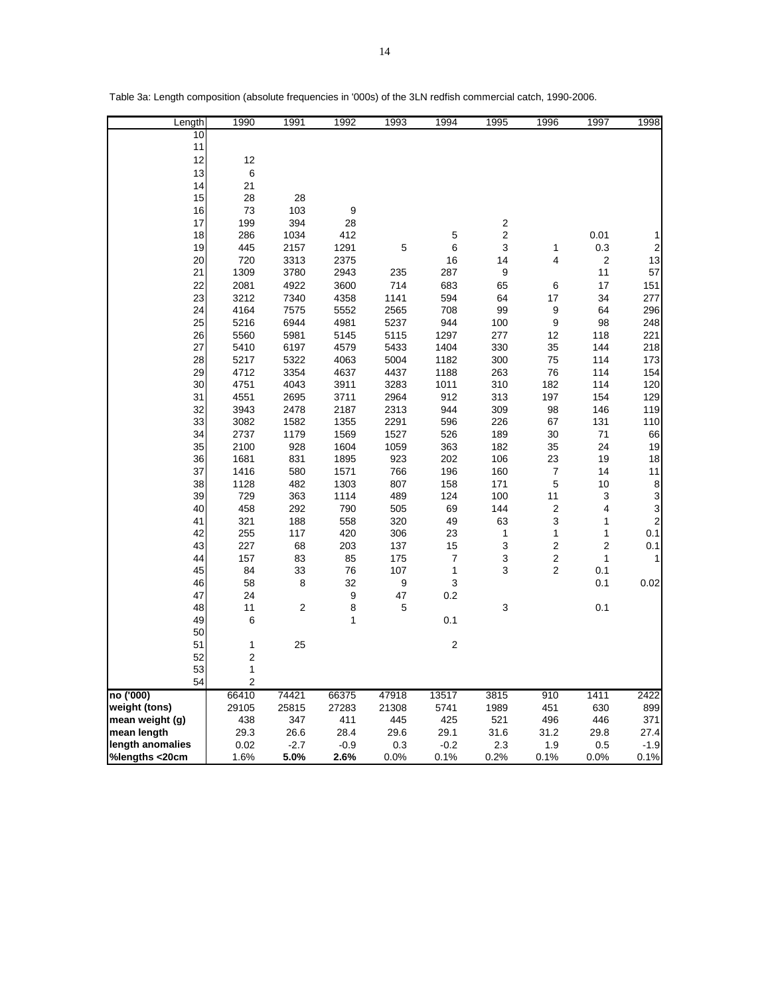| Length           | 1990           | 1991           | 1992         | 1993       | 1994           | 1995       | 1996           | 1997           | 1998                    |
|------------------|----------------|----------------|--------------|------------|----------------|------------|----------------|----------------|-------------------------|
| 10               |                |                |              |            |                |            |                |                |                         |
| 11               |                |                |              |            |                |            |                |                |                         |
| 12               | 12             |                |              |            |                |            |                |                |                         |
| 13               | 6              |                |              |            |                |            |                |                |                         |
| 14               | 21             |                |              |            |                |            |                |                |                         |
| 15               | 28             | 28             |              |            |                |            |                |                |                         |
| 16               | 73             | 103            | 9            |            |                |            |                |                |                         |
| 17               | 199            | 394            | 28           |            |                | 2          |                |                |                         |
| 18               | 286            | 1034           | 412          |            | 5              | 2          |                | 0.01           | 1                       |
| 19               | 445            | 2157           | 1291         | 5          | 6              | 3          | 1              | 0.3            | $\overline{\mathbf{c}}$ |
| 20               | 720            | 3313           | 2375         |            | 16             | 14         | 4              | $\overline{2}$ | 13                      |
| 21               | 1309           | 3780           | 2943         | 235        | 287            | 9          |                | 11             | 57                      |
| 22               | 2081           | 4922           | 3600         | 714        | 683            | 65         | 6              | 17             | 151                     |
| 23               | 3212           | 7340           | 4358         | 1141       | 594            | 64         | 17             | 34             | 277                     |
| 24               | 4164           | 7575           | 5552         | 2565       | 708            | 99         | 9              | 64             | 296                     |
| 25               | 5216           | 6944           | 4981         | 5237       | 944            | 100        | 9              | 98             | 248                     |
| 26               | 5560           | 5981           | 5145         | 5115       | 1297           | 277        | 12             | 118            | 221                     |
| 27               | 5410           | 6197           | 4579         | 5433       | 1404           | 330        | 35             | 144            | 218                     |
| 28               | 5217           | 5322           | 4063         | 5004       | 1182           | 300        | 75             | 114            | 173                     |
| 29               | 4712           | 3354           | 4637         | 4437       | 1188           | 263        | 76             | 114            | 154                     |
| 30               | 4751           | 4043           | 3911         | 3283       | 1011           | 310        | 182            | 114            | 120                     |
| 31               | 4551           | 2695           | 3711         | 2964       | 912            | 313        | 197            | 154            | 129                     |
| 32               | 3943           | 2478           | 2187         | 2313       | 944            | 309        | 98             | 146            | 119                     |
| 33               | 3082           | 1582           | 1355         | 2291       | 596            | 226        | 67             | 131            | 110                     |
| 34               | 2737           | 1179           | 1569         | 1527       | 526            | 189        | 30             | 71             | 66                      |
| 35               | 2100           | 928            | 1604         | 1059       | 363            | 182        | 35             | 24             | 19                      |
| 36               | 1681           | 831            | 1895         | 923        | 202            | 106        | 23             | 19             | 18                      |
| 37               | 1416           | 580<br>482     | 1571<br>1303 | 766        | 196            | 160        | 7              | 14             | 11                      |
| 38<br>39         | 1128<br>729    | 363            | 1114         | 807<br>489 | 158<br>124     | 171<br>100 | 5<br>11        | 10<br>3        | စ ဖ ဖ စ                 |
| 40               | 458            | 292            | 790          | 505        | 69             | 144        | 2              | 4              |                         |
| 41               | 321            | 188            | 558          | 320        | 49             | 63         | 3              | 1              |                         |
| 42               | 255            | 117            | 420          | 306        | 23             | 1          | 1              | 1              | 0.1                     |
| 43               | 227            | 68             | 203          | 137        | 15             | 3          | $\overline{2}$ | $\overline{2}$ | 0.1                     |
| 44               | 157            | 83             | 85           | 175        | 7              | 3          | 2              | 1              | 1                       |
| 45               | 84             | 33             | 76           | 107        | 1              | 3          | 2              | 0.1            |                         |
| 46               | 58             | 8              | 32           | 9          | 3              |            |                | 0.1            | 0.02                    |
| 47               | 24             |                | 9            | 47         | 0.2            |            |                |                |                         |
| 48               | 11             | $\overline{2}$ | 8            | 5          |                | 3          |                | 0.1            |                         |
| 49               | 6              |                | 1            |            | 0.1            |            |                |                |                         |
| 50               |                |                |              |            |                |            |                |                |                         |
| 51               | 1              | 25             |              |            | $\overline{2}$ |            |                |                |                         |
| 52               | $\overline{2}$ |                |              |            |                |            |                |                |                         |
| 53               | 1              |                |              |            |                |            |                |                |                         |
| 54               | $\overline{2}$ |                |              |            |                |            |                |                |                         |
| no ('000)        | 66410          | 74421          | 66375        | 47918      | 13517          | 3815       | 910            | 1411           | 2422                    |
| weight (tons)    | 29105          | 25815          | 27283        | 21308      | 5741           | 1989       | 451            | 630            | 899                     |
| mean weight (g)  | 438            | 347            | 411          | 445        | 425            | 521        | 496            | 446            | 371                     |
| mean length      | 29.3           | 26.6           | 28.4         | 29.6       | 29.1           | 31.6       | 31.2           | 29.8           | 27.4                    |
| length anomalies | 0.02           | $-2.7$         | $-0.9$       | 0.3        | $-0.2$         | 2.3        | 1.9            | 0.5            | $-1.9$                  |
| %lengths <20cm   | 1.6%           | 5.0%           | 2.6%         | 0.0%       | 0.1%           | 0.2%       | 0.1%           | 0.0%           | 0.1%                    |

Table 3a: Length composition (absolute frequencies in '000s) of the 3LN redfish commercial catch, 1990-2006.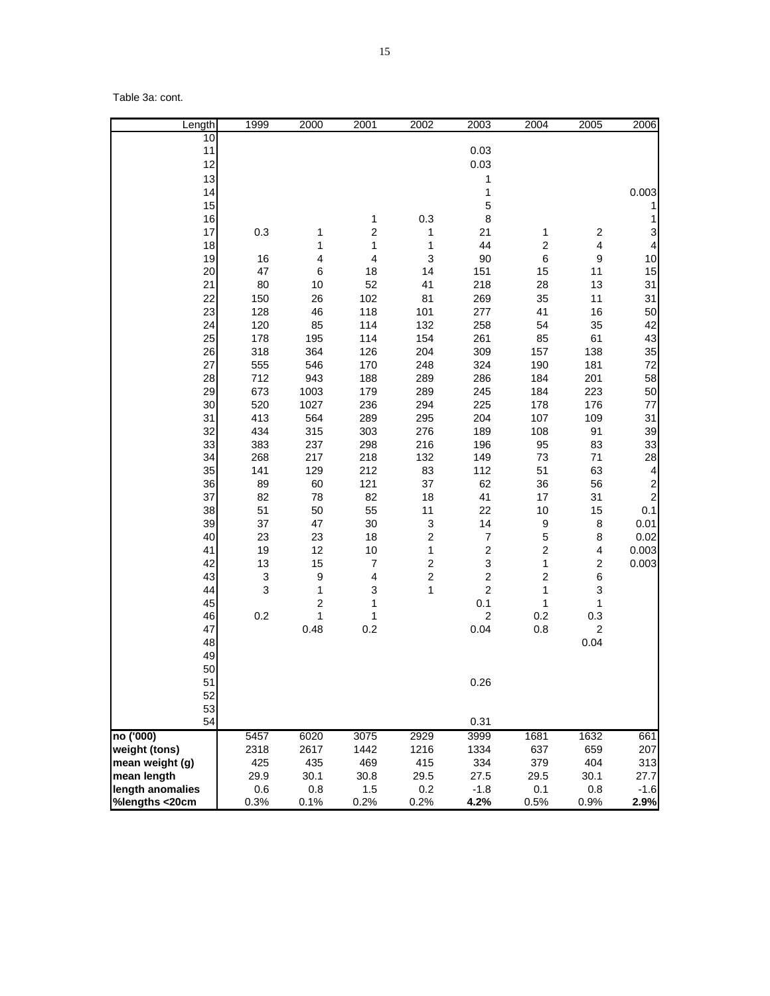Table 3a: cont.

| Length           | 1999                      | 2000             | 2001                    | 2002             | 2003                      | 2004             | 2005                    | 2006                                  |
|------------------|---------------------------|------------------|-------------------------|------------------|---------------------------|------------------|-------------------------|---------------------------------------|
| 10               |                           |                  |                         |                  |                           |                  |                         |                                       |
| 11               |                           |                  |                         |                  | 0.03                      |                  |                         |                                       |
| 12               |                           |                  |                         |                  | 0.03                      |                  |                         |                                       |
| 13               |                           |                  |                         |                  | 1                         |                  |                         |                                       |
| 14               |                           |                  |                         |                  | 1                         |                  |                         | 0.003                                 |
| 15               |                           |                  |                         |                  | 5                         |                  |                         | 1                                     |
| 16               |                           |                  | 1                       | 0.3              | 8                         |                  |                         | 1                                     |
| 17               | 0.3                       | 1                | $\overline{\mathbf{c}}$ | 1                | 21                        | 1                | $\overline{\mathbf{c}}$ | 3                                     |
| 18               |                           | 1                | $\mathbf{1}$            | 1                | 44                        | $\boldsymbol{2}$ | $\overline{\mathbf{4}}$ | $\overline{\mathbf{4}}$               |
| 19               | 16                        | 4                | $\overline{\mathbf{4}}$ | 3                | 90                        | $\,6\,$          | 9                       | 10                                    |
| 20               | 47                        | $\,6$            | 18                      | 14               | 151                       | 15               | 11                      | 15                                    |
| 21               | 80                        | 10               | 52                      | 41               | 218                       | 28               | 13                      | 31                                    |
| 22               | 150                       | 26               | 102                     | 81               | 269                       | 35               | 11                      | 31                                    |
| 23               | 128                       | 46               | 118                     | 101              | 277                       | 41               | 16                      | 50                                    |
| 24               | 120                       | 85               | 114                     | 132              | 258                       | 54               | 35                      | 42                                    |
| 25               | 178                       | 195              | 114                     | 154              | 261                       | 85               | 61                      | 43                                    |
| 26               | 318                       | 364              | 126                     | 204              | 309                       | 157              | 138                     | 35                                    |
| 27               | 555                       | 546              | 170                     | 248              | 324                       | 190              | 181                     | 72                                    |
| 28               | 712                       | 943              | 188                     | 289              | 286                       | 184              | 201                     | 58                                    |
| 29               | 673                       | 1003             | 179                     | 289              | 245                       | 184              | 223                     | 50                                    |
|                  |                           |                  |                         |                  |                           |                  |                         |                                       |
| 30               | 520                       | 1027             | 236                     | 294              | 225                       | 178              | 176                     | 77                                    |
| 31<br>32         | 413<br>434                | 564              | 289                     | 295              | 204                       | 107              | 109<br>91               | 31                                    |
|                  |                           | 315              | 303                     | 276              | 189                       | 108              |                         | 39                                    |
| 33               | 383                       | 237              | 298                     | 216              | 196                       | 95               | 83                      | 33                                    |
| 34               | 268                       | 217              | 218                     | 132              | 149                       | 73               | 71                      | 28                                    |
| 35               | 141                       | 129              | 212                     | 83               | 112                       | 51               | 63                      | $\overline{\mathbf{4}}$               |
| 36               | 89                        | 60               | 121                     | 37               | 62                        | 36               | 56                      | $\begin{array}{c} 2 \\ 2 \end{array}$ |
| 37               | 82                        | 78               | 82                      | 18               | 41                        | 17               | 31                      |                                       |
| 38               | 51                        | 50               | 55                      | 11               | 22                        | 10               | 15                      | 0.1                                   |
| 39               | 37                        | 47               | 30                      | 3                | 14                        | 9                | 8                       | 0.01                                  |
| 40               | 23                        | 23               | 18                      | $\mathbf 2$      | $\overline{7}$            | $\mathbf 5$      | 8                       | 0.02                                  |
| 41               | 19                        | 12               | 10                      | 1                | $\boldsymbol{2}$          | $\boldsymbol{2}$ | 4                       | 0.003                                 |
| 42               | 13                        | 15               | 7                       | $\boldsymbol{2}$ | $\ensuremath{\mathsf{3}}$ | $\mathbf{1}$     | 2                       | 0.003                                 |
| 43               | $\ensuremath{\mathsf{3}}$ | $\boldsymbol{9}$ | $\overline{\mathbf{4}}$ | $\boldsymbol{2}$ | $\mathbf 2$               | $\boldsymbol{2}$ | 6                       |                                       |
| 44               | 3                         | 1                | 3                       | 1                | $\boldsymbol{2}$          | 1                | 3                       |                                       |
| 45               |                           | 2                | 1                       |                  | 0.1                       | 1                | 1                       |                                       |
| 46               | 0.2                       | 1                | 1                       |                  | $\boldsymbol{2}$          | 0.2              | 0.3                     |                                       |
| 47               |                           | 0.48             | 0.2                     |                  | 0.04                      | 0.8              | $\boldsymbol{2}$        |                                       |
| 48               |                           |                  |                         |                  |                           |                  | 0.04                    |                                       |
| 49               |                           |                  |                         |                  |                           |                  |                         |                                       |
| 50               |                           |                  |                         |                  |                           |                  |                         |                                       |
| 51               |                           |                  |                         |                  | 0.26                      |                  |                         |                                       |
| 52               |                           |                  |                         |                  |                           |                  |                         |                                       |
| 53               |                           |                  |                         |                  |                           |                  |                         |                                       |
| 54               |                           |                  |                         |                  | 0.31                      |                  |                         |                                       |
| no ('000)        | 5457                      | 6020             | 3075                    | 2929             | 3999                      | 1681             | 1632                    | 661                                   |
| weight (tons)    | 2318                      | 2617             | 1442                    | 1216             | 1334                      | 637              | 659                     | 207                                   |
| mean weight (g)  | 425                       | 435              | 469                     | 415              | 334                       | 379              | 404                     | 313                                   |
| mean length      | 29.9                      | 30.1             | 30.8                    | 29.5             | 27.5                      | 29.5             | 30.1                    | 27.7                                  |
| length anomalies | 0.6                       | 0.8              | 1.5                     | 0.2              | $-1.8$                    | 0.1              | 0.8                     | $-1.6$                                |
| %lengths <20cm   | 0.3%                      | 0.1%             | 0.2%                    | 0.2%             | 4.2%                      | 0.5%             | 0.9%                    | 2.9%                                  |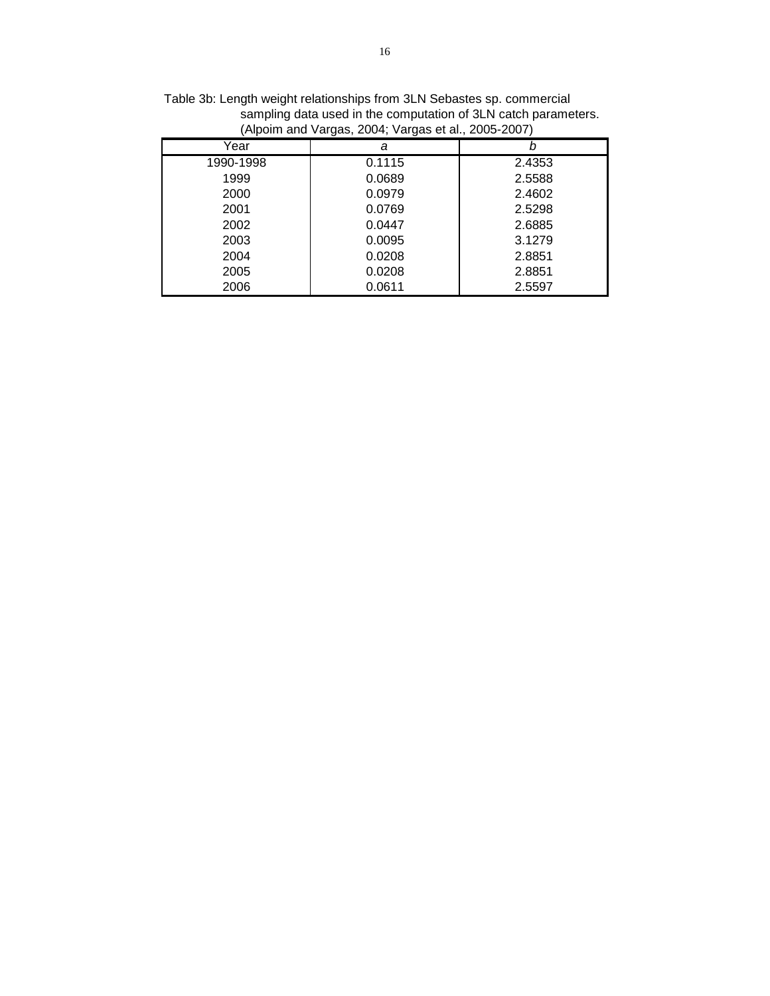| $\mu$ aponing and variable, 2001, variate of an, 2000 2001, |        |        |  |  |  |  |  |  |  |  |
|-------------------------------------------------------------|--------|--------|--|--|--|--|--|--|--|--|
| Year                                                        | а      |        |  |  |  |  |  |  |  |  |
| 1990-1998                                                   | 0.1115 | 2.4353 |  |  |  |  |  |  |  |  |
| 1999                                                        | 0.0689 | 2.5588 |  |  |  |  |  |  |  |  |
| 2000                                                        | 0.0979 | 2.4602 |  |  |  |  |  |  |  |  |
| 2001                                                        | 0.0769 | 2.5298 |  |  |  |  |  |  |  |  |
| 2002                                                        | 0.0447 | 2.6885 |  |  |  |  |  |  |  |  |
| 2003                                                        | 0.0095 | 3.1279 |  |  |  |  |  |  |  |  |
| 2004                                                        | 0.0208 | 2.8851 |  |  |  |  |  |  |  |  |
| 2005                                                        | 0.0208 | 2.8851 |  |  |  |  |  |  |  |  |
| 2006                                                        | 0.0611 | 2.5597 |  |  |  |  |  |  |  |  |
|                                                             |        |        |  |  |  |  |  |  |  |  |

Table 3b: Length weight relationships from 3LN Sebastes sp. commercial sampling data used in the computation of 3LN catch parameters. (Alpoim and Vargas, 2004; Vargas et al., 2005-2007)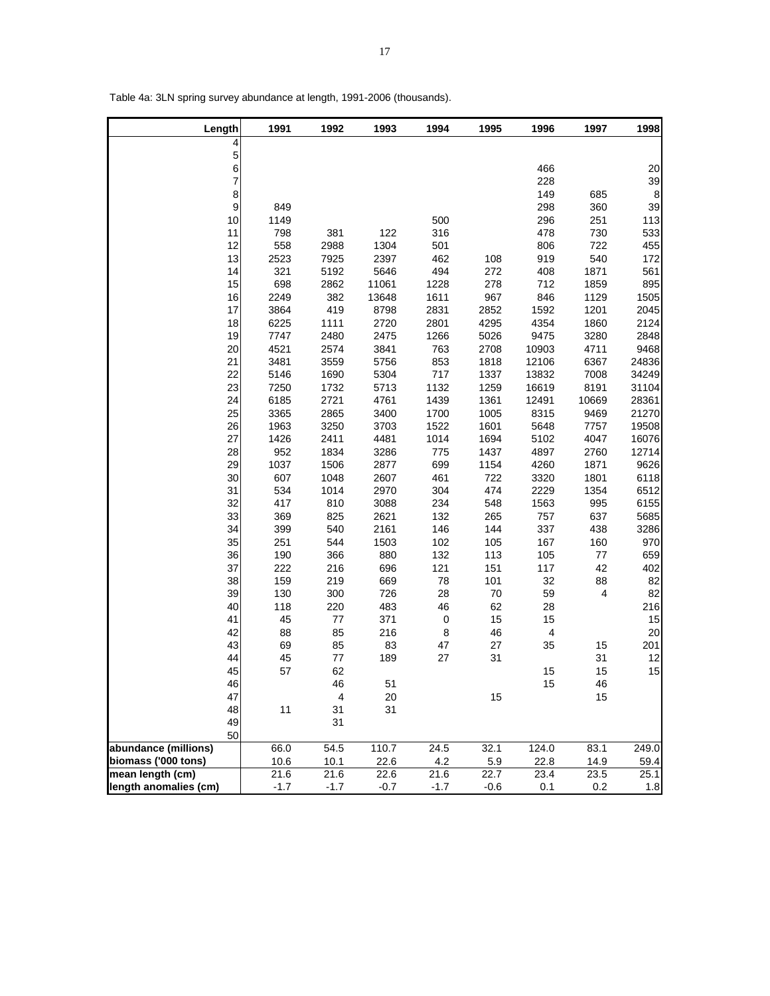| Length         | 1991 | 1992                    | 1993  | 1994 | 1995   | 1996      | 1997  | 1998  |
|----------------|------|-------------------------|-------|------|--------|-----------|-------|-------|
| 4              |      |                         |       |      |        |           |       |       |
| 5              |      |                         |       |      |        |           |       |       |
| $\overline{6}$ |      |                         |       |      |        | 466       |       | 20    |
| $\overline{7}$ |      |                         |       |      |        | 228       |       | 39    |
| 8              |      |                         |       |      |        | 149       | 685   | 8     |
| $\overline{9}$ | 849  |                         |       |      |        | 298       | 360   | 39    |
| 10             | 1149 |                         |       | 500  |        | 296       | 251   | 113   |
| 11             | 798  | 381                     | 122   | 316  |        | 478       | 730   | 533   |
| 12             | 558  | 2988                    | 1304  | 501  |        | 806       | 722   | 455   |
| 13             | 2523 | 7925                    | 2397  | 462  | 108    | 919       | 540   | 172   |
| 14             | 321  | 5192                    | 5646  | 494  | 272    | 408       | 1871  | 561   |
| 15             | 698  | 2862                    | 11061 | 1228 | 278    | 712       | 1859  | 895   |
| 16             | 2249 | 382                     | 13648 | 1611 | 967    | 846       | 1129  | 1505  |
| 17             | 3864 | 419                     | 8798  | 2831 | 2852   | 1592      | 1201  | 2045  |
| 18             | 6225 | 1111                    | 2720  | 2801 | 4295   | 4354      | 1860  | 2124  |
| 19             | 7747 | 2480                    | 2475  | 1266 | 5026   | 9475      | 3280  | 2848  |
| 20             | 4521 | 2574                    | 3841  | 763  | 2708   | 10903     | 4711  | 9468  |
| 21             | 3481 | 3559                    | 5756  | 853  | 1818   | 12106     | 6367  | 24836 |
| 22             | 5146 | 1690                    | 5304  | 717  | 1337   | 13832     | 7008  | 34249 |
| 23             | 7250 | 1732                    | 5713  | 1132 | 1259   | 16619     | 8191  | 31104 |
| 24             | 6185 | 2721                    | 4761  | 1439 | 1361   | 12491     | 10669 | 28361 |
| 25             | 3365 | 2865                    | 3400  | 1700 | 1005   | 8315      | 9469  | 21270 |
| 26             | 1963 | 3250                    | 3703  | 1522 | 1601   | 5648      | 7757  | 19508 |
| 27             | 1426 | 2411                    | 4481  | 1014 | 1694   | 5102      | 4047  | 16076 |
| 28             | 952  | 1834                    | 3286  | 775  | 1437   | 4897      | 2760  | 12714 |
| 29             | 1037 | 1506                    | 2877  | 699  | 1154   | 4260      | 1871  | 9626  |
| 30             | 607  | 1048                    | 2607  | 461  | 722    | 3320      | 1801  | 6118  |
| 31             | 534  | 1014                    | 2970  | 304  | 474    | 2229      | 1354  | 6512  |
| 32             | 417  | 810                     | 3088  | 234  | 548    | 1563      | 995   | 6155  |
| 33             | 369  | 825                     | 2621  | 132  | 265    | 757       | 637   | 5685  |
| 34             | 399  | 540                     | 2161  | 146  | 144    | 337       | 438   | 3286  |
| 35             | 251  | 544                     | 1503  | 102  | 105    | 167       | 160   | 970   |
| 36             | 190  | 366                     | 880   | 132  | 113    | 105       | 77    | 659   |
| 37             | 222  | 216                     | 696   | 121  | 151    | 117       | 42    | 402   |
| 38             | 159  | 219                     | 669   | 78   | 101    | 32        | 88    | 82    |
| 39             | 130  | 300                     | 726   | 28   | $70\,$ | 59        | 4     | 82    |
| 40             | 118  | 220                     | 483   | 46   | 62     | 28        |       | 216   |
| 41             | 45   | $77\,$                  | 371   | 0    | 15     | 15        |       | 15    |
| 42             | 88   | 85                      | 216   | 8    | 46     | $\pmb{4}$ |       | 20    |
| 43             | 69   | 85                      | 83    | 47   | 27     | 35        | 15    | 201   |
| 44             | 45   | $77\,$                  | 189   | 27   | 31     |           | 31    | 12    |
| 45             | 57   | 62                      |       |      |        | 15        | 15    | 15    |
| 46             |      | 46                      | 51    |      |        | 15        | 46    |       |
| 47             |      | $\overline{\mathbf{4}}$ | 20    |      | 15     |           | 15    |       |
| 48             | 11   | 31                      | 31    |      |        |           |       |       |
| 49             |      | 31                      |       |      |        |           |       |       |
| 50             |      |                         |       |      |        |           |       |       |

**abundance (millions)** 66.0 54.5 110.7 24.5 32.1 124.0 83.1 249.0<br>**biomass ('000 tons)** 10.6 10.1 22.6 4.2 5.9 22.8 14.9 59.4 **biomass ('000 tons)** 10.6 10.1 22.6 4.2 5.9 22.8 14.9 59.4<br> **mean length (cm)** 21.6 21.6 22.6 21.6 22.7 23.4 23.5 25.1

**length anomalies (cm)** | -1.7 -1.7 -0.7 -1.7 -0.6 0.1 0.2 1.8

mean length (cm)

Table 4a: 3LN spring survey abundance at length, 1991-2006 (thousands).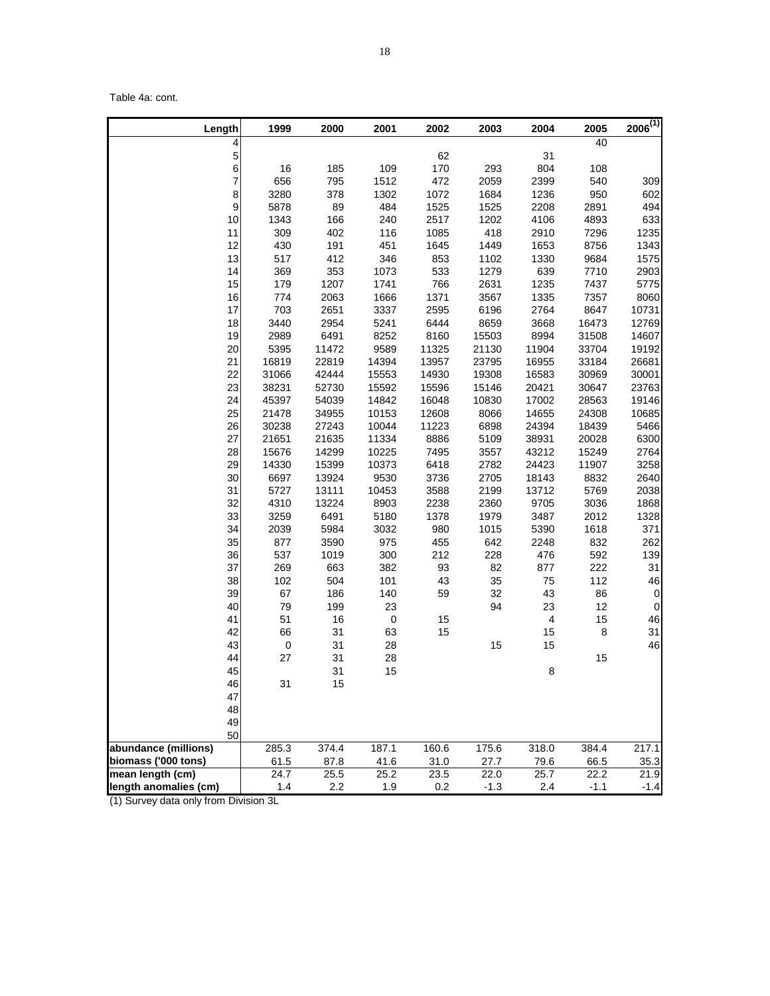Table 4a: cont.

| Length                | 1999      | 2000  | 2001        | 2002  | 2003   | 2004      | 2005   | $2006^{(1)}$   |
|-----------------------|-----------|-------|-------------|-------|--------|-----------|--------|----------------|
| 4                     |           |       |             |       |        |           | 40     |                |
| 5                     |           |       |             | 62    |        | 31        |        |                |
| 6                     | 16        | 185   | 109         | 170   | 293    | 804       | 108    |                |
| 7                     | 656       | 795   | 1512        | 472   | 2059   | 2399      | 540    | 309            |
| 8                     | 3280      | 378   | 1302        | 1072  | 1684   | 1236      | 950    | 602            |
| $\boldsymbol{9}$      | 5878      | 89    | 484         | 1525  | 1525   | 2208      | 2891   | 494            |
| 10                    | 1343      | 166   | 240         | 2517  | 1202   | 4106      | 4893   | 633            |
| 11                    | 309       | 402   | 116         | 1085  | 418    | 2910      | 7296   | 1235           |
| 12                    | 430       | 191   | 451         | 1645  | 1449   | 1653      | 8756   | 1343           |
| 13                    | 517       | 412   | 346         | 853   | 1102   | 1330      | 9684   | 1575           |
| 14                    | 369       | 353   | 1073        | 533   | 1279   | 639       | 7710   | 2903           |
| 15                    | 179       | 1207  | 1741        | 766   | 2631   | 1235      | 7437   | 5775           |
| 16                    | 774       | 2063  | 1666        | 1371  | 3567   | 1335      | 7357   | 8060           |
| 17                    | 703       | 2651  | 3337        | 2595  | 6196   | 2764      | 8647   | 10731          |
| 18                    | 3440      | 2954  | 5241        | 6444  | 8659   | 3668      | 16473  | 12769          |
| 19                    | 2989      | 6491  | 8252        | 8160  | 15503  | 8994      | 31508  | 14607          |
| 20                    | 5395      | 11472 | 9589        | 11325 | 21130  | 11904     | 33704  | 19192          |
| 21                    | 16819     | 22819 | 14394       | 13957 | 23795  | 16955     | 33184  | 26681          |
| 22                    | 31066     | 42444 | 15553       | 14930 | 19308  | 16583     | 30969  | 30001          |
| 23                    | 38231     | 52730 | 15592       | 15596 | 15146  | 20421     | 30647  | 23763          |
| 24                    | 45397     | 54039 | 14842       | 16048 | 10830  | 17002     | 28563  | 19146          |
| 25                    | 21478     | 34955 | 10153       | 12608 | 8066   | 14655     | 24308  | 10685          |
| 26                    | 30238     | 27243 | 10044       | 11223 | 6898   | 24394     | 18439  | 5466           |
| 27                    | 21651     | 21635 | 11334       | 8886  | 5109   | 38931     | 20028  | 6300           |
| 28                    | 15676     | 14299 | 10225       | 7495  | 3557   | 43212     | 15249  | 2764           |
| 29                    | 14330     | 15399 | 10373       | 6418  | 2782   | 24423     | 11907  | 3258           |
| 30                    | 6697      | 13924 | 9530        | 3736  | 2705   | 18143     | 8832   | 2640           |
| 31                    | 5727      | 13111 | 10453       | 3588  | 2199   | 13712     | 5769   | 2038           |
| 32                    | 4310      | 13224 | 8903        | 2238  | 2360   | 9705      | 3036   | 1868           |
| 33                    | 3259      | 6491  | 5180        | 1378  | 1979   | 3487      | 2012   | 1328           |
| 34                    | 2039      | 5984  | 3032        | 980   | 1015   | 5390      | 1618   | 371            |
| 35                    | 877       | 3590  | 975         | 455   | 642    | 2248      | 832    | 262            |
| 36                    | 537       | 1019  | 300         | 212   | 228    | 476       | 592    | 139            |
| 37                    | 269       | 663   | 382         | 93    | 82     | 877       | 222    | 31             |
| 38                    | 102       | 504   | 101         | 43    | 35     | 75        | 112    | 46             |
| 39                    | 67        | 186   | 140         | 59    | 32     | 43        | 86     | $\mathbf 0$    |
| 40                    | 79        | 199   | 23          |       | 94     | 23        | 12     | $\overline{0}$ |
| 41                    | 51        | 16    | $\mathbf 0$ | 15    |        | $\pmb{4}$ | 15     | 46             |
| 42                    | 66        | 31    | 63          | 15    |        | 15        | $\bf8$ | 31             |
| 43                    | $\pmb{0}$ | 31    | 28          |       | 15     | 15        |        | 46             |
| 44                    | 27        | 31    | 28          |       |        |           | 15     |                |
| 45                    |           | 31    | 15          |       |        | 8         |        |                |
| 46                    | 31        | 15    |             |       |        |           |        |                |
| 47                    |           |       |             |       |        |           |        |                |
| 48                    |           |       |             |       |        |           |        |                |
| 49                    |           |       |             |       |        |           |        |                |
| 50                    |           |       |             |       |        |           |        |                |
| abundance (millions)  | 285.3     | 374.4 | 187.1       | 160.6 | 175.6  | 318.0     | 384.4  | 217.1          |
| biomass ('000 tons)   | 61.5      | 87.8  | 41.6        | 31.0  | 27.7   | 79.6      | 66.5   | 35.3           |
| mean length (cm)      | 24.7      | 25.5  | 25.2        | 23.5  | 22.0   | 25.7      | 22.2   | 21.9           |
| length anomalies (cm) | 1.4       | 2.2   | 1.9         | 0.2   | $-1.3$ | 2.4       | $-1.1$ | $-1.4$         |

(1) Survey data only from Division 3L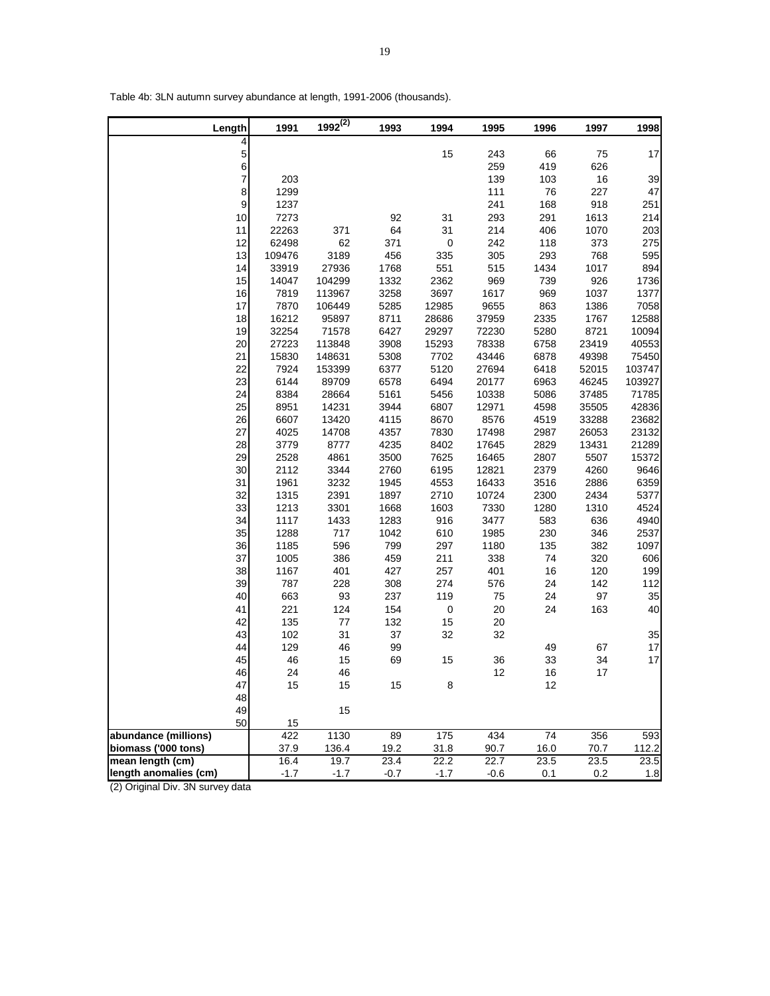| Length                | 1991         | $1992^{(2)}$ | 1993         | 1994         | 1995           | 1996         | 1997         | 1998          |
|-----------------------|--------------|--------------|--------------|--------------|----------------|--------------|--------------|---------------|
| 4                     |              |              |              |              |                |              |              |               |
| 5                     |              |              |              | 15           | 243            | 66           | 75           | 17            |
| 6                     |              |              |              |              | 259            | 419          | 626          |               |
| 7                     | 203          |              |              |              | 139            | 103          | $16\,$       | 39            |
| 8                     | 1299         |              |              |              | 111            | 76           | 227          | 47            |
| 9                     | 1237         |              |              |              | 241            | 168          | 918          | 251           |
| 10                    | 7273         |              | 92           | 31           | 293            | 291          | 1613         | 214           |
| 11                    | 22263        | 371          | 64           | 31           | 214            | 406          | 1070         | 203           |
| 12                    | 62498        | 62           | 371          | $\pmb{0}$    | 242            | 118          | 373          | 275           |
| 13                    | 109476       | 3189         | 456          | 335          | 305            | 293          | 768          | 595           |
| 14                    | 33919        | 27936        | 1768         | 551          | 515            | 1434         | 1017         | 894           |
| 15                    | 14047        | 104299       | 1332         | 2362         | 969            | 739          | 926          | 1736          |
| 16                    | 7819         | 113967       | 3258         | 3697         | 1617           | 969          | 1037         | 1377          |
| 17                    | 7870         | 106449       | 5285         | 12985        | 9655           | 863          | 1386         | 7058          |
| 18                    | 16212        | 95897        | 8711         | 28686        | 37959          | 2335         | 1767         | 12588         |
| 19                    | 32254        | 71578        | 6427         | 29297        | 72230          | 5280         | 8721         | 10094         |
| 20                    | 27223        | 113848       | 3908         | 15293        | 78338          | 6758         | 23419        | 40553         |
| 21                    | 15830        | 148631       | 5308         | 7702         | 43446          | 6878         | 49398        | 75450         |
| 22                    | 7924         | 153399       | 6377         | 5120         | 27694          | 6418         | 52015        | 103747        |
| 23                    | 6144         | 89709        | 6578         | 6494         | 20177          | 6963         | 46245        | 103927        |
| 24                    | 8384         | 28664        | 5161         | 5456         | 10338          | 5086         | 37485        | 71785         |
| 25                    | 8951         | 14231        | 3944         | 6807         | 12971          | 4598         | 35505        | 42836         |
| 26                    | 6607         | 13420        | 4115         | 8670         | 8576           | 4519         | 33288        | 23682         |
| 27                    | 4025         | 14708        | 4357         | 7830         | 17498<br>17645 | 2987         | 26053        | 23132         |
| 28                    | 3779         | 8777         | 4235         | 8402         |                | 2829         | 13431        | 21289         |
| 29                    | 2528<br>2112 | 4861         | 3500         | 7625         | 16465          | 2807<br>2379 | 5507<br>4260 | 15372<br>9646 |
| 30                    |              | 3344         | 2760         | 6195         | 12821          |              |              |               |
| 31<br>32              | 1961<br>1315 | 3232<br>2391 | 1945<br>1897 | 4553<br>2710 | 16433<br>10724 | 3516<br>2300 | 2886<br>2434 | 6359          |
| 33                    | 1213         | 3301         | 1668         | 1603         | 7330           | 1280         | 1310         | 5377<br>4524  |
| 34                    | 1117         | 1433         | 1283         | 916          | 3477           | 583          | 636          | 4940          |
| 35                    | 1288         | 717          | 1042         | 610          | 1985           | 230          | 346          | 2537          |
| 36                    | 1185         | 596          | 799          | 297          | 1180           | 135          | 382          | 1097          |
| 37                    | 1005         | 386          | 459          | 211          | 338            | 74           | 320          | 606           |
| 38                    | 1167         | 401          | 427          | 257          | 401            | 16           | 120          | 199           |
| 39                    | 787          | 228          | 308          | 274          | 576            | 24           | 142          | 112           |
| 40                    | 663          | 93           | 237          | 119          | 75             | 24           | 97           | 35            |
| 41                    | 221          | 124          | 154          | $\pmb{0}$    | 20             | 24           | 163          | 40            |
| 42                    | 135          | $77$         | 132          | 15           | 20             |              |              |               |
| 43                    | 102          | 31           | 37           | 32           | 32             |              |              | 35            |
| 44                    | 129          | 46           | 99           |              |                | 49           | 67           | 17            |
| 45                    | 46           | 15           | 69           | 15           | 36             | 33           | 34           | 17            |
| 46                    | 24           | 46           |              |              | 12             | 16           | 17           |               |
| 47                    | 15           | 15           | 15           | 8            |                | 12           |              |               |
| 48                    |              |              |              |              |                |              |              |               |
| 49                    |              | 15           |              |              |                |              |              |               |
| 50                    | 15           |              |              |              |                |              |              |               |
| abundance (millions)  | 422          | 1130         | 89           | 175          | 434            | 74           | 356          | 593           |
| biomass ('000 tons)   | 37.9         | 136.4        | 19.2         | 31.8         | 90.7           | 16.0         | 70.7         | 112.2         |
| mean length (cm)      | 16.4         | 19.7         | 23.4         | 22.2         | 22.7           | 23.5         | 23.5         | 23.5          |
| length anomalies (cm) | $-1.7$       | $-1.7$       | $-0.7$       | $-1.7$       | $-0.6$         | 0.1          | 0.2          | 1.8           |

Table 4b: 3LN autumn survey abundance at length, 1991-2006 (thousands).

Г

(2) Original Div. 3N survey data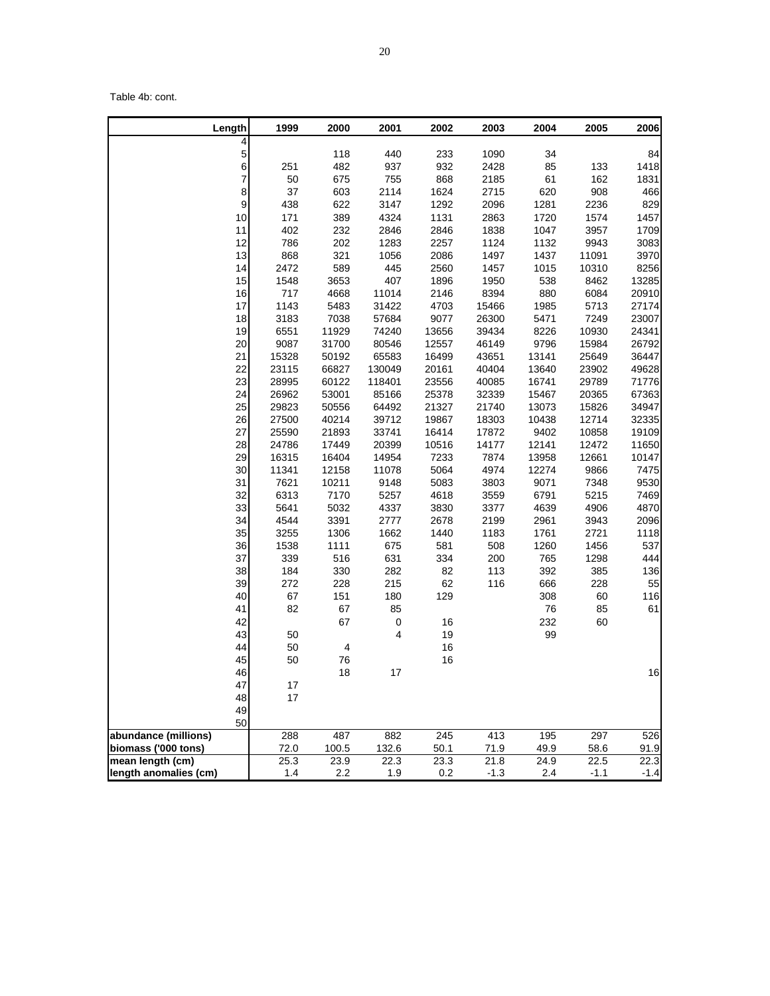Table 4b: cont.

| Length                | 1999         | 2000         | 2001         | 2002         | 2003         | 2004         | 2005         | 2006         |
|-----------------------|--------------|--------------|--------------|--------------|--------------|--------------|--------------|--------------|
| 4<br>5                |              | 118          | 440          | 233          | 1090         | 34           |              | 84           |
| 6                     | 251          | 482          | 937          | 932          | 2428         | 85           | 133          | 1418         |
| $\overline{7}$        | 50           | 675          | 755          | 868          | 2185         | 61           | 162          | 1831         |
| 8                     | 37           | 603          | 2114         | 1624         | 2715         | 620          | 908          | 466          |
| 9                     | 438          | 622          | 3147         | 1292         | 2096         | 1281         | 2236         | 829          |
| 10                    | 171          | 389          | 4324         | 1131         | 2863         | 1720         | 1574         | 1457         |
| 11                    | 402          | 232          | 2846         | 2846         | 1838         | 1047         | 3957         | 1709         |
| 12                    | 786          | 202          | 1283         | 2257         | 1124         | 1132         | 9943         | 3083         |
| 13                    | 868          | 321          | 1056         | 2086         | 1497         | 1437         | 11091        | 3970         |
| 14                    | 2472         | 589          | 445          | 2560         | 1457         | 1015         | 10310        | 8256         |
| 15                    | 1548         | 3653         | 407          | 1896         | 1950         | 538          | 8462         | 13285        |
| 16                    | 717          | 4668         | 11014        | 2146         | 8394         | 880          | 6084         | 20910        |
| 17                    | 1143         | 5483         | 31422        | 4703         | 15466        | 1985         | 5713         | 27174        |
| 18                    | 3183         | 7038         | 57684        | 9077         | 26300        | 5471         | 7249         | 23007        |
| 19                    | 6551         | 11929        | 74240        | 13656        | 39434        | 8226         | 10930        | 24341        |
| 20                    | 9087         | 31700        | 80546        | 12557        | 46149        | 9796         | 15984        | 26792        |
| 21                    | 15328        | 50192        | 65583        | 16499        | 43651        | 13141        | 25649        | 36447        |
| 22                    | 23115        | 66827        | 130049       | 20161        | 40404        | 13640        | 23902        | 49628        |
| 23                    | 28995        | 60122        | 118401       | 23556        | 40085        | 16741        | 29789        | 71776        |
| 24                    | 26962        | 53001        | 85166        | 25378        | 32339        | 15467        | 20365        | 67363        |
| 25                    | 29823        | 50556        | 64492        | 21327        | 21740        | 13073        | 15826        | 34947        |
| 26                    | 27500        | 40214        | 39712        | 19867        | 18303        | 10438        | 12714        | 32335        |
| 27                    | 25590        | 21893        | 33741        | 16414        | 17872        | 9402         | 10858        | 19109        |
| 28                    | 24786        | 17449        | 20399        | 10516        | 14177        | 12141        | 12472        | 11650        |
| 29                    | 16315        | 16404        | 14954        | 7233         | 7874         | 13958        | 12661        | 10147        |
| 30                    | 11341        | 12158        | 11078        | 5064         | 4974         | 12274        | 9866         | 7475         |
| 31                    | 7621         | 10211        | 9148         | 5083         | 3803         | 9071         | 7348         | 9530         |
| 32                    | 6313         | 7170         | 5257         | 4618         | 3559<br>3377 | 6791         | 5215         | 7469         |
| 33<br>34              | 5641<br>4544 | 5032<br>3391 | 4337<br>2777 | 3830<br>2678 | 2199         | 4639<br>2961 | 4906<br>3943 | 4870<br>2096 |
| 35                    | 3255         | 1306         | 1662         | 1440         | 1183         | 1761         | 2721         | 1118         |
| 36                    | 1538         | 1111         | 675          | 581          | 508          | 1260         | 1456         | 537          |
| 37                    | 339          | 516          | 631          | 334          | 200          | 765          | 1298         | 444          |
| 38                    | 184          | 330          | 282          | 82           | 113          | 392          | 385          | 136          |
| 39                    | 272          | 228          | 215          | 62           | 116          | 666          | 228          | 55           |
| 40                    | 67           | 151          | 180          | 129          |              | 308          | 60           | 116          |
| 41                    | 82           | 67           | 85           |              |              | ${\bf 76}$   | 85           | 61           |
| 42                    |              | 67           | $\pmb{0}$    | 16           |              | 232          | 60           |              |
| 43                    | 50           |              | 4            | 19           |              | 99           |              |              |
| 44                    | 50           | 4            |              | 16           |              |              |              |              |
| 45                    | 50           | 76           |              | 16           |              |              |              |              |
| 46                    |              | $18$         | 17           |              |              |              |              | 16           |
| 47                    | 17           |              |              |              |              |              |              |              |
| 48                    | 17           |              |              |              |              |              |              |              |
| 49                    |              |              |              |              |              |              |              |              |
| 50                    |              |              |              |              |              |              |              |              |
| abundance (millions)  | 288          | 487          | 882          | 245          | 413          | 195          | 297          | 526          |
| biomass ('000 tons)   | 72.0         | 100.5        | 132.6        | 50.1         | 71.9         | 49.9         | 58.6         | 91.9         |
| mean length (cm)      | 25.3         | 23.9         | 22.3         | 23.3         | 21.8         | 24.9         | 22.5         | 22.3         |
| length anomalies (cm) | 1.4          | 2.2          | 1.9          | 0.2          | $-1.3$       | 2.4          | $-1.1$       | $-1.4$       |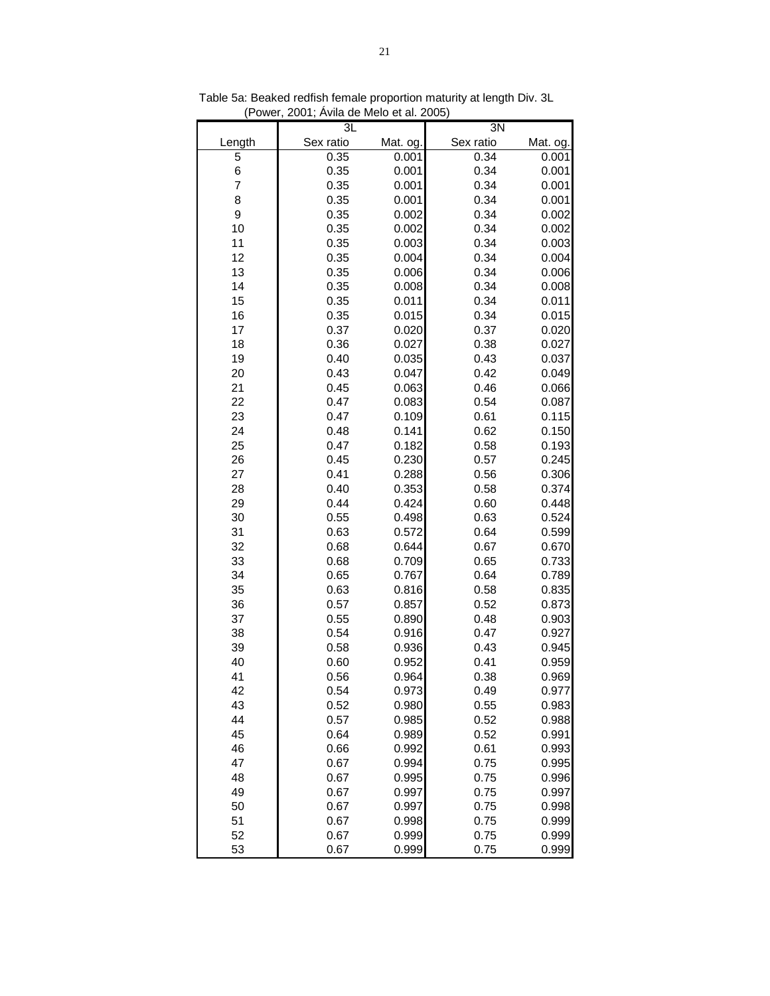|        | 3L        |          | 3N        |          |
|--------|-----------|----------|-----------|----------|
| Length | Sex ratio | Mat. og. | Sex ratio | Mat. og. |
| 5      | 0.35      | 0.001    | 0.34      | 0.001    |
| 6      | 0.35      | 0.001    | 0.34      | 0.001    |
| 7      | 0.35      | 0.001    | 0.34      | 0.001    |
| 8      | 0.35      | 0.001    | 0.34      | 0.001    |
| 9      | 0.35      | 0.002    | 0.34      | 0.002    |
| 10     | 0.35      | 0.002    | 0.34      | 0.002    |
| 11     | 0.35      | 0.003    | 0.34      | 0.003    |
| 12     | 0.35      | 0.004    | 0.34      | 0.004    |
| 13     | 0.35      | 0.006    | 0.34      | 0.006    |
| 14     | 0.35      | 0.008    | 0.34      | 0.008    |
| 15     | 0.35      | 0.011    | 0.34      | 0.011    |
| 16     | 0.35      | 0.015    | 0.34      | 0.015    |
| 17     | 0.37      | 0.020    | 0.37      | 0.020    |
| 18     | 0.36      | 0.027    | 0.38      | 0.027    |
| 19     | 0.40      | 0.035    | 0.43      | 0.037    |
| 20     | 0.43      | 0.047    | 0.42      | 0.049    |
| 21     | 0.45      | 0.063    | 0.46      | 0.066    |
| 22     | 0.47      | 0.083    | 0.54      | 0.087    |
| 23     | 0.47      | 0.109    | 0.61      | 0.115    |
| 24     | 0.48      | 0.141    | 0.62      | 0.150    |
| 25     | 0.47      | 0.182    | 0.58      | 0.193    |
| 26     | 0.45      | 0.230    | 0.57      | 0.245    |
| 27     | 0.41      | 0.288    | 0.56      | 0.306    |
| 28     | 0.40      | 0.353    | 0.58      | 0.374    |
| 29     | 0.44      | 0.424    | 0.60      | 0.448    |
| 30     | 0.55      | 0.498    | 0.63      | 0.524    |
| 31     | 0.63      | 0.572    | 0.64      | 0.599    |
| 32     | 0.68      | 0.644    | 0.67      | 0.670    |
| 33     | 0.68      | 0.709    | 0.65      | 0.733    |
| 34     | 0.65      | 0.767    | 0.64      | 0.789    |
| 35     | 0.63      | 0.816    | 0.58      | 0.835    |
| 36     | 0.57      | 0.857    | 0.52      | 0.873    |
| 37     | 0.55      | 0.890    | 0.48      | 0.903    |
| 38     | 0.54      | 0.916    | 0.47      | 0.927    |
| 39     | 0.58      | 0.936    | 0.43      | 0.945    |
| 40     | 0.60      | 0.952    | 0.41      | 0.959    |
| 41     | 0.56      | 0.964    | 0.38      | 0.969    |
| 42     | 0.54      | 0.973    | 0.49      | 0.977    |
| 43     | 0.52      | 0.980    | 0.55      | 0.983    |
| 44     | 0.57      | 0.985    | 0.52      | 0.988    |
| 45     | 0.64      | 0.989    | 0.52      | 0.991    |
| 46     | 0.66      | 0.992    | 0.61      | 0.993    |
| 47     | 0.67      | 0.994    | 0.75      | 0.995    |
| 48     | 0.67      | 0.995    | 0.75      | 0.996    |
| 49     | 0.67      | 0.997    | 0.75      | 0.997    |
| 50     | 0.67      | 0.997    | 0.75      | 0.998    |
| 51     | 0.67      | 0.998    | 0.75      | 0.999    |
| 52     | 0.67      | 0.999    | 0.75      | 0.999    |
| 53     | 0.67      | 0.999    | 0.75      | 0.999    |

Table 5a: Beaked redfish female proportion maturity at length Div. 3L (Power, 2001; Ávila de Melo et al. 2005)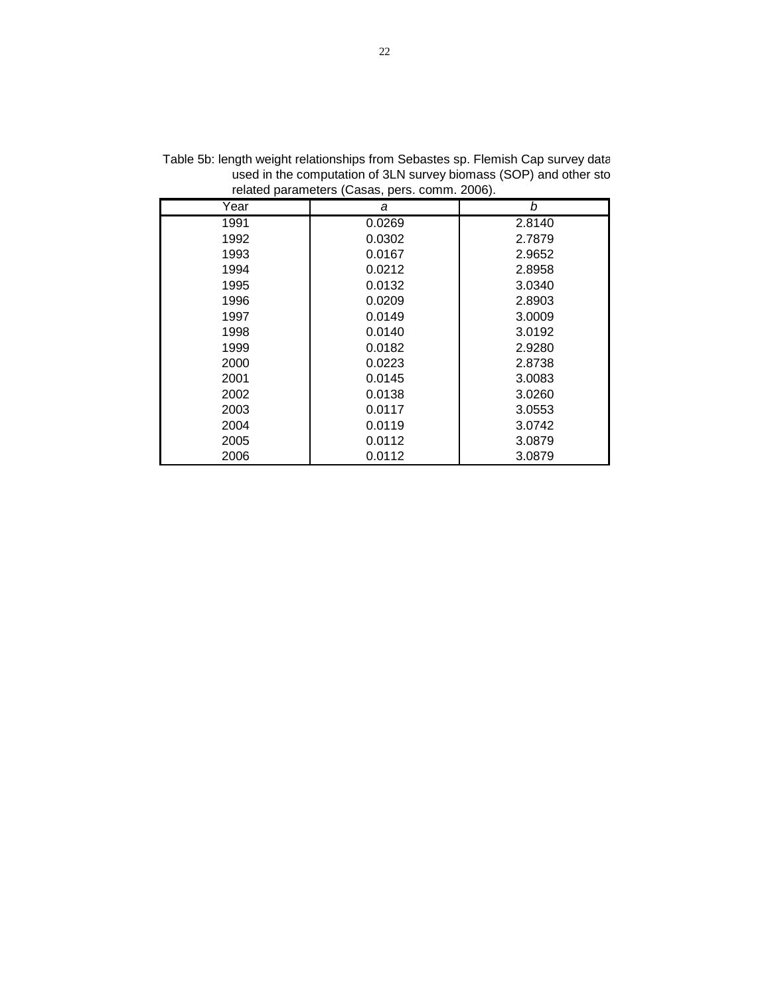| . <b>.</b> | $\ddotsc$ |        |
|------------|-----------|--------|
| Year       | а         | b      |
| 1991       | 0.0269    | 2.8140 |
| 1992       | 0.0302    | 2.7879 |
| 1993       | 0.0167    | 2.9652 |
| 1994       | 0.0212    | 2.8958 |
| 1995       | 0.0132    | 3.0340 |
| 1996       | 0.0209    | 2.8903 |
| 1997       | 0.0149    | 3.0009 |
| 1998       | 0.0140    | 3.0192 |
| 1999       | 0.0182    | 2.9280 |
| 2000       | 0.0223    | 2.8738 |
| 2001       | 0.0145    | 3.0083 |
| 2002       | 0.0138    | 3.0260 |
| 2003       | 0.0117    | 3.0553 |
| 2004       | 0.0119    | 3.0742 |
| 2005       | 0.0112    | 3.0879 |
| 2006       | 0.0112    | 3.0879 |

Table 5b: length weight relationships from Sebastes sp. Flemish Cap survey data used in the computation of 3LN survey biomass (SOP) and other sto related parameters (Casas, pers. comm. 2006).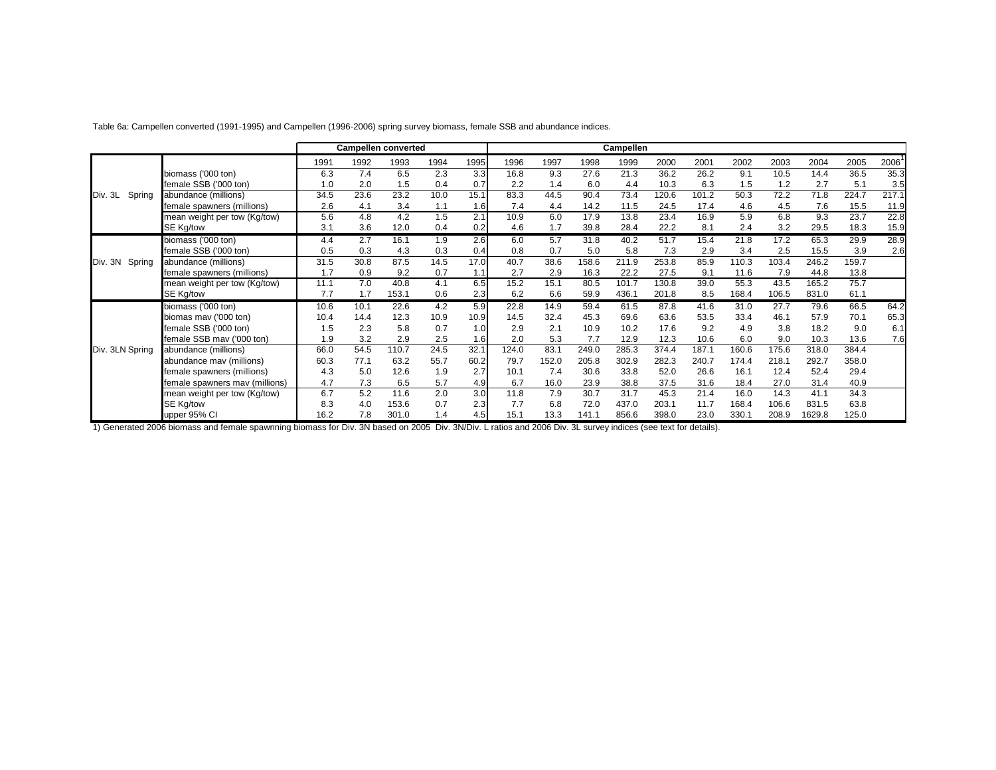|                   |                                |      |      | Campellen converted |      |      |       |       |       | Campellen |       |       |       |       |        |       |       |
|-------------------|--------------------------------|------|------|---------------------|------|------|-------|-------|-------|-----------|-------|-------|-------|-------|--------|-------|-------|
|                   |                                | 1991 | 1992 | 1993                | 1994 | 1995 | 1996  | 1997  | 1998  | 1999      | 2000  | 2001  | 2002  | 2003  | 2004   | 2005  | 2006  |
|                   | biomass ('000 ton)             | 6.3  | 7.4  | 6.5                 | 2.3  | 3.3  | 16.8  | 9.3   | 27.6  | 21.3      | 36.2  | 26.2  | 9.1   | 10.5  | 14.4   | 36.5  | 35.3  |
|                   | female SSB ('000 ton)          | 1.0  | 2.0  | 1.5                 | 0.4  | 0.7  | 2.2   | 1.4   | 6.0   | 4.4       | 10.3  | 6.3   | 1.5   | 1.2   | 2.7    | 5.1   | 3.5   |
| Div. 3L<br>Spring | abundance (millions)           | 34.5 | 23.6 | 23.2                | 10.0 | 15.1 | 83.3  | 44.5  | 90.4  | 73.4      | 120.6 | 101.2 | 50.3  | 72.2  | 71.8   | 224.7 | 217.1 |
|                   | female spawners (millions)     | 2.6  | 4.1  | 3.4                 | 1.1  | 1.6  | 7.4   | 4.4   | 14.2  | 11.5      | 24.5  | 17.4  | 4.6   | 4.5   | 7.6    | 15.5  | 11.9  |
|                   | mean weight per tow (Kg/tow)   | 5.6  | 4.8  | 4.2                 | 1.5  | 2.1  | 10.9  | 6.0   | 17.9  | 13.8      | 23.4  | 16.9  | 5.9   | 6.8   | 9.3    | 23.7  | 22.8  |
|                   | SE Kg/tow                      | 3.1  | 3.6  | 12.0                | 0.4  | 0.2  | 4.6   | 1.7   | 39.8  | 28.4      | 22.2  | 8.1   | 2.4   | 3.2   | 29.5   | 18.3  | 15.9  |
|                   | biomass ('000 ton)             | 4.4  | 2.7  | 16.1                | 1.9  | 2.6  | 6.0   | 5.7   | 31.8  | 40.2      | 51.7  | 15.4  | 21.8  | 17.2  | 65.3   | 29.9  | 28.9  |
|                   | female SSB ('000 ton)          | 0.5  | 0.3  | 4.3                 | 0.3  | 0.4  | 0.8   | 0.7   | 5.0   | 5.8       | 7.3   | 2.9   | 3.4   | 2.5   | 15.5   | 3.9   | 2.6   |
| Div. 3N<br>Spring | abundance (millions)           | 31.5 | 30.8 | 87.5                | 14.5 | 17.0 | 40.7  | 38.6  | 158.6 | 211.9     | 253.8 | 85.9  | 110.3 | 103.4 | 246.2  | 159.7 |       |
|                   | female spawners (millions)     | 1.7  | 0.9  | 9.2                 | 0.7  | 1.1  | 2.7   | 2.9   | 16.3  | 22.2      | 27.5  | 9.1   | 11.6  | 7.9   | 44.8   | 13.8  |       |
|                   | mean weight per tow (Kg/tow)   | 11.1 | 7.0  | 40.8                | 4.1  | 6.5  | 15.2  | 15.1  | 80.5  | 101.7     | 130.8 | 39.0  | 55.3  | 43.5  | 165.2  | 75.7  |       |
|                   | SE Kg/tow                      | 7.7  | 1.7  | 153.1               | 0.6  | 2.3  | 6.2   | 6.6   | 59.9  | 436.1     | 201.8 | 8.5   | 168.4 | 106.5 | 831.0  | 61.1  |       |
|                   | biomass ('000 ton)             | 10.6 | 10.1 | 22.6                | 4.2  | 5.9  | 22.8  | 14.9  | 59.4  | 61.5      | 87.8  | 41.6  | 31.0  | 27.7  | 79.6   | 66.5  | 64.2  |
|                   | biomas mav ('000 ton)          | 10.4 | 14.4 | 12.3                | 10.9 | 10.9 | 14.5  | 32.4  | 45.3  | 69.6      | 63.6  | 53.5  | 33.4  | 46.1  | 57.9   | 70.1  | 65.3  |
|                   | female SSB ('000 ton)          | 1.5  | 2.3  | 5.8                 | 0.7  | 1.0  | 2.9   | 2.1   | 10.9  | 10.2      | 17.6  | 9.2   | 4.9   | 3.8   | 18.2   | 9.0   | 6.1   |
|                   | female SSB mav ('000 ton)      | 1.9  | 3.2  | 2.9                 | 2.5  | 1.6  | 2.0   | 5.3   | 7.7   | 12.9      | 12.3  | 10.6  | 6.0   | 9.0   | 10.3   | 13.6  | 7.6   |
| Div. 3LN Spring   | abundance (millions)           | 66.0 | 54.5 | 110.7               | 24.5 | 32.1 | 124.0 | 83.1  | 249.0 | 285.3     | 374.4 | 187.1 | 160.6 | 175.6 | 318.0  | 384.4 |       |
|                   | abundance mav (millions)       | 60.3 | 77.1 | 63.2                | 55.7 | 60.2 | 79.7  | 152.0 | 205.8 | 302.9     | 282.3 | 240.7 | 174.4 | 218.1 | 292.7  | 358.0 |       |
|                   | female spawners (millions)     | 4.3  | 5.0  | 12.6                | 1.9  | 2.7  | 10.1  | 7.4   | 30.6  | 33.8      | 52.0  | 26.6  | 16.1  | 12.4  | 52.4   | 29.4  |       |
|                   | female spawners mav (millions) | 4.7  | 7.3  | 6.5                 | 5.7  | 4.9  | 6.7   | 16.0  | 23.9  | 38.8      | 37.5  | 31.6  | 18.4  | 27.0  | 31.4   | 40.9  |       |
|                   | mean weight per tow (Kg/tow)   | 6.7  | 5.2  | 11.6                | 2.0  | 3.0  | 11.8  | 7.9   | 30.7  | 31.7      | 45.3  | 21.4  | 16.0  | 14.3  | 41.1   | 34.3  |       |
|                   | SE Kg/tow                      | 8.3  | 4.0  | 153.6               | 0.7  | 2.3  | 7.7   | 6.8   | 72.0  | 437.0     | 203.1 | 11.7  | 168.4 | 106.6 | 831.5  | 63.8  |       |
|                   | upper 95% CI                   | 16.2 | 7.8  | 301.0               | 1.4  | 4.5  | 15.1  | 13.3  | 141.1 | 856.6     | 398.0 | 23.0  | 330.1 | 208.9 | 1629.8 | 125.0 |       |

Table 6a: Campellen converted (1991-1995) and Campellen (1996-2006) spring survey biomass, female SSB and abundance indices.

1) Generated 2006 biomass and female spawnning biomass for Div. 3N based on 2005 Div. 3N/Div. L ratios and 2006 Div. 3L survey indices (see text for details).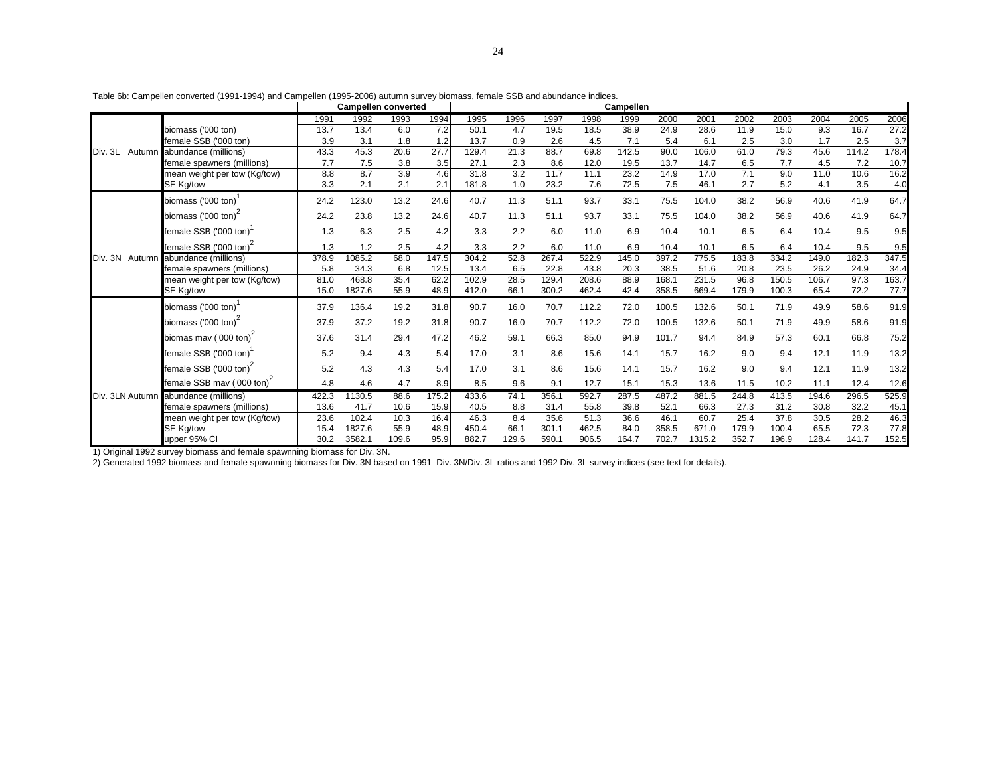|                   |                                        |       | Campellen converted |      |       |       |                  |       |       | Campellen |       |       |       |       |       |       |       |
|-------------------|----------------------------------------|-------|---------------------|------|-------|-------|------------------|-------|-------|-----------|-------|-------|-------|-------|-------|-------|-------|
|                   |                                        | 1991  | 1992                | 1993 | 1994  | 1995  | 1996             | 1997  | 1998  | 1999      | 2000  | 2001  | 2002  | 2003  | 2004  | 2005  | 2006  |
|                   | biomass ('000 ton)                     | 13.7  | 13.4                | 6.0  | 7.2   | 50.1  | 4.7              | 19.5  | 18.5  | 38.9      | 24.9  | 28.6  | 11.9  | 15.0  | 9.3   | 16.7  | 27.2  |
|                   | female SSB ('000 ton)                  | 3.9   | 3.1                 | 1.8  | 1.2   | 13.7  | 0.9              | 2.6   | 4.5   | 7.1       | 5.4   | 6.1   | 2.5   | 3.0   | 1.7   | 2.5   | 3.7   |
| Div. 3L<br>Autumn | abundance (millions)                   | 43.3  | 45.3                | 20.6 | 27.7  | 129.4 | 21.3             | 88.7  | 69.8  | 142.5     | 90.0  | 106.0 | 61.0  | 79.3  | 45.6  | 114.2 | 178.4 |
|                   | female spawners (millions)             | 7.7   | 7.5                 | 3.8  | 3.5   | 27.1  | 2.3              | 8.6   | 12.0  | 19.5      | 13.7  | 14.7  | 6.5   | 7.7   | 4.5   | 7.2   | 10.7  |
|                   | mean weight per tow (Kg/tow)           | 8.8   | 8.7                 | 3.9  | 4.6   | 31.8  | $\overline{3.2}$ | 11.7  | 11.1  | 23.2      | 14.9  | 17.0  | 7.1   | 9.0   | 11.0  | 10.6  | 16.2  |
|                   | SE Kg/tow                              | 3.3   | 2.1                 | 2.1  | 2.1   | 181.8 | 1.0              | 23.2  | 7.6   | 72.5      | 7.5   | 46.1  | 2.7   | 5.2   | 4.1   | 3.5   | 4.0   |
|                   | biomass ('000 ton)                     | 24.2  | 123.0               | 13.2 | 24.6  | 40.7  | 11.3             | 51.1  | 93.7  | 33.1      | 75.5  | 104.0 | 38.2  | 56.9  | 40.6  | 41.9  | 64.7  |
|                   | biomass ('000 ton) <sup>4</sup>        | 24.2  | 23.8                | 13.2 | 24.6  | 40.7  | 11.3             | 51.1  | 93.7  | 33.1      | 75.5  | 104.0 | 38.2  | 56.9  | 40.6  | 41.9  | 64.7  |
|                   | female SSB ('000 ton)                  | 1.3   | 6.3                 | 2.5  | 4.2   | 3.3   | 2.2              | 6.0   | 11.0  | 6.9       | 10.4  | 10.1  | 6.5   | 6.4   | 10.4  | 9.5   | 9.5   |
|                   | female SSB ('000 ton) <sup>2</sup>     | 1.3   | 1.2                 | 2.5  | 4.2   | 3.3   | 2.2              | 6.0   | 11.0  | 6.9       | 10.4  | 10.1  | 6.5   | 6.4   | 10.4  | 9.5   | 9.5   |
| Div. 3N Autumn    | abundance (millions)                   | 378.9 | 1085.2              | 68.0 | 147.5 | 304.2 | 52.8             | 267.4 | 522.9 | 145.0     | 397.2 | 775.5 | 183.8 | 334.2 | 149.0 | 182.3 | 347.5 |
|                   | female spawners (millions)             | 5.8   | 34.3                | 6.8  | 12.5  | 13.4  | 6.5              | 22.8  | 43.8  | 20.3      | 38.5  | 51.6  | 20.8  | 23.5  | 26.2  | 24.9  | 34.4  |
|                   | mean weight per tow (Kg/tow)           | 81.0  | 468.8               | 35.4 | 62.2  | 102.9 | 28.5             | 129.4 | 208.6 | 88.9      | 168.1 | 231.5 | 96.8  | 150.5 | 106.7 | 97.3  | 163.7 |
|                   | SE Kg/tow                              | 15.0  | 1827.6              | 55.9 | 48.9  | 412.0 | 66.1             | 300.2 | 462.4 | 42.4      | 358.5 | 669.4 | 179.9 | 100.3 | 65.4  | 72.2  | 77.7  |
|                   | biomass ('000 ton)                     | 37.9  | 136.4               | 19.2 | 31.8  | 90.7  | 16.0             | 70.7  | 112.2 | 72.0      | 100.5 | 132.6 | 50.1  | 71.9  | 49.9  | 58.6  | 91.9  |
|                   | biomass ('000 ton) <sup>2</sup>        | 37.9  | 37.2                | 19.2 | 31.8  | 90.7  | 16.0             | 70.7  | 112.2 | 72.0      | 100.5 | 132.6 | 50.1  | 71.9  | 49.9  | 58.6  | 91.9  |
|                   | biomas mav ('000 ton) <sup>2</sup>     | 37.6  | 31.4                | 29.4 | 47.2  | 46.2  | 59.1             | 66.3  | 85.0  | 94.9      | 101.7 | 94.4  | 84.9  | 57.3  | 60.1  | 66.8  | 75.2  |
|                   | female SSB ('000 ton)                  | 5.2   | 9.4                 | 4.3  | 5.4   | 17.0  | 3.1              | 8.6   | 15.6  | 14.1      | 15.7  | 16.2  | 9.0   | 9.4   | 12.1  | 11.9  | 13.2  |
|                   | female SSB ('000 ton) <sup>2</sup>     | 5.2   | 4.3                 | 4.3  | 5.4   | 17.0  | 3.1              | 8.6   | 15.6  | 14.1      | 15.7  | 16.2  | 9.0   | 9.4   | 12.1  | 11.9  | 13.2  |
|                   | female SSB mav ('000 ton) <sup>2</sup> | 4.8   | 4.6                 | 4.7  | 8.9   | 8.5   | 9.6              | 9.1   | 12.7  | 15.1      | 15.3  | 13.6  | 11.5  | 10.2  | 11.1  | 12.4  | 12.6  |
|                   | Div. 3LN Autumn abundance (millions)   | 422.3 | 1130.5              | 88.6 | 175.2 | 433.6 | 74.1             | 356.1 | 592.7 | 287.5     | 487.2 | 881.5 | 244.8 | 413.5 | 194.6 | 296.5 | 525.9 |
|                   | female spawners (millions)             | 13.6  | 41.7                | 10.6 | 15.9  | 40.5  | 8.8              | 31.4  | 55.8  | 39.8      | 52.1  | 66.3  | 27.3  | 31.2  | 30.8  | 32.2  | 45.1  |
|                   | mean weight per tow (Kg/tow)           | 23.6  | 102.4               | 10.3 | 16.4  | 46.3  | 8.4              | 35.6  | 51.3  | 36.6      | 46.1  | 60.7  | 25.4  | 37.8  | 30.5  | 28.2  | 46.3  |
|                   | SE Kg/tow                              | 15.4  | 1827.6              | 55.9 | 48.9  | 450.4 | 66.1             | 301.1 | 462.5 | 84.0      | 358.5 | 671.0 | 179.9 | 100.4 | 65.5  | 72.3  | 77.8  |

upper 95% CI 30.2 3582.1 109.6 95.9 882.7 129.6 590.1 906.5 164.7 702.7 1315.2 352.7 196.9 128.4 141.7 152.5

Table 6b: Campellen converted (1991-1994) and Campellen (1995-2006) autumn survey biomass, female SSB and abundance indices.

1) Original 1992 survey biomass and female spawnning biomass for Div. 3N.

2) Generated 1992 biomass and female spawnning biomass for Div. 3N based on 1991 Div. 3N/Div. 3L ratios and 1992 Div. 3L survey indices (see text for details).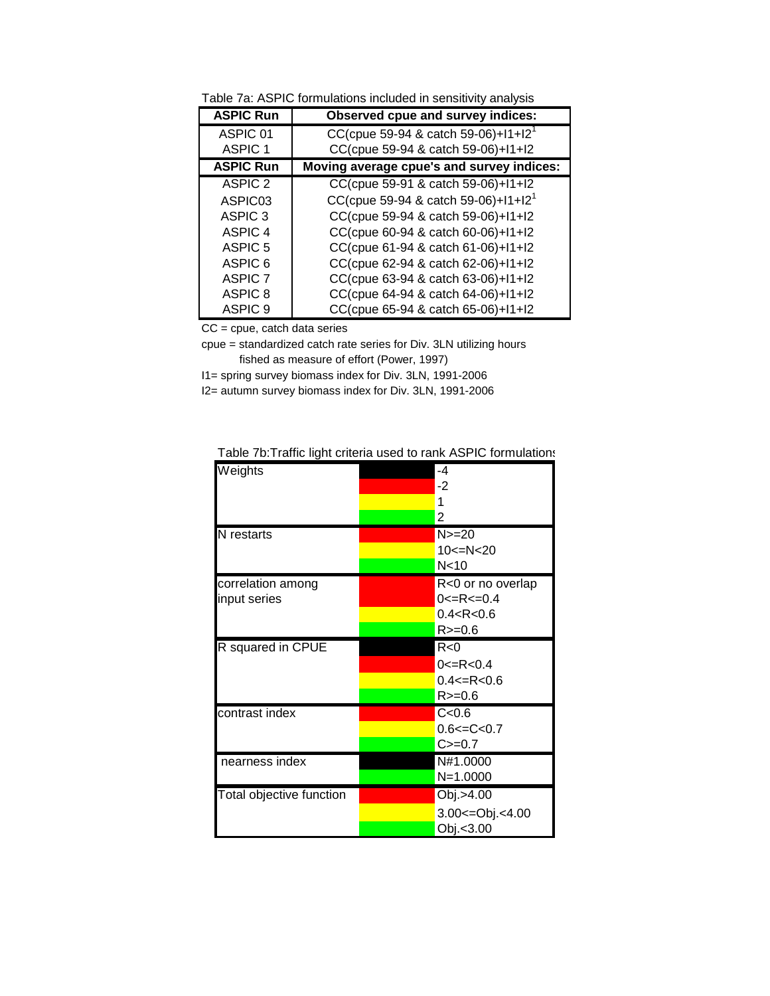| Table 7a: ASPIC formulations included in sensitivity analysis |
|---------------------------------------------------------------|
|---------------------------------------------------------------|

| <b>ASPIC Run</b>   | Observed cpue and survey indices:         |
|--------------------|-------------------------------------------|
| ASPIC 01           | CC(cpue 59-94 & catch 59-06)+ $11+12^1$   |
| ASPIC <sub>1</sub> | CC(cpue 59-94 & catch 59-06)+l1+l2        |
| <b>ASPIC Run</b>   | Moving average cpue's and survey indices: |
| ASPIC <sub>2</sub> | CC(cpue 59-91 & catch 59-06)+l1+l2        |
| ASPIC03            | CC(cpue 59-94 & catch 59-06)+ $11+12^1$   |
| ASPIC <sub>3</sub> | CC(cpue 59-94 & catch 59-06)+l1+l2        |
| ASPIC 4            | CC(cpue 60-94 & catch 60-06)+l1+l2        |
| ASPIC <sub>5</sub> | CC(cpue 61-94 & catch 61-06)+l1+l2        |
| ASPIC 6            | CC(cpue 62-94 & catch 62-06)+11+12        |
| <b>ASPIC 7</b>     | CC(cpue 63-94 & catch 63-06)+11+12        |
| ASPIC <sub>8</sub> | CC(cpue 64-94 & catch 64-06)+11+12        |
| ASPIC <sub>9</sub> | CC(cpue 65-94 & catch 65-06)+11+12        |

CC = cpue, catch data series

cpue = standardized catch rate series for Div. 3LN utilizing hours fished as measure of effort (Power, 1997)

I1= spring survey biomass index for Div. 3LN, 1991-2006

I2= autumn survey biomass index for Div. 3LN, 1991-2006

| Weights                  | -4                    |
|--------------------------|-----------------------|
|                          | -2                    |
|                          |                       |
|                          | 2                     |
| N restarts               | $N>=20$               |
|                          | $10 < = N < 20$       |
|                          | N <sub>10</sub>       |
| correlation among        | R<0 or no overlap     |
| input series             | $0 < = R < = 0.4$     |
|                          | 0.4 < R < 0.6         |
|                          | $R>=0.6$              |
| R squared in CPUE        | R<0                   |
|                          | $0 < = R < 0.4$       |
|                          | $0.4 < = R < 0.6$     |
|                          | $R = 0.6$             |
| contrast index           | C < 0.6               |
|                          | $0.6 \leq C \leq 0.7$ |
|                          | $C = 0.7$             |
| nearness index           | N#1.0000              |
|                          | $N=1.0000$            |
| Total objective function | Obj.>4.00             |
|                          | 3.00 <= Obj. < 4.00   |
|                          | Obj.<3.00             |

Table 7b:Traffic light criteria used to rank ASPIC formulations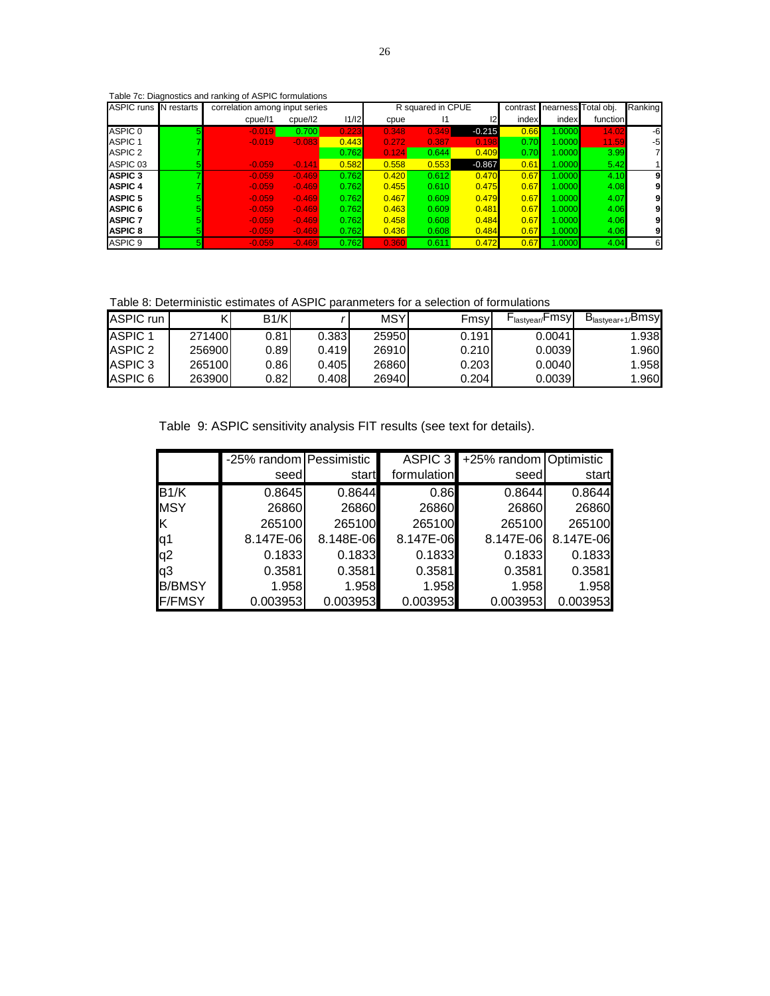# Table 7c: Diagnostics and ranking of ASPIC formulations

| <b>ASPIC runs</b>  | N restarts | correlation among input series |          |       |       | R squared in CPUE |               |       | contrast nearness Total obj. |          | Ranking |
|--------------------|------------|--------------------------------|----------|-------|-------|-------------------|---------------|-------|------------------------------|----------|---------|
|                    |            | cpue/I1                        | cpue/12  | 11/12 | cpue  |                   | $\mathsf{I2}$ | index | index                        | function |         |
| ASPIC 0            | 5          | $-0.019$                       | 0.700    | 0.223 | 0.348 | 0.349             | $-0.215$      | 0.66  | 1.0000                       | 14.02    | -6      |
| ASPIC <sub>1</sub> |            | $-0.019$                       | $-0.083$ | 0.443 | 0.272 | 0.387             | 0.198         | 0.70  | 1.0000                       | 11.59    | -5      |
| ASPIC 2            |            |                                |          | 0.762 | 0.124 | 0.644             | 0.409         | 0.70  | 1.0000                       | 3.99     |         |
| ASPIC 03           |            | $-0.059$                       | $-0.141$ | 0.582 | 0.558 | 0.553             | $-0.867$      | 0.61  | 1.0000                       | 5.42     |         |
| <b>ASPIC 3</b>     |            | $-0.059$                       | $-0.469$ | 0.762 | 0.420 | 0.612             | 0.470         | 0.67  | 1.0000                       | 4.10     |         |
| <b>ASPIC 4</b>     |            | $-0.059$                       | $-0.469$ | 0.762 | 0.455 | 0.610             | 0.475         | 0.67  | 1.0000                       | 4.08     |         |
| <b>ASPIC 5</b>     |            | $-0.059$                       | $-0.469$ | 0.762 | 0.467 | 0.609             | 0.479         | 0.67  | 1.0000                       | 4.07     |         |
| <b>ASPIC 6</b>     |            | $-0.059$                       | $-0.469$ | 0.762 | 0.463 | 0.609             | 0.481         | 0.67  | 1.0000                       | 4.06     |         |
| <b>ASPIC 7</b>     |            | $-0.059$                       | $-0.469$ | 0.762 | 0.458 | 0.608             | 0.484         | 0.67  | 1.0000                       | 4.06     |         |
| <b>ASPIC 8</b>     |            | $-0.059$                       | $-0.469$ | 0.762 | 0.436 | 0.608             | 0.484         | 0.67  | 1.0000                       | 4.06     |         |
| ASPIC 9            |            | $-0.059$                       | $-0.469$ | 0.762 | 0.360 | 0.611             | 0.472         | 0.67  | 1.0000                       | 4.04     | 6       |

Table 8: Deterministic estimates of ASPIC paranmeters for a selection of formulations

| ASPIC run          |        | B1/K  |       | <b>MSY</b> | Fmsy  | - <sub>lastyear/</sub> Fmsyl | B <sub>lastyear+1/</sub> Bmsy |
|--------------------|--------|-------|-------|------------|-------|------------------------------|-------------------------------|
| ASPIC <sub>1</sub> | 271400 | 0.81  | 0.383 | 25950      | 0.191 | 0.0041                       | 1.938                         |
| ASPIC 2            | 256900 | 0.891 | 0.419 | 26910      | 0.210 | 0.0039                       | 1.960                         |
| ASPIC <sub>3</sub> | 265100 | 0.86  | 0.405 | 26860      | 0.203 | 0.0040                       | 1.958                         |
| ASPIC 6            | 263900 | 0.82l | 0.408 | 26940      | 0.204 | 0.0039                       | 1.960                         |

Table 9: ASPIC sensitivity analysis FIT results (see text for details).

|                | -25% random Pessimistic |           | ASPIC 3     | +25% random Optimistic |           |
|----------------|-------------------------|-----------|-------------|------------------------|-----------|
|                | seed                    | start     | formulation | seed                   | start     |
| B1/K           | 0.8645                  | 0.8644    | 0.86        | 0.8644                 | 0.8644    |
| <b>MSY</b>     | 26860                   | 26860     | 26860       | 26860                  | 26860     |
| ιĸ             | 265100                  | 265100    | 265100      | 265100                 | 265100    |
| q1             | 8.147E-06               | 8.148E-06 | 8.147E-06   | 8.147E-06              | 8.147E-06 |
| q <sub>2</sub> | 0.1833                  | 0.1833    | 0.1833      | 0.1833                 | 0.1833    |
| q3             | 0.3581                  | 0.3581    | 0.3581      | 0.3581                 | 0.3581    |
| <b>B/BMSY</b>  | 1.958                   | 1.958     | 1.958       | 1.958                  | 1.958     |
| <b>F/FMSY</b>  | 0.003953                | 0.003953  | 0.003953    | 0.003953               | 0.003953  |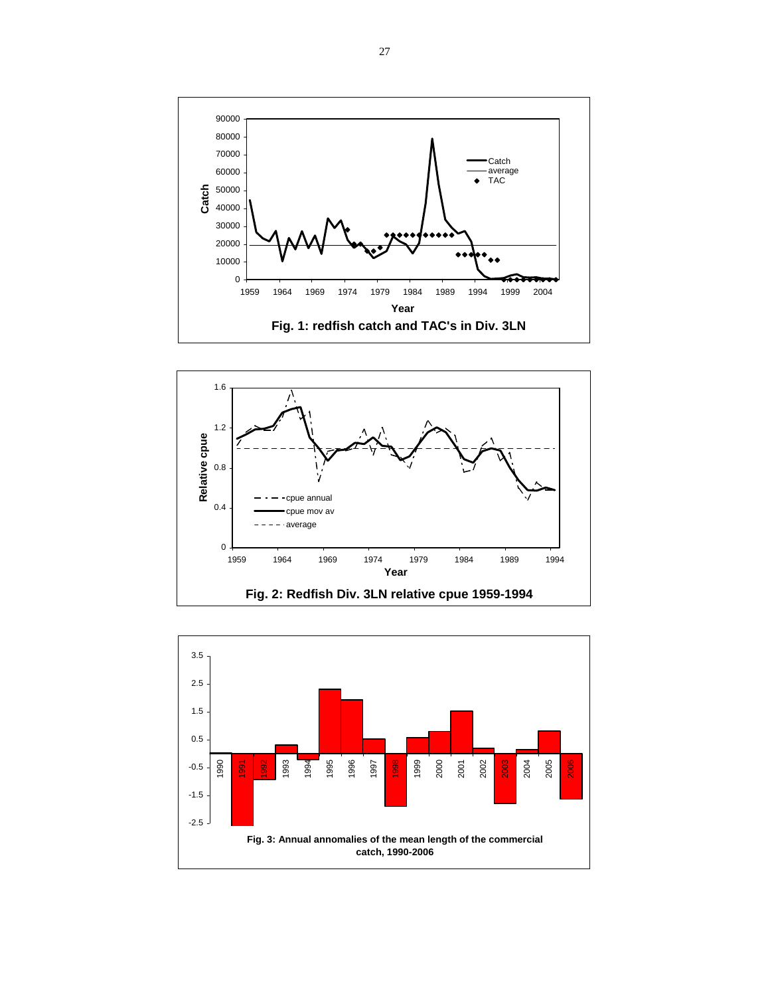



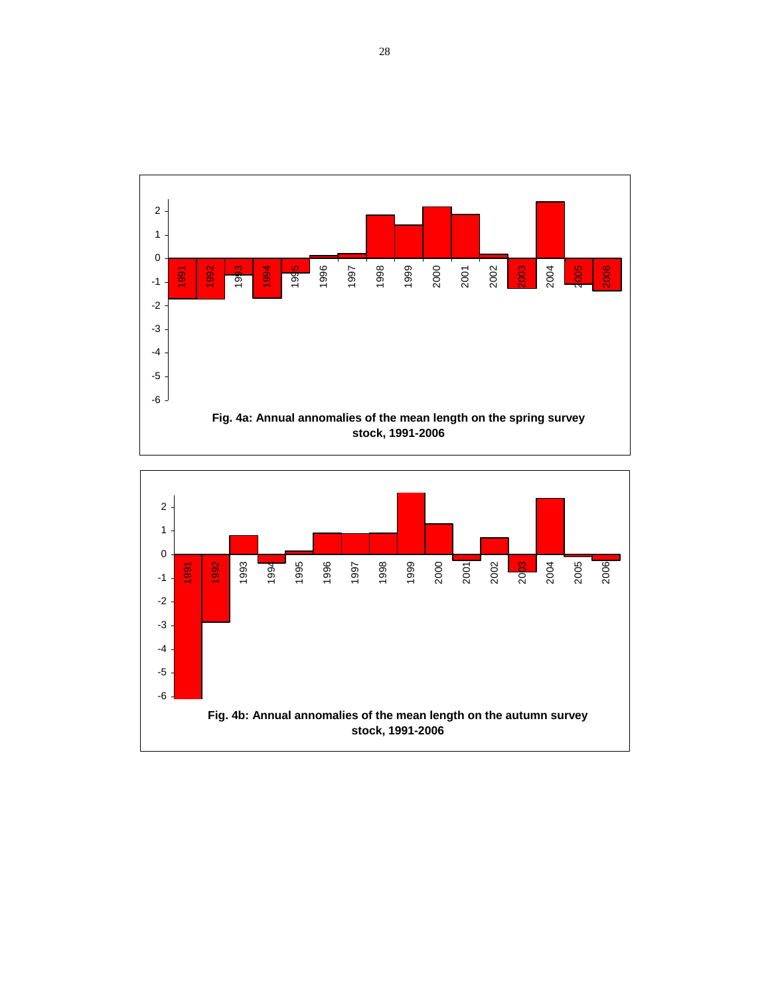

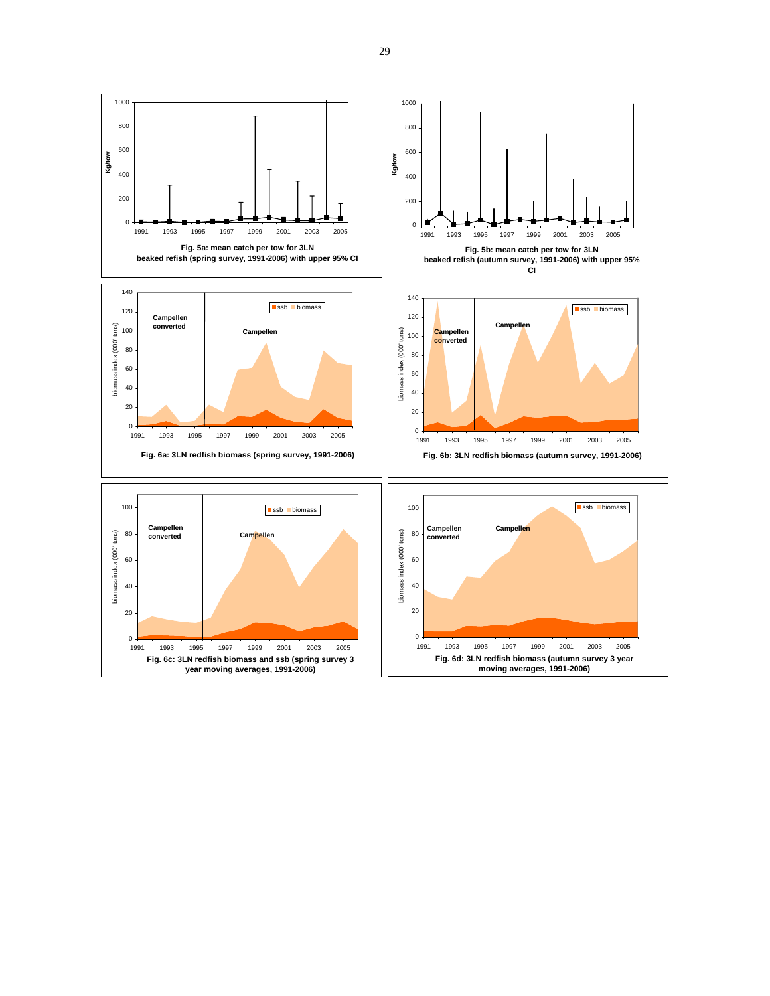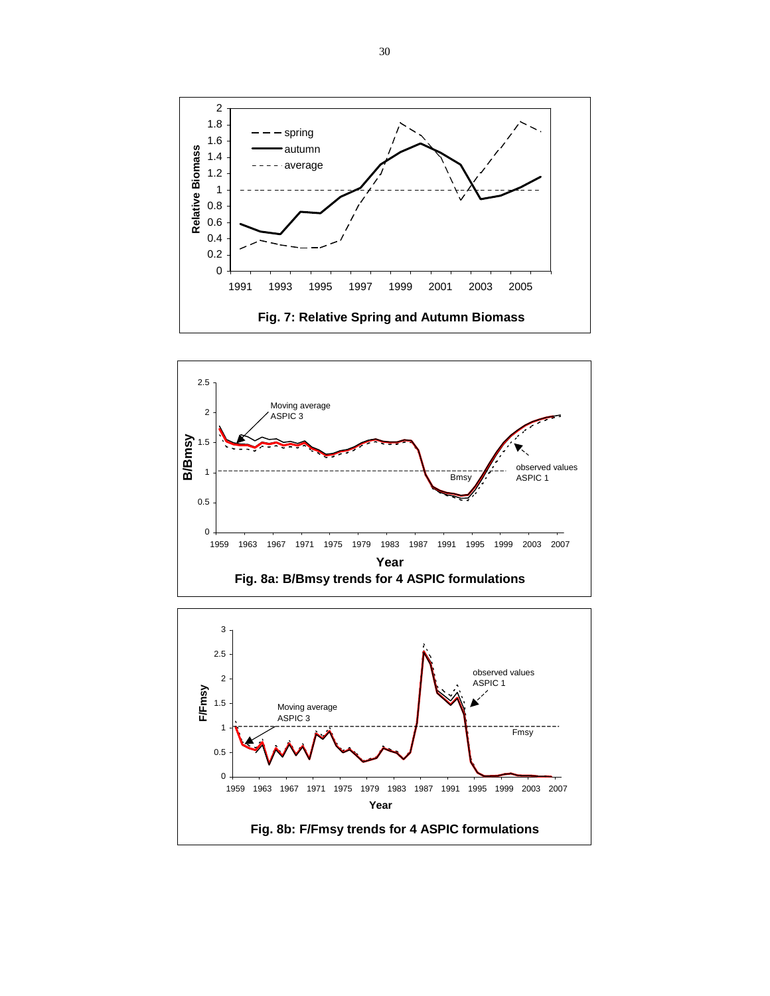



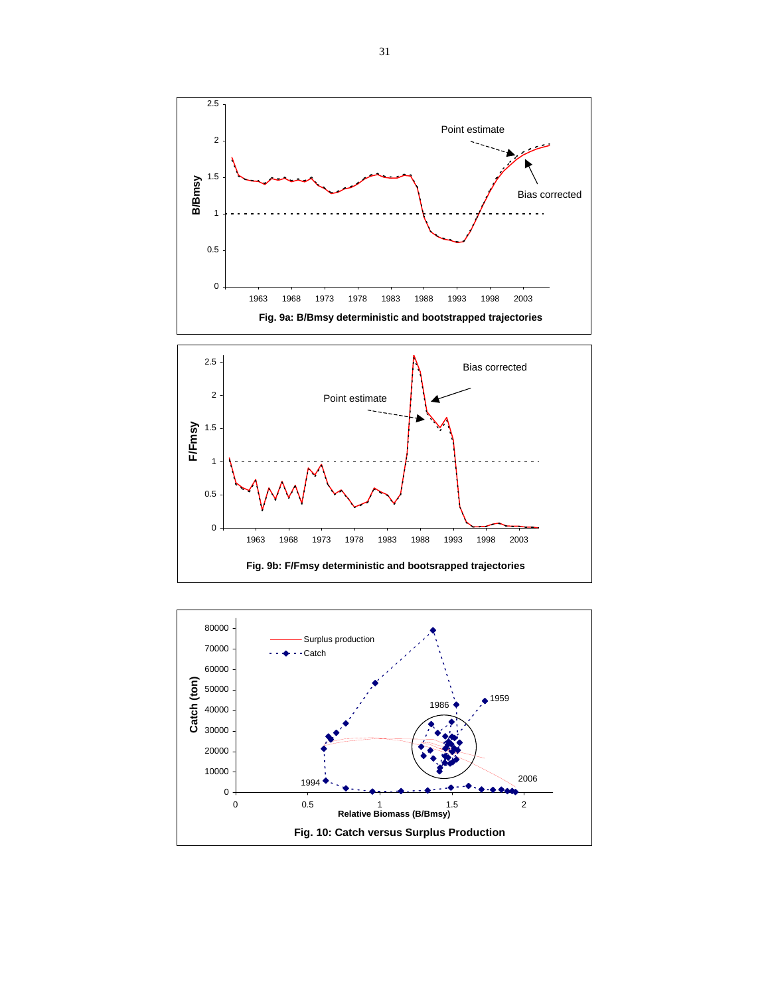

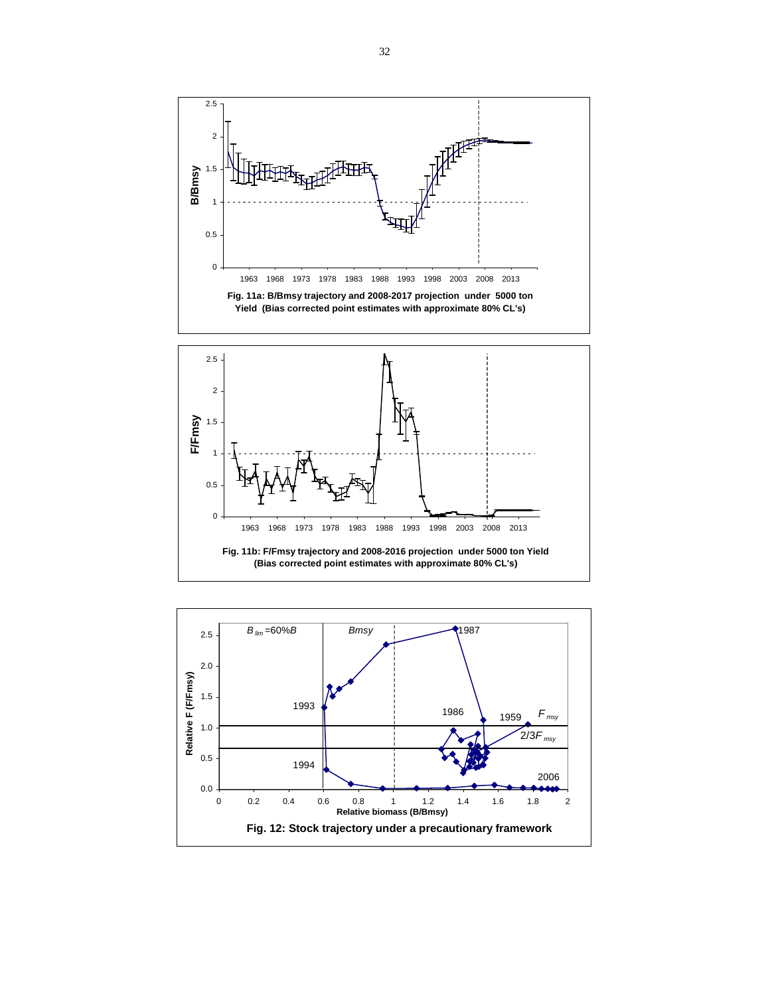

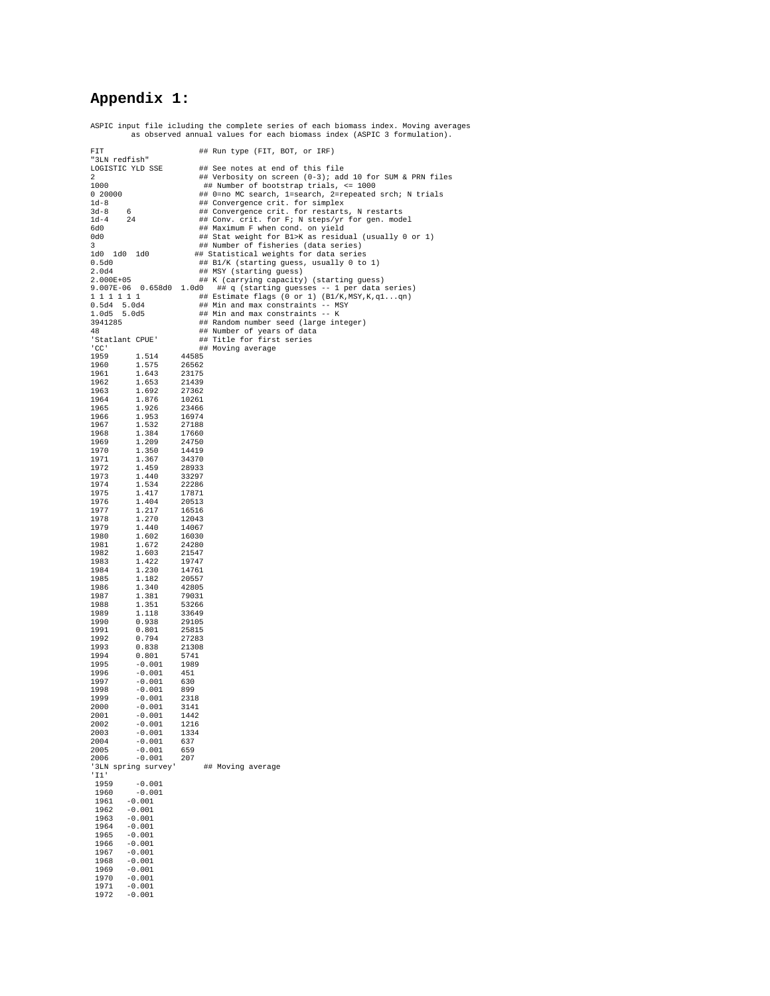# **Appendix 1:**

ASPIC input file icluding the complete series of each biomass index. Moving averages as observed annual values for each biomass index (ASPIC 3 formulation).

| FIT                                  | ## Run type (FIT, BOT, or IRF)                                                                   |
|--------------------------------------|--------------------------------------------------------------------------------------------------|
| "3LN redfish"                        |                                                                                                  |
| LOGISTIC YLD SSE<br>2                | ## See notes at end of this file<br>## Verbosity on screen (0-3); add 10 for SUM & PRN files     |
| 1000                                 | ## Number of bootstrap trials, <= 1000                                                           |
| 0.20000                              | ## 0=no MC search, 1=search, 2=repeated srch; N trials                                           |
| $1d-8$<br>6                          | ## Convergence crit. for simplex                                                                 |
| $3d-8$<br>$1d-4$<br>24               | ## Convergence crit. for restarts, N restarts<br>## Conv. crit. for F; N steps/yr for gen. model |
| 6d0                                  | ## Maximum F when cond. on yield                                                                 |
| 0d0                                  | ## Stat weight for B1>K as residual (usually 0 or 1)                                             |
| 3                                    | ## Number of fisheries (data series)                                                             |
| 1d0 1d0 1d0<br>0.5d0                 | ## Statistical weights for data series<br>## B1/K (starting guess, usually 0 to 1)               |
| 2.0d4                                | ## MSY (starting guess)                                                                          |
| 2.000E+05                            | ## K (carrying capacity) (starting guess)                                                        |
| 9.007E-06  0.658d0  1.0d0            | ## q (starting guesses -- 1 per data series)                                                     |
| 1 1 1 1 1 1<br>0.5d4<br>5.0d4        | ## Estimate flags (0 or 1) (B1/K, MSY, K, q1qn)<br>## Min and max constraints -- MSY             |
| 1.0d5<br>5.0d5                       | ## Min and max constraints -- K                                                                  |
| 3941285                              | ## Random number seed (large integer)                                                            |
| 48                                   | ## Number of years of data<br>## Title for first series                                          |
| 'Statlant CPUE'<br>'CC'              | ## Moving average                                                                                |
| 1959<br>1.514                        | 44585                                                                                            |
| 1.575<br>1960                        | 26562                                                                                            |
| 1961<br>1.643<br>1962<br>1.653       | 23175<br>21439                                                                                   |
| 1963<br>1.692                        | 27362                                                                                            |
| 1964<br>1.876                        | 10261                                                                                            |
| 1.926<br>1965                        | 23466                                                                                            |
| 1966<br>1.953<br>1967                | 16974<br>27188                                                                                   |
| 1.532<br>1.384<br>1968               | 17660                                                                                            |
| 1969<br>1.209                        | 24750                                                                                            |
| 1970<br>1.350                        | 14419                                                                                            |
| 1971<br>1.367<br>1972<br>1.459       | 34370<br>28933                                                                                   |
| 1973<br>1.440                        | 33297                                                                                            |
| 1974<br>1.534                        | 22286                                                                                            |
| 1975<br>1.417                        | 17871                                                                                            |
| 1976<br>1.404<br>1977<br>1.217       | 20513<br>16516                                                                                   |
| 1978<br>1.270                        | 12043                                                                                            |
| 1979<br>1.440                        | 14067                                                                                            |
| 1980<br>1.602                        | 16030                                                                                            |
| 1981<br>1.672<br>1982<br>1.603       | 24280<br>21547                                                                                   |
| 1.422<br>1983                        | 19747                                                                                            |
| 1984<br>1.230                        | 14761                                                                                            |
| 1985<br>1.182<br>1986<br>1.340       | 20557<br>42805                                                                                   |
| 1987<br>1.381                        | 79031                                                                                            |
| 1988<br>1.351                        | 53266                                                                                            |
| 1989<br>1.118                        | 33649                                                                                            |
| 0.938<br>1990<br>1991<br>0.801       | 29105<br>25815                                                                                   |
| 0.794<br>1992                        | 27283                                                                                            |
| 1993<br>0.838                        | 21308                                                                                            |
| 1994<br>0.801                        | 5741                                                                                             |
| 1995<br>$-0.001$<br>1996<br>$-0.001$ | 1989<br>451                                                                                      |
| 1997<br>$-0.001$                     | 630                                                                                              |
| 1998<br>$-0.001$                     | 899                                                                                              |
| 1999<br>$-0.001$<br>2000<br>$-0.001$ | 2318<br>3141                                                                                     |
| 2001<br>$-0.001$                     | 1442                                                                                             |
| 2002<br>$-0.001$                     | 1216                                                                                             |
| 2003<br>$-0.001$                     | 1334                                                                                             |
| 2004<br>$-0.001$<br>2005<br>$-0.001$ | 637<br>659                                                                                       |
| $-0.001$<br>2006                     | 207                                                                                              |
| '3LN spring survey'                  | ## Moving average                                                                                |
| 'I1'<br>1959<br>$-0.001$             |                                                                                                  |
| $-0.001$<br>1960                     |                                                                                                  |
| 1961<br>$-0.001$                     |                                                                                                  |
| $-0.001$<br>1962<br>$-0.001$<br>1963 |                                                                                                  |
| 1964<br>$-0.001$                     |                                                                                                  |
| 1965<br>$-0.001$                     |                                                                                                  |
| 1966<br>$-0.001$                     |                                                                                                  |
| 1967<br>$-0.001$                     |                                                                                                  |
| 1968<br>$-0.001$<br>$-0.001$<br>1969 |                                                                                                  |
| 1970<br>$-0.001$                     |                                                                                                  |
| $-0.001$<br>1971                     |                                                                                                  |
| 1972<br>$-0.001$                     |                                                                                                  |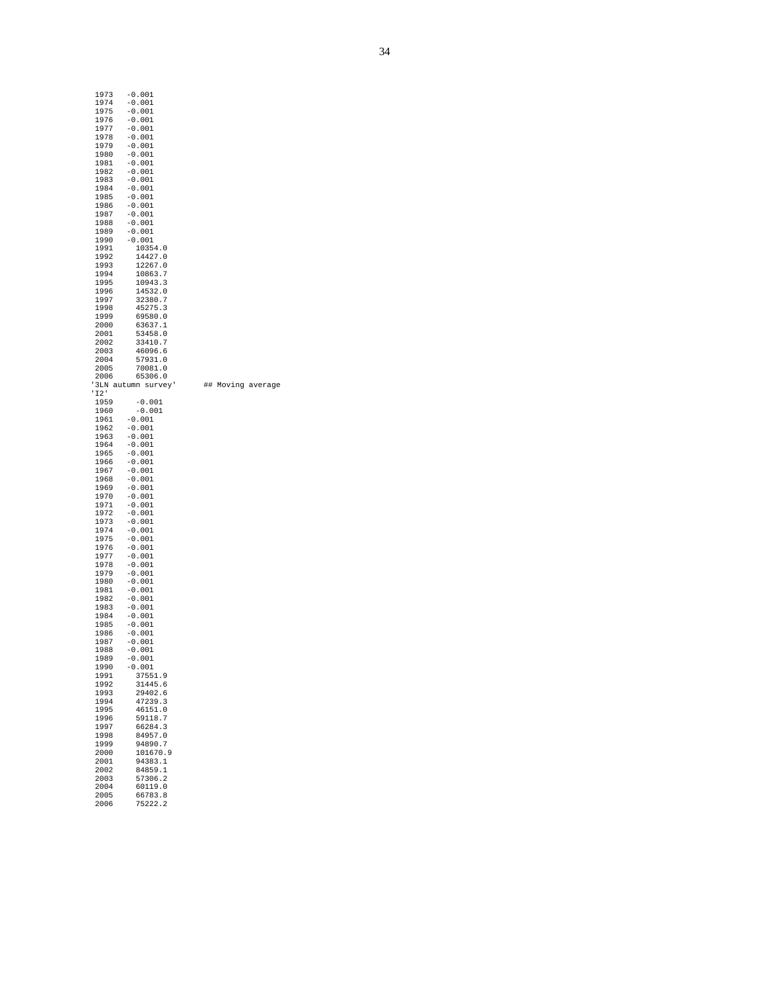| 1973<br>1974  | $-0.001$<br>$-0.001$         |    |                |
|---------------|------------------------------|----|----------------|
| 1975<br>1976  | -0.001<br>-0.001             |    |                |
| 1977          | -0.001                       |    |                |
| 1978<br>1979  | -0.001<br>-0.001             |    |                |
| 1980          | $-0.001$                     |    |                |
| 1981<br>1982  | -0.001<br>-0.001             |    |                |
| 1983          | -0.001                       |    |                |
| 1984<br>1985  | $-0.001$<br>$-0.001$         |    |                |
| 1986          | -0.001                       |    |                |
| 1987<br>1988  | -0.001<br>$-0.001$           |    |                |
| 1989          | $-0.001$                     |    |                |
| 1990<br>1991  | -0.001<br>10354.0            |    |                |
| 1992<br>1993  | 14427.0<br>12267.0           |    |                |
| 1994          | 10863.7                      |    |                |
| 1995<br>1996  | 10943.3<br>14532.0           |    |                |
| 1997          | 32380.7                      |    |                |
| 1998<br>1999  | 45275.3<br>69580.0           |    |                |
| 2000          | 63637.1                      |    |                |
| 2001<br>2002  | 53458.0<br>33410.7           |    |                |
| 2003          | 46096.6                      |    |                |
| 2004<br>2005  | 57931.0<br>70081.0           |    |                |
| 2006<br>' 3LN | 65306.0<br>autumn<br>survey' | ## | Moving average |
| 'I2'          |                              |    |                |
| 1959<br>1960  | -0.001<br>-0.001             |    |                |
| 1961<br>1962  | $-0.001$                     |    |                |
| 1963          | -0.001<br>-0.001             |    |                |
| 1964<br>1965  | $-0.001$<br>-0.001           |    |                |
| 1966          | -0.001                       |    |                |
| 1967<br>1968  | -0.001<br>$-0.001$           |    |                |
| 1969<br>1970  | $-0.001$<br>-0.001           |    |                |
| 1971          | -0.001                       |    |                |
| 1972<br>1973  | -0.001<br>-0.001             |    |                |
| 1974          | -0.001                       |    |                |
| 1975<br>1976  | -0.001<br>-0.001             |    |                |
| 1977<br>1978  | $-0.001$<br>-0.001           |    |                |
| 1979          | $-0.001$                     |    |                |
| 1980<br>1981  | $-0.001$<br>-0.001           |    |                |
| 1982          | -0.001                       |    |                |
| 1983<br>1984  | $-0.001$<br>$-0.001$         |    |                |
| 1985<br>1986  | -0.001<br>$-0.001$           |    |                |
| 1987          | -0.001                       |    |                |
| 1988<br>1989  | -0.001<br>$-0.001$           |    |                |
| 1990          | $-0.001$<br>37551.9          |    |                |
| 1991<br>1992  | 31445.6                      |    |                |
| 1993<br>1994  | 29402.6<br>47239.3           |    |                |
| 1995          | 46151.0                      |    |                |
| 1996<br>1997  | 59118.7<br>66284.3           |    |                |
| 1998          | 84957.0                      |    |                |
| 1999<br>2000  | 94890.7<br>101670.9          |    |                |
| 2001          | 94383.1                      |    |                |
| 2002<br>2003  | 84859.1<br>57306.2           |    |                |
| 2004<br>2005  | 60119.0<br>66783.8           |    |                |
| 2006          | 75222.2                      |    |                |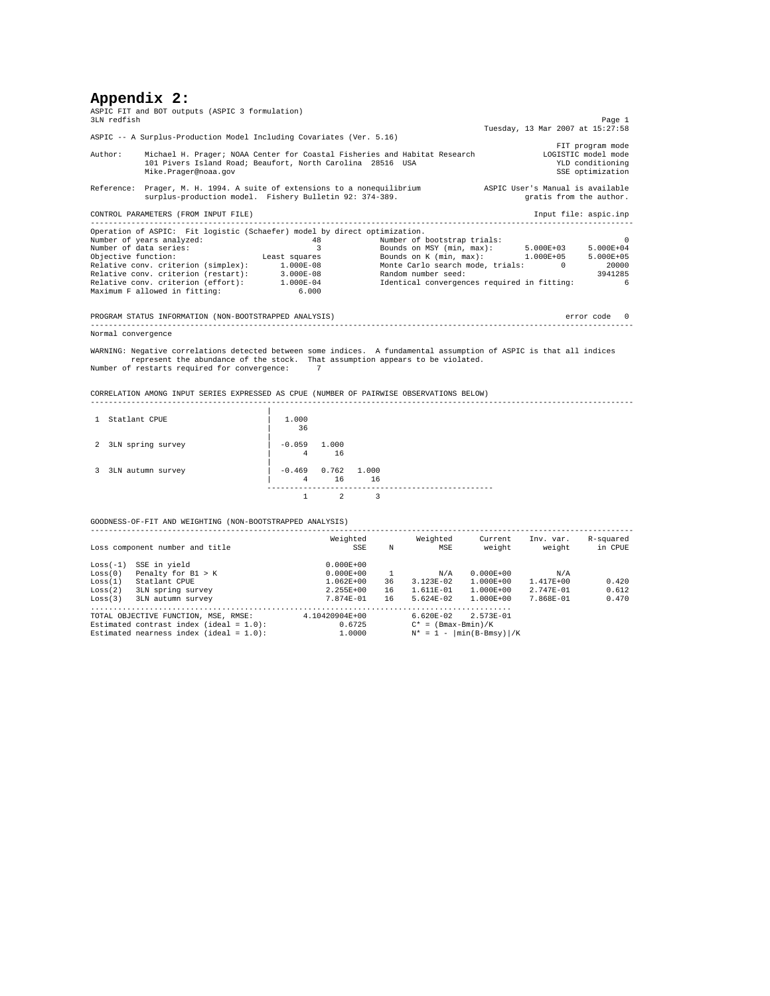# **Appendix 2:**

| 3LN redfish        | ASPIC FIT and BOT outputs (ASPIC 3 formulation)                                                                                                                                                                                                                                                                                                    |                      |                      |                           |                                                                                                                                                                                          |  |                                                             | Page 1                                                                          |  |  |
|--------------------|----------------------------------------------------------------------------------------------------------------------------------------------------------------------------------------------------------------------------------------------------------------------------------------------------------------------------------------------------|----------------------|----------------------|---------------------------|------------------------------------------------------------------------------------------------------------------------------------------------------------------------------------------|--|-------------------------------------------------------------|---------------------------------------------------------------------------------|--|--|
|                    |                                                                                                                                                                                                                                                                                                                                                    |                      |                      |                           |                                                                                                                                                                                          |  | Tuesday, 13 Mar 2007 at 15:27:58                            |                                                                                 |  |  |
|                    | ASPIC -- A Surplus-Production Model Including Covariates (Ver. 5.16)                                                                                                                                                                                                                                                                               |                      |                      |                           |                                                                                                                                                                                          |  |                                                             |                                                                                 |  |  |
| Author:            | Michael H. Prager; NOAA Center for Coastal Fisheries and Habitat Research<br>101 Pivers Island Road; Beaufort, North Carolina 28516 USA<br>Mike.Prager@noaa.gov                                                                                                                                                                                    |                      |                      |                           |                                                                                                                                                                                          |  |                                                             | FIT program mode<br>LOGISTIC model mode<br>YLD conditioning<br>SSE optimization |  |  |
|                    | Reference: Prager, M. H. 1994. A suite of extensions to a nonequilibrium<br>surplus-production model. Fishery Bulletin 92: 374-389.                                                                                                                                                                                                                |                      |                      |                           |                                                                                                                                                                                          |  | ASPIC User's Manual is available<br>gratis from the author. |                                                                                 |  |  |
|                    | CONTROL PARAMETERS (FROM INPUT FILE)<br>----------------------------------                                                                                                                                                                                                                                                                         |                      |                      |                           |                                                                                                                                                                                          |  |                                                             | Input file: aspic.inp                                                           |  |  |
|                    | Operation of ASPIC: Fit logistic (Schaefer) model by direct optimization.                                                                                                                                                                                                                                                                          |                      |                      |                           |                                                                                                                                                                                          |  |                                                             |                                                                                 |  |  |
|                    | Number of years analyzed:<br>Number of data series:<br>Objective function: Least squares Bounds on K (min, max): 1.000E+05 5.000E+05<br>Relative conv. criterion (simplex): 1.000E-08<br>Relative conv. criterion (restart): 3.000E-08<br>Relative conv. criterion (effort): 1.000E-04<br>Maximum F allowed in fitting:                            | 6.000                | 48<br>$\overline{3}$ |                           | Number of bootstrap trials:<br>Bounds on MSY (min, max): 5.000E+03 5.000E+04<br>Monte Carlo search mode, trials: 0<br>Random number seed:<br>Identical convergences required in fitting: |  |                                                             | $\Omega$<br>20000<br>3941285<br>-6                                              |  |  |
|                    | PROGRAM STATUS INFORMATION (NON-BOOTSTRAPPED ANALYSIS)                                                                                                                                                                                                                                                                                             |                      |                      |                           |                                                                                                                                                                                          |  |                                                             | error code 0                                                                    |  |  |
| Normal convergence |                                                                                                                                                                                                                                                                                                                                                    |                      |                      |                           |                                                                                                                                                                                          |  |                                                             |                                                                                 |  |  |
|                    | WARNING: Negative correlations detected between some indices. A fundamental assumption of ASPIC is that all indices<br>represent the abundance of the stock. That assumption appears to be violated.<br>Number of restarts required for convergence: 7<br>CORRELATION AMONG INPUT SERIES EXPRESSED AS CPUE (NUMBER OF PAIRWISE OBSERVATIONS BELOW) |                      |                      |                           |                                                                                                                                                                                          |  |                                                             |                                                                                 |  |  |
| 1 Statlant CPUE    |                                                                                                                                                                                                                                                                                                                                                    | 1,000<br>36          |                      |                           |                                                                                                                                                                                          |  |                                                             |                                                                                 |  |  |
|                    | 2 3LN spring survey                                                                                                                                                                                                                                                                                                                                | $-0.059$ 1.000       | 4 16                 |                           |                                                                                                                                                                                          |  |                                                             |                                                                                 |  |  |
|                    | 3 3LN autumn survey                                                                                                                                                                                                                                                                                                                                | $-0.469$ 0.762 1.000 | 4 16 16              |                           |                                                                                                                                                                                          |  |                                                             |                                                                                 |  |  |
|                    |                                                                                                                                                                                                                                                                                                                                                    | $\mathbf{1}$         | $\overline{2}$       | $\overline{\phantom{a}3}$ | ---------------------------                                                                                                                                                              |  |                                                             |                                                                                 |  |  |

GOODNESS-OF-FIT AND WEIGHTING (NON-BOOTSTRAPPED ANALYSIS)

|            | Loss component number and title            | Weighted<br>SSE | N  | Weighted<br>MSE       | Current<br>weight                        | Inv. var.<br>weight | R-squared<br>in CPUE |
|------------|--------------------------------------------|-----------------|----|-----------------------|------------------------------------------|---------------------|----------------------|
| $Loss(-1)$ | SSE in yield                               | $0.000E + 00$   |    |                       |                                          |                     |                      |
| Loss(0)    | Penalty for B1 > K                         | $0.000E + 00$   |    | N/A                   | $0.000E + 00$                            | N/A                 |                      |
| Loss(1)    | Statlant CPUE                              | $1.062E + 00$   | 36 | $3.123E - 02$         | $1.000E + 00$                            | $1.417E + 00$       | 0.420                |
| Loss(2)    | 3LN spring survey                          | $2.255E+00$     | 16 | $1.611E - 01$         | $1.000E + 00$                            | $2.747E - 01$       | 0.612                |
| Loss(3)    | 3LN autumn survey                          | $7.874E - 01$   | 16 | $5.624E - 02$         | $1.000E + 00$                            | 7.868E-01           | 0.470                |
|            |                                            |                 |    |                       |                                          |                     |                      |
|            | TOTAL OBJECTIVE FUNCTION, MSE, RMSE:       | 4.10420904E+00  |    | $6.620E - 02$         | $2.573E - 01$                            |                     |                      |
|            | Estimated contrast index (ideal = $1.0$ ): | 0.6725          |    | $C^* = (Bmax-Bmin)/K$ |                                          |                     |                      |
|            | Estimated nearness index (ideal = $1.0$ ): | 1,0000          |    | $N^* = 1 -$           | $\left \min\left(B-Bmsy\right)\right /K$ |                     |                      |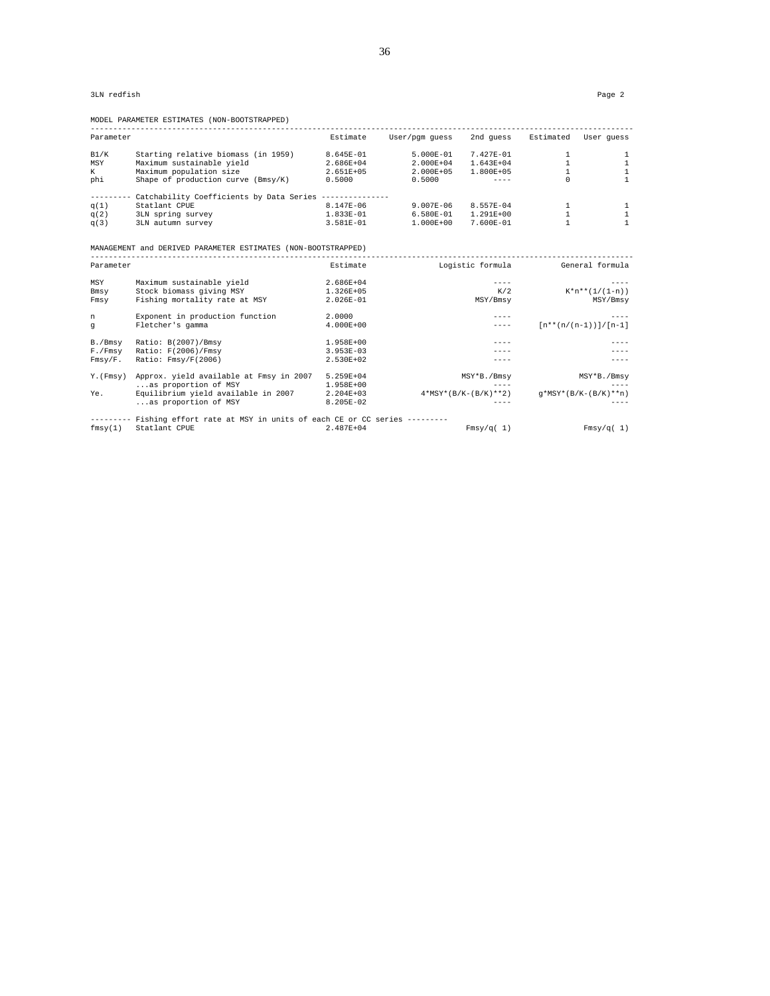3LN redfish Page 2

MODEL PARAMETER ESTIMATES (NON-BOOTSTRAPPED)

| Parameter |                                                                    | Estimate      | User/pqm quess | 2nd quess              |              | Estimated User quess     |
|-----------|--------------------------------------------------------------------|---------------|----------------|------------------------|--------------|--------------------------|
| B1/K      | Starting relative biomass (in 1959)                                | 8.645E-01     | $5.000E-01$    | 7.427E-01              | -1.          | 1                        |
| MSY       | Maximum sustainable yield                                          | 2.686E+04     | 2.000E+04      | $1.643E+04$            | $\mathbf{1}$ | $\mathbf{1}$             |
| K.        | Maximum population size                                            | 2.651E+05     | $2.000E + 05$  | 1.800E+05              | 1            | $\mathbf{1}$             |
| phi       | Shape of production curve (Bmsy/K)                                 | 0.5000        | 0.5000         | $- - - - -$            | $\Omega$     | $\mathbf{1}$             |
|           | --------- Catchability Coefficients by Data Series --------------- |               |                |                        |              |                          |
| q(1)      | Statlant CPUE                                                      | 8.147E-06     | $9.007E - 06$  | 8.557E-04              | -1.          | 1                        |
| q(2)      | 3LN spring survey                                                  | 1.833E-01     | 6.580E-01      | $1.291E+00$            | $\mathbf{1}$ | $\mathbf{1}$             |
| q(3)      | 3LN autumn survey                                                  | 3.581E-01     | $1.000E + 00$  | 7.600E-01              | 1            | $\mathbf{1}$             |
|           |                                                                    |               |                |                        |              |                          |
|           | MANAGEMENT and DERIVED PARAMETER ESTIMATES (NON-BOOTSTRAPPED)      |               |                |                        |              |                          |
| Parameter |                                                                    | Estimate      |                | Logistic formula       |              | General formula          |
| MSY       | Maximum sustainable yield                                          | 2.686E+04     |                | $---$                  |              | $- - - - -$              |
| Bmsy      | Stock biomass giving MSY                                           | 1.326E+05     |                | K/2                    |              | $K^*n^{**}(1/(1-n))$     |
| Fmsy      | Fishing mortality rate at MSY                                      | 2.026E-01     |                | MSY/Bmsv               |              | MSY/Bmsy                 |
| n         | Exponent in production function                                    | 2,0000        |                |                        |              |                          |
| đ         | Fletcher's gamma                                                   | $4.000E + 00$ |                | $- - - -$              |              | $[n**(n/(n-1))] / [n-1]$ |
| B./Bmsv   | Ratio: B(2007)/Bmsy                                                | 1.958E+00     |                |                        |              |                          |
| F./Fmsy   | Ratio: F(2006)/Fmsy                                                | $3.953E-03$   |                |                        |              |                          |
| Fmsy/F.   | Ratio: Fmsy/F(2006)                                                | 2.530E+02     |                | $---$                  |              | ----                     |
| Y. (Fmsv) | Approx. yield available at Fmsy in 2007                            | 5.259E+04     |                | MSY*B./Bmsy            |              | MSY*B./Bmsy              |
|           | as proportion of MSY                                               | 1.958E+00     |                | $---$                  |              | ----                     |
| Ye.       | Equilibrium yield available in 2007                                | $2.204E+03$   |                | $4*MSY*(B/K-(B/K)**2)$ |              | $q*MSY*(B/K-(B/K)**n)$   |
|           | as proportion of MSY                                               | 8.205E-02     |                |                        |              | $- - - -$                |
|           |                                                                    |               |                |                        |              |                          |

--------- Fishing effort rate at MSY in units of each CE or CC series --------- fmsy(1) Statlant CPUE 2.487E+04 Fmsy/q( 1) Fmsy/q( 1)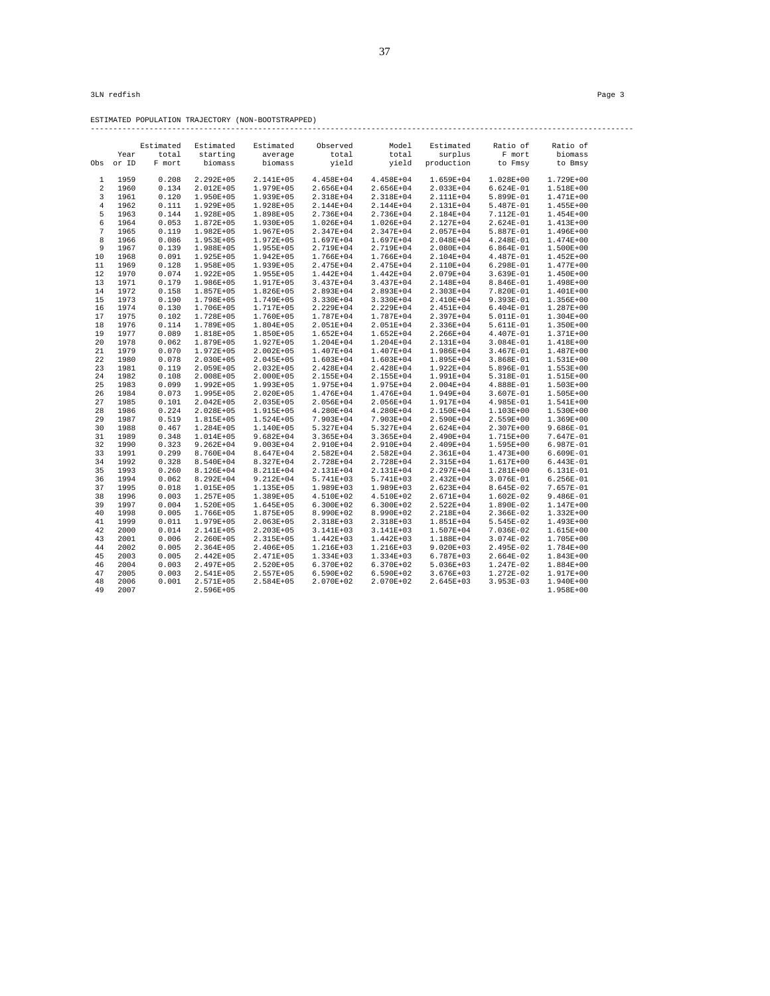ESTIMATED POPULATION TRAJECTORY (NON-BOOTSTRAPPED) ------------------------------------------------------------------------------------------------------------------------

|                |              | Estimated      | Estimated              | Estimated                  | Observed                   | Model                      | Estimated                  | Ratio of                 | Ratio of               |
|----------------|--------------|----------------|------------------------|----------------------------|----------------------------|----------------------------|----------------------------|--------------------------|------------------------|
|                | Year         | total          | starting               | average                    | total                      | total                      | surplus                    | F mort                   | biomass                |
| Obs            | or ID        | F mort         | biomass                | biomass                    | yield                      | yield                      | production                 | to Fmsy                  | to Bmsy                |
|                |              |                |                        |                            |                            |                            |                            |                          |                        |
| 1              | 1959         | 0.208          | $2.292E + 05$          | 2.141E+05                  | 4.458E+04                  | 4.458E+04                  | 1.659E+04                  | 1.028E+00                | 1.729E+00              |
| $\overline{2}$ | 1960         | 0.134          | 2.012E+05              | 1.979E+05                  | 2.656E+04                  | 2.656E+04                  | $2.033E + 04$              | $6.624E-01$              | 1.518E+00              |
| 3              | 1961         | 0.120          | 1.950E+05              | 1.939E+05                  | 2.318E+04                  | 2.318E+04                  | 2.111E+04                  | 5.899E-01                | 1.471E+00              |
| $\overline{4}$ | 1962         | 0.111          | 1.929E+05              | 1.928E+05                  | 2.144E+04                  | 2.144E+04                  | 2.131E+04                  | 5.487E-01                | 1.455E+00              |
| 5              | 1963         | 0.144          | 1.928E+05              | 1.898E+05                  | 2.736E+04                  | 2.736E+04                  | 2.184E+04                  | 7.112E-01                | $1.454E + 00$          |
| 6              | 1964         | 0.053          | $1.872E + 05$          | $1.930E + 05$              | 1.026E+04                  | 1.026E+04                  | 2.127E+04                  | 2.624E-01                | 1.413E+00              |
| 7              | 1965         | 0.119          | 1.982E+05              | $1.967E + 05$              | 2.347E+04                  | 2.347E+04                  | 2.057E+04                  | 5.887E-01                | 1.496E+00              |
| 8              | 1966         | 0.086          | 1.953E+05              | $1.972E + 05$              | 1.697E+04                  | 1.697E+04                  | 2.048E+04                  | 4.248E-01                | 1.474E+00              |
| 9              | 1967         | 0.139          | 1.988E+05              | $1.955E + 05$              | 2.719E+04                  | 2.719E+04                  | 2.080E+04                  | $6.864E-01$              | 1.500E+00              |
| 10             | 1968         | 0.091          | 1.925E+05              | $1.942E + 05$              | 1.766E+04                  | 1.766E+04                  | 2.104E+04                  | 4.487E-01                | 1.452E+00              |
| 11             | 1969         | 0.128          | 1.958E+05              | 1.939E+05                  | 2.475E+04                  | 2.475E+04                  | 2.110E+04                  | $6.298E-01$              | 1.477E+00              |
| 12             | 1970         | 0.074          | $1.922E + 05$          | $1.955E + 05$              | $1.442E + 04$              | $1.442E + 04$              | 2.079E+04                  | 3.639E-01                | 1.450E+00              |
| 13             | 1971         | 0.179          | 1.986E+05              | 1.917E+05                  | 3.437E+04                  | 3.437E+04                  | 2.148E+04                  | 8.846E-01                | 1.498E+00              |
| 14             | 1972         | 0.158          | 1.857E+05              | 1.826E+05                  | 2.893E+04                  | 2.893E+04                  | 2.303E+04                  | 7.820E-01                | 1.401E+00              |
| 15             | 1973         | 0.190          | 1.798E+05              | 1.749E+05                  | 3.330E+04                  | 3.330E+04                  | 2.410E+04                  | 9.393E-01                | 1.356E+00              |
| 16             | 1974         | 0.130          | 1.706E+05              | 1.717E+05                  | 2.229E+04                  | 2.229E+04                  | 2.451E+04                  | $6.404E-01$              | 1.287E+00              |
| 17             | 1975         | 0.102          | 1.728E+05              | 1.760E+05                  | 1.787E+04                  | 1.787E+04                  | 2.397E+04                  | 5.011E-01                | 1.304E+00              |
| 18             | 1976         | 0.114          | 1.789E+05              | $1.804E + 05$              | 2.051E+04                  | 2.051E+04                  | 2.336E+04                  | 5.611E-01                | 1.350E+00              |
| 19             | 1977         | 0.089          | 1.818E+05              | $1.850E + 05$              | $1.652E+04$                | $1.652E+04$                | 2.266E+04                  | 4.407E-01                | 1.371E+00              |
| 20             | 1978         | 0.062          | 1.879E+05              | 1.927E+05                  | $1.204E + 04$              | 1.204E+04                  | 2.131E+04                  | 3.084E-01                | 1.418E+00              |
| 21             | 1979         | 0.070          | 1.972E+05              | $2.002E + 05$              | 1.407E+04                  | 1.407E+04                  | 1.986E+04                  | 3.467E-01                | 1.487E+00              |
| 22             | 1980         | 0.078          | $2.030E + 05$          | $2.045E + 05$              | 1.603E+04                  | 1.603E+04                  | 1.895E+04                  | 3.868E-01                | 1.531E+00              |
| 23             | 1981         | 0.119          | $2.059E + 05$          | $2.032E + 05$              | 2.428E+04                  | 2.428E+04                  | $1.922E + 04$              | 5.896E-01                | 1.553E+00              |
| 24             | 1982         | 0.108          | 2.008E+05              | 2.000E+05                  | 2.155E+04                  | 2.155E+04                  | 1.991E+04                  | 5.318E-01                | 1.515E+00              |
| 25             | 1983         | 0.099          | $1.992E + 05$          | 1.993E+05                  | 1.975E+04                  | 1.975E+04                  | $2.004E + 04$              | 4.888E-01                | 1.503E+00              |
| 26             | 1984         | 0.073          | 1.995E+05              | $2.020E + 05$              | 1.476E+04                  | 1.476E+04                  | 1.949E+04                  | 3.607E-01                | 1.505E+00              |
| 27             | 1985         | 0.101          | $2.042E + 05$          | 2.035E+05                  | 2.056E+04                  | 2.056E+04                  | 1.917E+04                  | 4.985E-01                | 1.541E+00              |
| 28             | 1986         | 0.224          | 2.028E+05              | 1.915E+05                  | 4.280E+04                  | 4.280E+04                  | 2.150E+04                  | 1.103E+00                | 1.530E+00              |
| 29             | 1987         | 0.519          | 1.815E+05              | $1.524E + 05$              | 7.903E+04                  | 7.903E+04                  | 2.590E+04                  | 2.559E+00                | 1.369E+00              |
| 30             | 1988         | 0.467          | 1.284E+05              | 1.140E+05                  | 5.327E+04                  | 5.327E+04                  | $2.624E + 04$              | 2.307E+00                | $9.686E - 01$          |
| 31             | 1989         | 0.348          | 1.014E+05              | $9.682E + 04$              | $3.365E + 04$              | $3.365E + 04$              | 2.490E+04                  | 1.715E+00                | 7.647E-01              |
| 32             | 1990         | 0.323          | $9.262E + 04$          | $9.003E + 04$              | 2.910E+04                  | 2.910E+04                  | 2.409E+04                  | 1.595E+00                | 6.987E-01              |
| 33             | 1991         | 0.299          | 8.760E+04              | 8.647E+04                  | $2.582E+04$                | 2.582E+04                  | $2.361E+04$                | 1.473E+00                | $6.609E-01$            |
| 34             | 1992         | 0.328          | 8.540E+04              | 8.327E+04                  | 2.728E+04                  | 2.728E+04                  | 2.315E+04                  | 1.617E+00                | $6.443E-01$            |
| 35             | 1993         | 0.260          | 8.126E+04              | 8.211E+04                  | 2.131E+04                  | 2.131E+04                  | 2.297E+04                  | 1.281E+00                | 6.131E-01              |
| 36             | 1994         | 0.062          | 8.292E+04              | $9.212E + 04$              | 5.741E+03                  | 5.741E+03                  | 2.432E+04                  | 3.076E-01                | $6.256E-01$            |
| 37             | 1995         | 0.018          | 1.015E+05              | 1.135E+05                  | 1.989E+03                  | 1.989E+03                  | $2.623E + 04$              | 8.645E-02                | 7.657E-01              |
| 38             | 1996         | 0.003          | $1.257E + 05$          | 1.389E+05                  | 4.510E+02                  | 4.510E+02                  | $2.671E + 04$              | $1.602E-02$              | $9.486E-01$            |
| 39             | 1997         | 0.004          | 1.520E+05              | 1.645E+05                  | $6.300E + 02$              | $6.300E + 02$              | $2.522E+04$                | 1.890E-02                | 1.147E+00              |
| 40             | 1998<br>1999 | 0.005          | 1.766E+05              | $1.875E + 05$              | 8.990E+02                  | 8.990E+02                  | 2.218E+04                  | 2.366E-02                | 1.332E+00              |
| 41             |              | 0.011          | 1.979E+05              | $2.063E + 05$              | 2.318E+03                  | 2.318E+03                  | $1.851E+04$                | 5.545E-02                | 1.493E+00              |
| 42<br>43       | 2000<br>2001 | 0.014<br>0.006 | 2.141E+05<br>2.260E+05 | $2.203E + 05$<br>2.315E+05 | 3.141E+03<br>$1.442E + 03$ | 3.141E+03<br>$1.442E + 03$ | $1.507E + 04$<br>1.188E+04 | 7.036E-02<br>$3.074E-02$ | 1.615E+00<br>1.705E+00 |
| 44             | 2002         | 0.005          | $2.364E + 05$          | 2.406E+05                  | 1.216E+03                  | 1.216E+03                  | $9.020E + 03$              | 2.495E-02                | 1.784E+00              |
| 45             | 2003         | 0.005          | 2.442E+05              | 2.471E+05                  | 1.334E+03                  | 1.334E+03                  | $6.787E + 03$              | 2.664E-02                | 1.843E+00              |
| 46             | 2004         | 0.003          | 2.497E+05              | 2.520E+05                  | 6.370E+02                  | 6.370E+02                  | $5.036E + 03$              | 1.247E-02                | 1.884E+00              |
| 47             | 2005         | 0.003          | 2.541E+05              | $2.557E + 05$              | 6.590E+02                  | 6.590E+02                  | $3.676E + 03$              | 1.272E-02                | 1.917E+00              |
| 48             | 2006         | 0.001          | 2.571E+05              | 2.584E+05                  | 2.070E+02                  | 2.070E+02                  | 2.645E+03                  | $3.953E-03$              | 1.940E+00              |
| 49             | 2007         |                |                        |                            |                            |                            |                            |                          |                        |
|                |              |                | 2.596E+05              |                            |                            |                            |                            |                          | 1.958E+00              |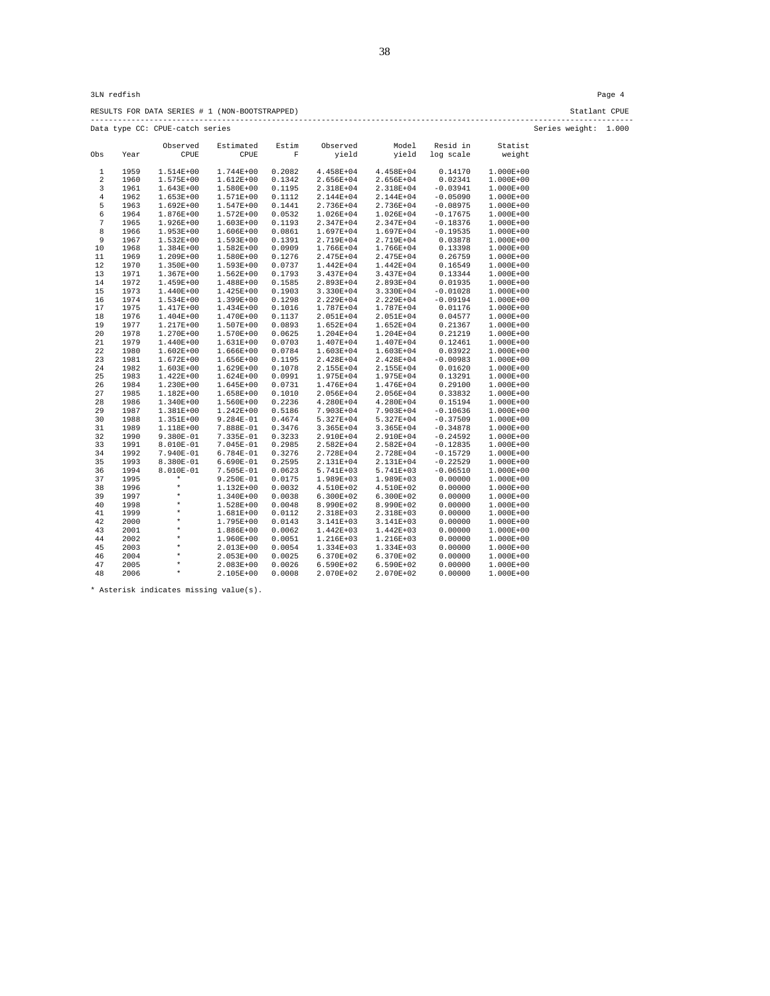RESULTS FOR DATA SERIES # 1 (NON-BOOTSTRAPPED) Statlant CPUE ------------------------------------------------------------------------------------------------------------------------ Data type CC: CPUE-catch series Series weight: 1.000

|     |      | Observed      | Estimated     | Estim  | Observed      | Model         | Resid in   | Statist       |
|-----|------|---------------|---------------|--------|---------------|---------------|------------|---------------|
| Obs | Year | CPUE          | CPUE          | F      | yield         | yield         | log scale  | weight        |
| 1   | 1959 | $1.514E+00$   | 1.744E+00     | 0.2082 | 4.458E+04     | 4.458E+04     | 0.14170    | $1.000E + 00$ |
| 2   | 1960 | $1.575E+00$   | 1.612E+00     | 0.1342 | 2.656E+04     | 2.656E+04     | 0.02341    | $1.000E + 00$ |
| 3   | 1961 | $1.643E+00$   | 1.580E+00     | 0.1195 | 2.318E+04     | 2.318E+04     | $-0.03941$ | 1.000E+00     |
| 4   | 1962 | $1.653E+00$   | 1.571E+00     | 0.1112 | 2.144E+04     | 2.144E+04     | $-0.05090$ | $1.000E + 00$ |
| 5   | 1963 | $1.692E + 00$ | 1.547E+00     | 0.1441 | 2.736E+04     | 2.736E+04     | $-0.08975$ | $1.000E + 00$ |
| 6   | 1964 | 1.876E+00     | $1.572E + 00$ | 0.0532 | $1.026E + 04$ | 1.026E+04     | $-0.17675$ | $1.000E + 00$ |
| 7   | 1965 | $1.926E + 00$ | $1.603E + 00$ | 0.1193 | 2.347E+04     | 2.347E+04     | $-0.18376$ | $1.000E + 00$ |
| 8   | 1966 | $1.953E+00$   | 1.606E+00     | 0.0861 | $1.697E + 04$ | 1.697E+04     | $-0.19535$ | $1.000E + 00$ |
| 9   | 1967 | $1.532E + 00$ | 1.593E+00     | 0.1391 | 2.719E+04     | 2.719E+04     | 0.03878    | $1.000E + 00$ |
| 10  | 1968 | $1.384E + 00$ | 1.582E+00     | 0.0909 | 1.766E+04     | 1.766E+04     | 0.13398    | $1.000E + 00$ |
| 11  | 1969 | 1.209E+00     | 1.580E+00     | 0.1276 | 2.475E+04     | 2.475E+04     | 0.26759    | $1.000E + 00$ |
| 12  | 1970 | $1.350E+00$   | 1.593E+00     | 0.0737 | 1.442E+04     | 1.442E+04     | 0.16549    | $1.000E + 00$ |
| 13  | 1971 | $1.367E + 00$ | $1.562E+00$   | 0.1793 | 3.437E+04     | 3.437E+04     | 0.13344    | $1.000E + 00$ |
| 14  | 1972 | 1.459E+00     | 1.488E+00     | 0.1585 | 2.893E+04     | 2.893E+04     | 0.01935    | $1.000E + 00$ |
| 15  | 1973 | $1.440E + 00$ | 1.425E+00     | 0.1903 | 3.330E+04     | 3.330E+04     | $-0.01028$ | $1.000E + 00$ |
| 16  | 1974 | $1.534E+00$   | 1.399E+00     | 0.1298 | 2.229E+04     | 2.229E+04     | $-0.09194$ | $1.000E + 00$ |
| 17  | 1975 | 1.417E+00     | 1.434E+00     | 0.1016 | 1.787E+04     | 1.787E+04     | 0.01176    | $1.000E + 00$ |
| 18  | 1976 | $1.404E + 00$ | 1.470E+00     | 0.1137 | 2.051E+04     | 2.051E+04     | 0.04577    | $1.000E + 00$ |
| 19  | 1977 | 1.217E+00     | 1.507E+00     | 0.0893 | $1.652E+04$   | 1.652E+04     | 0.21367    | $1.000E + 00$ |
| 20  | 1978 | 1.270E+00     | 1.570E+00     | 0.0625 | $1.204E + 04$ | 1.204E+04     | 0.21219    | $1.000E + 00$ |
| 21  | 1979 | $1.440E+00$   | 1.631E+00     | 0.0703 | 1.407E+04     | 1.407E+04     | 0.12461    | $1.000E + 00$ |
| 22  | 1980 | $1.602E + 00$ | 1.666E+00     | 0.0784 | $1.603E + 04$ | 1.603E+04     | 0.03922    | $1.000E + 00$ |
| 23  | 1981 | $1.672E + 00$ | 1.656E+00     | 0.1195 | 2.428E+04     | 2.428E+04     | $-0.00983$ | $1.000E + 00$ |
| 24  | 1982 | $1.603E+00$   | 1.629E+00     | 0.1078 | 2.155E+04     | 2.155E+04     | 0.01620    | $1.000E + 00$ |
| 25  | 1983 | $1.422E + 00$ | $1.624E + 00$ | 0.0991 | 1.975E+04     | 1.975E+04     | 0.13291    | $1.000E + 00$ |
| 26  | 1984 | $1.230E+00$   | 1.645E+00     | 0.0731 | 1.476E+04     | 1.476E+04     | 0.29100    | 1.000E+00     |
| 27  | 1985 | 1.182E+00     | 1.658E+00     | 0.1010 | 2.056E+04     | 2.056E+04     | 0.33832    | $1.000E + 00$ |
| 28  | 1986 | $1.340E+00$   | 1.560E+00     | 0.2236 | 4.280E+04     | 4.280E+04     | 0.15194    | $1.000E + 00$ |
| 29  | 1987 | $1.381E+00$   | $1.242E + 00$ | 0.5186 | 7.903E+04     | 7.903E+04     | $-0.10636$ | 1.000E+00     |
| 30  | 1988 | $1.351E+00$   | 9.284E-01     | 0.4674 | 5.327E+04     | 5.327E+04     | $-0.37509$ | $1.000E + 00$ |
| 31  | 1989 | 1.118E+00     | 7.888E-01     | 0.3476 | $3.365E+04$   | $3.365E+04$   | $-0.34878$ | $1.000E + 00$ |
| 32  | 1990 | $9.380E - 01$ | 7.335E-01     | 0.3233 | 2.910E+04     | 2.910E+04     | $-0.24592$ | $1.000E + 00$ |
| 33  | 1991 | 8.010E-01     | 7.045E-01     | 0.2985 | 2.582E+04     | 2.582E+04     | $-0.12835$ | $1.000E + 00$ |
| 34  | 1992 | 7.940E-01     | 6.784E-01     | 0.3276 | 2.728E+04     | 2.728E+04     | $-0.15729$ | $1.000E + 00$ |
| 35  | 1993 | 8.380E-01     | 6.690E-01     | 0.2595 | 2.131E+04     | 2.131E+04     | $-0.22529$ | 1.000E+00     |
| 36  | 1994 | 8.010E-01     | 7.505E-01     | 0.0623 | 5.741E+03     | 5.741E+03     | $-0.06510$ | 1.000E+00     |
| 37  | 1995 | $\star$       | 9.250E-01     | 0.0175 | 1.989E+03     | 1.989E+03     | 0.00000    | 1.000E+00     |
| 38  | 1996 | $\star$       | $1.132E + 00$ | 0.0032 | 4.510E+02     | 4.510E+02     | 0.00000    | $1.000E + 00$ |
| 39  | 1997 | *             | 1.340E+00     | 0.0038 | $6.300E + 02$ | $6.300E + 02$ | 0.00000    | 1.000E+00     |
| 40  | 1998 | *             | 1.528E+00     | 0.0048 | 8.990E+02     | 8.990E+02     | 0.00000    | $1.000E + 00$ |
| 41  | 1999 | *             | 1.681E+00     | 0.0112 | 2.318E+03     | 2.318E+03     | 0.00000    | $1.000E + 00$ |
| 42  | 2000 | $\star$       | 1.795E+00     | 0.0143 | 3.141E+03     | 3.141E+03     | 0.00000    | 1.000E+00     |
| 43  | 2001 | *             | 1.886E+00     | 0.0062 | $1.442E + 03$ | $1.442E + 03$ | 0.00000    | 1.000E+00     |
| 44  | 2002 | *             | 1.960E+00     | 0.0051 | 1.216E+03     | 1.216E+03     | 0.00000    | $1.000E + 00$ |
| 45  | 2003 | $\star$       | 2.013E+00     | 0.0054 | 1.334E+03     | 1.334E+03     | 0.00000    | 1.000E+00     |
| 46  | 2004 | *             | $2.053E+00$   | 0.0025 | 6.370E+02     | 6.370E+02     | 0.00000    | 1.000E+00     |
| 47  | 2005 | $\star$       | $2.083E+00$   | 0.0026 | 6.590E+02     | 6.590E+02     | 0.00000    | 1.000E+00     |
| 48  | 2006 | $\star$       | 2.105E+00     | 0.0008 | 2.070E+02     | 2.070E+02     | 0.00000    | 1.000E+00     |

\* Asterisk indicates missing value(s).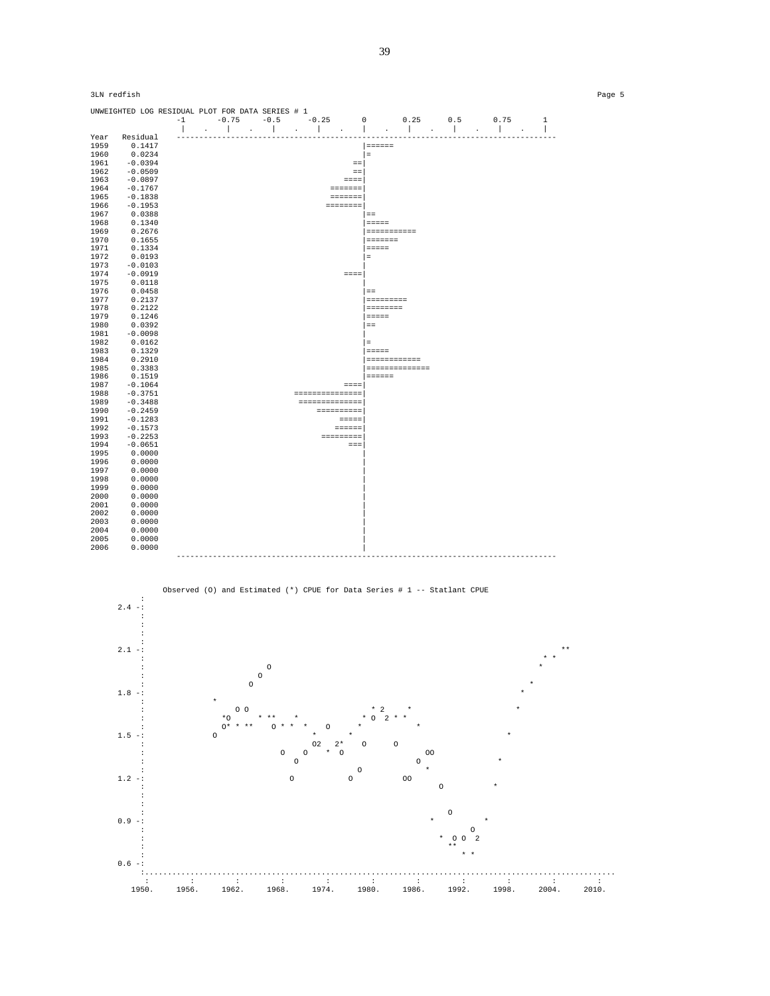



39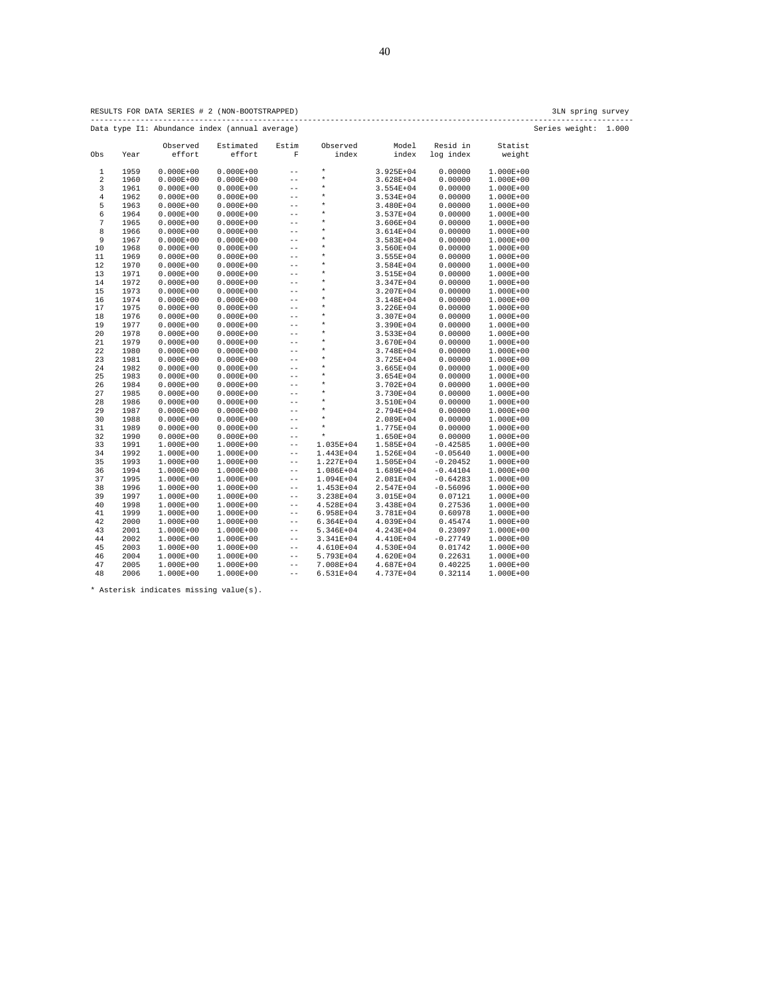| ×<br>٠ |
|--------|
|        |

RESULTS FOR DATA SERIES # 2 (NON-BOOTSTRAPPED) 3LN spring survey

Data type I1: Abundance index (annual average) Observed Estimated Estim Observed Model Resid in Statist<br>Obs Year effort effort F index index log\_index weight. F index index log index 1 1959 0.000E+00 0.000E+00 -- \* 3.925E+04 0.00000 1.000E+00 2 1960 0.000E+00 0.000E+00 -- \* 3.628E+04 0.00000 1.000E+00 3 1961 0.000E+00 0.000E+00 -- \* 3.554E+04 0.00000 1.000E+00 4 1962 0.000E+00 0.000E+00 -- \* 3.534E+04 0.00000 1.000E+00 5 1963 0.000E+00 0.000E+00 -- \* 3.480E+04 0.00000 1.000E+00 6 1964 0.000E+00 0.000E+00 -- \* 3.537E+04 0.00000 1.000E+00 7 1965 0.000E+00 0.000E+00 -- \* 3.606E+04 0.00000 1.000E+00 8 1966 0.000E+00 0.000E+00 -- \* 3.614E+04 0.00000 1.000E+00 9 1967 0.000E+00 0.000E+00 -- \* 3.583E+04 0.00000 1.000E+00 10 1968 0.000E+00 0.000E+00 -- \* 3.560E+04 0.00000 1.000E+00 11 1969 0.000E+00 0.000E+00 -- \* 3.555E+04 0.00000 1.000E+00 12 1970 0.000E+00 0.000E+00 -- \* 3.584E+04 0.00000 1.000E+00 13 1971 0.000E+00 0.000E+00 -- \* 3.515E+04 0.00000 1.000E+00 14 1972 0.000E+00 0.000E+00 -- \* 3.347E+04 0.00000 1.000E+00 15 1973 0.000E+00 0.000E+00 -- \* 3.207E+04 0.00000 1.000E+00 16 1974 0.000E+00 0.000E+00 -- \* 3.148E+04 0.00000 1.000E+00 17 1975 0.000E+00 0.000E+00 -- \* 3.226E+04 0.00000 1.000E+00 18 1976 0.000E+00 0.000E+00 -- \* 3.307E+04 0.00000 1.000E+00 19 1977 0.000E+00 0.000E+00 -- \* 3.390E+04 0.00000 1.000E+00 20 1978 0.000E+00 0.000E+00 -- \* 3.533E+04 0.00000 1.000E+00 21 1979 0.000E+00 0.000E+00 -- \* 3.670E+04 0.00000 1.000E+00 22 1980 0.000E+00 0.000E+00 -- \* 3.748E+04 0.00000 1.000E+00 23 1981 0.000E+00 0.000E+00 -- \* 3.725E+04 0.00000 1.000E+00 24 1982 0.000E+00 0.000E+00 -- \* 3.665E+04 0.00000 1.000E+00 25 1983 0.000E+00 0.000E+00 -- \* 3.654E+04 0.00000 1.000E+00 26 1984 0.000E+00 0.000E+00 -- \* 3.702E+04 0.00000 1.000E+00 27 1985 0.000E+00 0.000E+00 -- \* 3.730E+04 0.00000 1.000E+00 28 1986 0.000E+00 0.000E+00 -- \* 3.510E+04 0.00000 1.000E+00 29 1987 0.000E+00 0.000E+00 -- \* 2.794E+04 0.00000 1.000E+00 30 1988 0.000E+00 0.000E+00 -- \* 2.089E+04 0.00000 1.000E+00 31 1989 0.000E+00 0.000E+00 -- \* 1.775E+04 0.00000 1.000E+00 32 1990 0.000E+00 0.000E+00 -- \* 1.650E+04 0.00000 1.000E+00 33 1991 1.000E+00 1.000E+00 -- 1.035E+04 1.585E+04 -0.42585 1.000E+00 34 1992 1.000E+00 1.000E+00 -- 1.443E+04 1.526E+04 -0.05640 1.000E+00 35 1993 1.000E+00 1.000E+00 -- 1.227E+04 1.505E+04 -0.20452 1.000E+00  $\mathtt{36} \quad \mathtt{1994} \quad \mathtt{1.000E+00} \quad \mathtt{1.000E+00} \quad \mathtt{--} \quad \mathtt{1.086E+04} \quad \mathtt{1.689E+04} \quad \mathtt{-0.44104} \quad \mathtt{1.000E+00}$  37 1995 1.000E+00 1.000E+00 -- 1.094E+04 2.081E+04 -0.64283 1.000E+00 38 1996 1.000E+00 1.000E+00 -- 1.453E+04 2.547E+04 -0.56096 1.000E+00 39 1997 1.000E+00 1.000E+00 -- 3.238E+04 3.015E+04 0.07121 1.000E+00 40 1998 1.000E+00 1.000E+00 -- 4.528E+04 3.438E+04 0.27536 1.000E+00 41 1999 1.000E+00 1.000E+00 -- 6.958E+04 3.781E+04 0.60978 1.000E+00 42 2000 1.000E+00 1.000E+00 -- 6.364E+04 4.039E+04 0.45474 1.000E+00 43 2001 1.000E+00 1.000E+00 -- 5.346E+04 4.243E+04 0.23097 1.000E+00 44 2002 1.000E+00 1.000E+00 -- 3.341E+04 4.410E+04 -0.27749 1.000E+00 45 2003 1.000E+00 1.000E+00 -- 4.610E+04 4.530E+04 0.01742 1.000E+00 46 2004 1.000E+00 1.000E+00 -- 5.793E+04 4.620E+04 0.22631 1.000E+00 47 2005 1.000E+00 1.000E+00 -- 7.008E+04 4.687E+04 0.40225 1.000E+00 48 2006 1.000E+00 1.000E+00 -- 6.531E+04 4.737E+04 0.32114 1.000E+00

\* Asterisk indicates missing value(s).

------------------------------------------------------------------------------------------------------------------------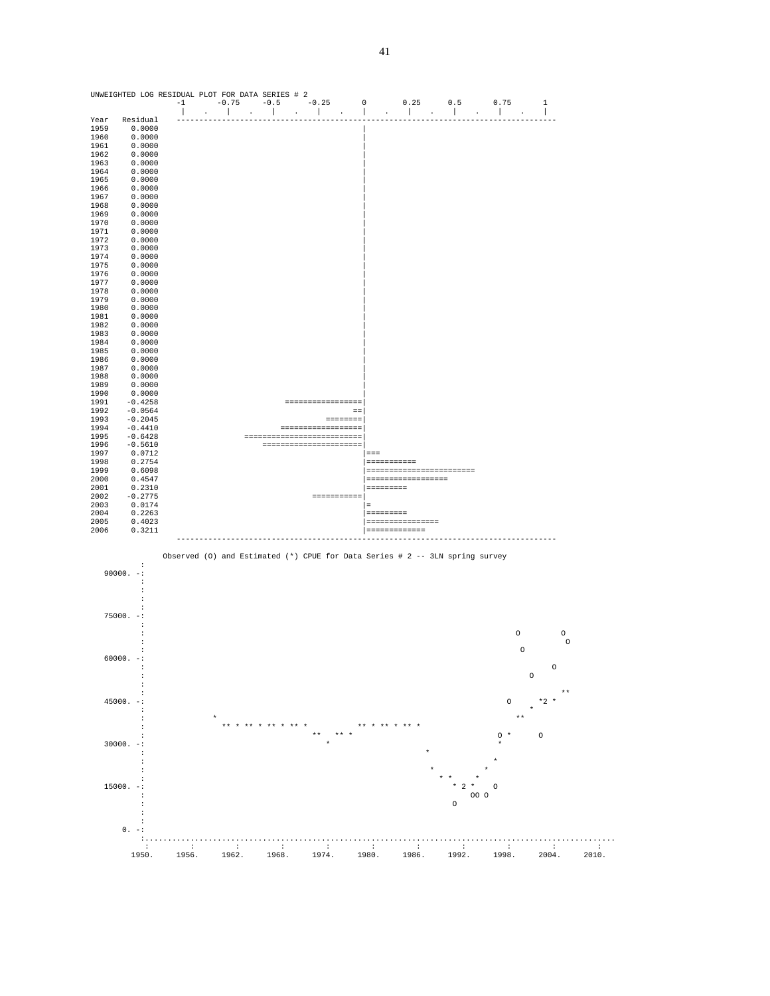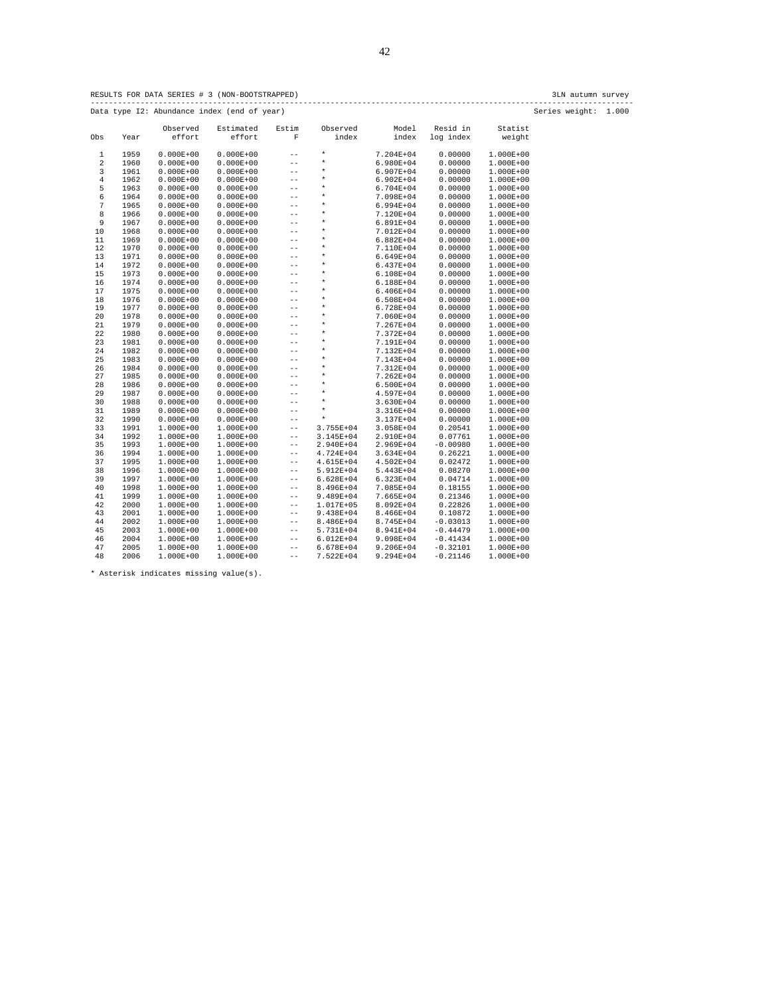RESULTS FOR DATA SERIES # 3 (NON-BOOTSTRAPPED) 3LN autumn survey ------------------------------------------------------------------------------------------------------------------------ Data type I2: Abundance index (end of year) Series weight: 1.000

|                |      | Observed      | Estimated     | Estim             | Observed           | Model         | Resid in   | Statist       |
|----------------|------|---------------|---------------|-------------------|--------------------|---------------|------------|---------------|
| Obs            | Year | effort        | effort        | F                 | index              | index         | log index  | weight        |
| 1              | 1959 | $0.000E + 00$ | $0.000E + 00$ | $- -$             | $\star$            | 7.204E+04     | 0.00000    | 1.000E+00     |
| 2              | 1960 | $0.000E + 00$ | $0.000E + 00$ | $- -$             | $\star$            | 6.980E+04     | 0.00000    | 1.000E+00     |
| 3              | 1961 | $0.000E + 00$ | $0.000E + 00$ | $- -$             | $\star$            | 6.907E+04     | 0.00000    | 1.000E+00     |
| $\overline{4}$ | 1962 | $0.000E + 00$ | $0.000E + 00$ | $- -$             | $\star$            | $6.902E + 04$ | 0.00000    | 1.000E+00     |
| 5              | 1963 | $0.000E + 00$ | $0.000E + 00$ | $- -$             | $^\star$           | 6.704E+04     | 0.00000    | $1.000E + 00$ |
| 6              | 1964 | $0.000E + 00$ | $0.000E + 00$ | $- -$             | $\star$            | 7.098E+04     | 0.00000    | 1.000E+00     |
| 7              | 1965 | $0.000E + 00$ |               | $\qquad \qquad -$ | $\star$            |               | 0.00000    |               |
|                |      |               | $0.000E + 00$ |                   | *                  | 6.994E+04     |            | $1.000E + 00$ |
| 8              | 1966 | $0.000E + 00$ | $0.000E + 00$ | $- -$             | $\star$            | 7.120E+04     | 0.00000    | 1.000E+00     |
| 9              | 1967 | $0.000E + 00$ | $0.000E + 00$ | $- -$             | $\star$            | 6.891E+04     | 0.00000    | $1.000E + 00$ |
| 10             | 1968 | $0.000E + 00$ | $0.000E + 00$ | $- -$             | $\star$            | 7.012E+04     | 0.00000    | 1.000E+00     |
| 11             | 1969 | $0.000E + 00$ | $0.000E + 00$ | $\qquad \qquad -$ | $\star$            | $6.882E + 04$ | 0.00000    | $1.000E + 00$ |
| 12             | 1970 | $0.000E + 00$ | $0.000E + 00$ | $- -$             |                    | 7.110E+04     | 0.00000    | $1.000E + 00$ |
| 13             | 1971 | $0.000E + 00$ | $0.000E + 00$ | $\qquad \qquad -$ | $\star$<br>$\star$ | 6.649E+04     | 0.00000    | $1.000E + 00$ |
| 14             | 1972 | $0.000E + 00$ | $0.000E + 00$ | $\qquad \qquad -$ |                    | $6.437E + 04$ | 0.00000    | 1.000E+00     |
| 15             | 1973 | $0.000E + 00$ | $0.000E + 00$ | $- -$             | $\star$            | 6.108E+04     | 0.00000    | 1.000E+00     |
| 16             | 1974 | $0.000E + 00$ | $0.000E + 00$ | $- -$             | $\star$            | 6.188E+04     | 0.00000    | 1.000E+00     |
| 17             | 1975 | $0.000E + 00$ | $0.000E + 00$ | $- -$             | $\star$            | $6.406E + 04$ | 0.00000    | 1.000E+00     |
| 18             | 1976 | $0.000E + 00$ | $0.000E + 00$ | $- -$             | $\star$            | $6.508E + 04$ | 0.00000    | 1.000E+00     |
| 19             | 1977 | $0.000E + 00$ | $0.000E + 00$ | $\qquad \qquad -$ | $\star$            | 6.728E+04     | 0.00000    | 1.000E+00     |
| 20             | 1978 | $0.000E + 00$ | $0.000E + 00$ | $ -$              | $\star$            | 7.060E+04     | 0.00000    | 1.000E+00     |
| 21             | 1979 | $0.000E + 00$ | $0.000E + 00$ | $- -$             | $^\star$           | 7.267E+04     | 0.00000    | $1.000E + 00$ |
| 22             | 1980 | $0.000E + 00$ | $0.000E + 00$ | $-$               | $^\star$           | 7.372E+04     | 0.00000    | $1.000E + 00$ |
| 23             | 1981 | $0.000E + 00$ | $0.000E + 00$ | $- -$             | *                  | 7.191E+04     | 0.00000    | 1.000E+00     |
| 24             | 1982 | $0.000E + 00$ | $0.000E + 00$ | $\qquad \qquad -$ | $\star$            | 7.132E+04     | 0.00000    | $1.000E + 00$ |
| 25             | 1983 | $0.000E + 00$ | $0.000E + 00$ | $- -$             | *                  | 7.143E+04     | 0.00000    | 1.000E+00     |
| 26             | 1984 | $0.000E + 00$ | $0.000E + 00$ | $- -$             | $\star$            | 7.312E+04     | 0.00000    | $1.000E + 00$ |
| 27             | 1985 | $0.000E + 00$ | $0.000E + 00$ | $- -$             | $\star$            | 7.262E+04     | 0.00000    | 1.000E+00     |
| 28             | 1986 | $0.000E + 00$ | $0.000E + 00$ | $\qquad \qquad -$ | $\star$            | 6.500E+04     | 0.00000    | $1.000E + 00$ |
| 29             | 1987 | $0.000E + 00$ | $0.000E + 00$ | $\qquad \qquad -$ | $^\star$           | 4.597E+04     | 0.00000    | 1.000E+00     |
| 30             | 1988 | $0.000E + 00$ | $0.000E + 00$ | $\qquad \qquad -$ | $\star$            | 3.630E+04     | 0.00000    | $1.000E + 00$ |
| 31             | 1989 | $0.000E + 00$ | $0.000E + 00$ | $\qquad \qquad -$ | $\star$            | 3.316E+04     | 0.00000    | 1.000E+00     |
| 32             | 1990 | $0.000E + 00$ | $0.000E + 00$ | $\qquad \qquad -$ | $\star$            | 3.137E+04     | 0.00000    | 1.000E+00     |
| 33             | 1991 | $1.000E + 00$ | 1.000E+00     | $\qquad \qquad -$ | 3.755E+04          | 3.058E+04     | 0.20541    | 1.000E+00     |
| 34             | 1992 | $1.000E + 00$ | 1.000E+00     | $\qquad \qquad -$ | $3.145E + 04$      | 2.910E+04     | 0.07761    | 1.000E+00     |
| 35             | 1993 | $1.000E + 00$ | 1.000E+00     | $\qquad \qquad -$ | 2.940E+04          | 2.969E+04     | $-0.00980$ | 1.000E+00     |
| 36             | 1994 | $1.000E + 00$ | 1.000E+00     | $\qquad \qquad -$ | 4.724E+04          | $3.634E + 04$ | 0.26221    | $1.000E + 00$ |
| 37             | 1995 | $1.000E + 00$ | 1.000E+00     | $\qquad \qquad -$ | 4.615E+04          | 4.502E+04     | 0.02472    | 1.000E+00     |
| 38             | 1996 | $1.000E + 00$ | 1.000E+00     | $\qquad \qquad -$ | 5.912E+04          | 5.443E+04     | 0.08270    | 1.000E+00     |
| 39             | 1997 | $1.000E + 00$ | 1.000E+00     | $\qquad \qquad -$ | $6.628E + 04$      | $6.323E+04$   | 0.04714    | 1.000E+00     |
| 40             | 1998 | 1.000E+00     | 1.000E+00     | $\qquad \qquad -$ | 8.496E+04          | 7.085E+04     | 0.18155    | 1.000E+00     |
| 41             | 1999 | $1.000E + 00$ | 1.000E+00     | $\qquad \qquad -$ | 9.489E+04          | 7.665E+04     | 0.21346    | 1.000E+00     |
| 42             | 2000 | $1.000E + 00$ | 1.000E+00     | $\qquad \qquad -$ | 1.017E+05          | 8.092E+04     | 0.22826    | 1.000E+00     |
| 43             | 2001 | $1.000E + 00$ | 1.000E+00     | $\qquad \qquad -$ | 9.438E+04          | 8.466E+04     | 0.10872    | 1.000E+00     |
| 44             | 2002 | 1.000E+00     | 1.000E+00     | $\qquad \qquad -$ | 8.486E+04          | 8.745E+04     | $-0.03013$ | 1.000E+00     |
| 45             | 2003 | $1.000E + 00$ | 1.000E+00     | $\qquad \qquad -$ | 5.731E+04          | 8.941E+04     | $-0.44479$ | $1.000E + 00$ |
| 46             | 2004 | $1.000E + 00$ | 1.000E+00     | $\qquad \qquad -$ | $6.012E + 04$      | 9.098E+04     | $-0.41434$ | 1.000E+00     |
| 47             | 2005 | $1.000E + 00$ | 1.000E+00     | $\qquad \qquad -$ | 6.678E+04          | 9.206E+04     | $-0.32101$ | $1.000E + 00$ |
| 48             | 2006 | 1.000E+00     | 1.000E+00     | $- -$             | 7.522E+04          | 9.294E+04     | $-0.21146$ | 1.000E+00     |
|                |      |               |               |                   |                    |               |            |               |

\* Asterisk indicates missing value(s).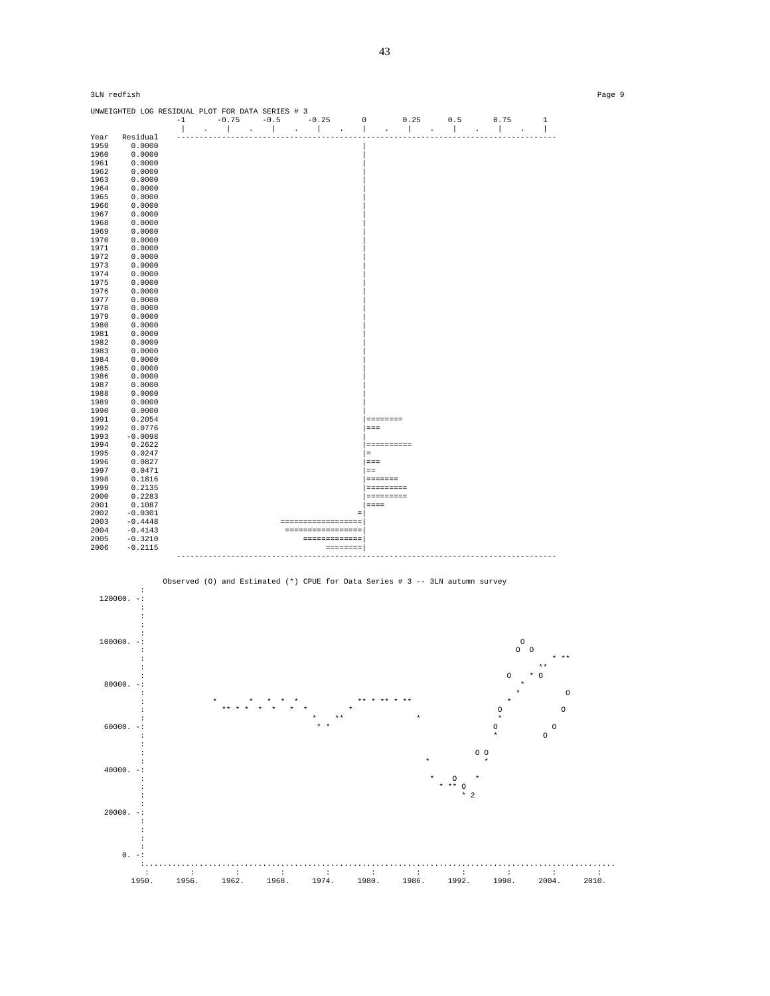| 3LN redfish  |                                                  |  |  |                                                                                                                |                    |  |              | Page 9 |
|--------------|--------------------------------------------------|--|--|----------------------------------------------------------------------------------------------------------------|--------------------|--|--------------|--------|
|              | UNWEIGHTED LOG RESIDUAL PLOT FOR DATA SERIES # 3 |  |  |                                                                                                                |                    |  | $\mathbf{1}$ |        |
|              |                                                  |  |  |                                                                                                                |                    |  |              |        |
| Year         | Residual                                         |  |  |                                                                                                                |                    |  |              |        |
| 1959         | 0.0000                                           |  |  |                                                                                                                |                    |  |              |        |
| 1960         | 0.0000                                           |  |  |                                                                                                                |                    |  |              |        |
| 1961         | 0.0000                                           |  |  |                                                                                                                |                    |  |              |        |
| 1962         | 0.0000                                           |  |  |                                                                                                                |                    |  |              |        |
| 1963         | 0.0000                                           |  |  |                                                                                                                |                    |  |              |        |
| 1964         | 0.0000                                           |  |  |                                                                                                                |                    |  |              |        |
| 1965         | 0.0000                                           |  |  |                                                                                                                |                    |  |              |        |
| 1966         | 0.0000                                           |  |  |                                                                                                                |                    |  |              |        |
| 1967         | 0.0000                                           |  |  |                                                                                                                |                    |  |              |        |
| 1968         | 0.0000                                           |  |  |                                                                                                                |                    |  |              |        |
| 1969         | 0.0000                                           |  |  |                                                                                                                |                    |  |              |        |
| 1970         | 0.0000                                           |  |  |                                                                                                                |                    |  |              |        |
| 1971         | 0.0000                                           |  |  |                                                                                                                |                    |  |              |        |
| 1972         | 0.0000                                           |  |  |                                                                                                                |                    |  |              |        |
| 1973         | 0.0000                                           |  |  |                                                                                                                |                    |  |              |        |
| 1974         | 0.0000                                           |  |  |                                                                                                                |                    |  |              |        |
| 1975         | 0.0000                                           |  |  |                                                                                                                |                    |  |              |        |
| 1976         | 0.0000                                           |  |  |                                                                                                                |                    |  |              |        |
| 1977         | 0.0000                                           |  |  |                                                                                                                |                    |  |              |        |
| 1978         | 0.0000                                           |  |  |                                                                                                                |                    |  |              |        |
| 1979         | 0.0000                                           |  |  |                                                                                                                |                    |  |              |        |
| 1980         | 0.0000                                           |  |  |                                                                                                                |                    |  |              |        |
| 1981         | 0.0000                                           |  |  |                                                                                                                |                    |  |              |        |
| 1982         | 0.0000                                           |  |  |                                                                                                                |                    |  |              |        |
| 1983         | 0.0000                                           |  |  |                                                                                                                |                    |  |              |        |
| 1984         | 0.0000                                           |  |  |                                                                                                                |                    |  |              |        |
| 1985         | 0.0000                                           |  |  |                                                                                                                |                    |  |              |        |
| 1986         | 0.0000                                           |  |  |                                                                                                                |                    |  |              |        |
| 1987         | 0.0000                                           |  |  |                                                                                                                |                    |  |              |        |
| 1988         | 0.0000                                           |  |  |                                                                                                                |                    |  |              |        |
| 1989         | 0.0000                                           |  |  |                                                                                                                |                    |  |              |        |
| 1990         | 0.0000                                           |  |  |                                                                                                                |                    |  |              |        |
| 1991         | 0.2054                                           |  |  |                                                                                                                |                    |  |              |        |
| 1992         | 0.0776                                           |  |  |                                                                                                                | $=$ = $=$          |  |              |        |
| 1993         | $-0.0098$                                        |  |  |                                                                                                                |                    |  |              |        |
| 1994         | 0.2622                                           |  |  |                                                                                                                | ==========         |  |              |        |
| 1995         | 0.0247                                           |  |  |                                                                                                                | $\equiv$ 100 $\pm$ |  |              |        |
| 1996         | 0.0827                                           |  |  |                                                                                                                | $= = =$            |  |              |        |
| 1997<br>1998 | 0.0471<br>0.1816                                 |  |  |                                                                                                                | $=$                |  |              |        |
|              |                                                  |  |  |                                                                                                                | <b>SEESSEE</b>     |  |              |        |
| 1999<br>2000 | 0.2135<br>0.2283                                 |  |  |                                                                                                                | eccesses           |  |              |        |
| 2001         | 0.1087                                           |  |  |                                                                                                                | $= - - -$          |  |              |        |
| 2002         | $-0.0301$                                        |  |  |                                                                                                                |                    |  |              |        |
| 2003         | $-0.4448$                                        |  |  | - ==================                                                                                           | $\equiv$           |  |              |        |
| 2004         | $-0.4143$                                        |  |  | =================                                                                                              |                    |  |              |        |
| 2005         | $-0.3210$                                        |  |  | --------------                                                                                                 |                    |  |              |        |
| 2006         | $-0.2115$                                        |  |  | and a mode a series of the series of the series of the series of the series of the series of the series of the |                    |  |              |        |
|              |                                                  |  |  |                                                                                                                |                    |  |              |        |
|              |                                                  |  |  |                                                                                                                |                    |  |              |        |



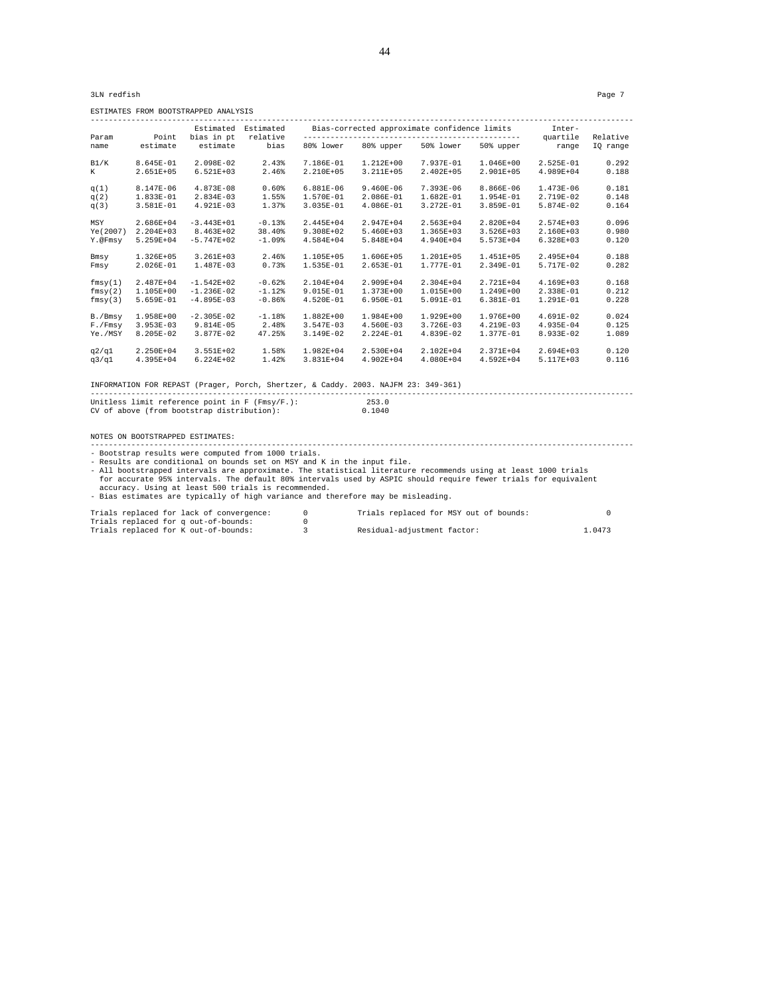3LN redfish Page 7

ESTIMATES FROM BOOTSTRAPPED ANALYSIS

|           |               | Estimated     | Estimated |               | Bias-corrected approximate confidence limits |               |               | Inter-        |          |
|-----------|---------------|---------------|-----------|---------------|----------------------------------------------|---------------|---------------|---------------|----------|
| Param     | Point         | bias in pt    | relative  |               |                                              |               |               | quartile      | Relative |
| name      | estimate      | estimate      | bias      | 80% lower     | 80% upper                                    | 50% lower     | 50% upper     | range         | IO range |
| B1/K      | 8.645E-01     | 2.098E-02     | 2.43%     | 7.186E-01     | $1.212E+00$                                  | 7.937E-01     | 1.046E+00     | 2.525E-01     | 0.292    |
| K         | 2.651E+05     | $6.521E+03$   | 2.46%     | 2.210E+05     | 3.211E+05                                    | 2.402E+05     | 2.901E+05     | 4.989E+04     | 0.188    |
| q(1)      | 8.147E-06     | 4.873E-08     | 0.60%     | $6.881E-06$   | $9.460E-06$                                  | 7.393E-06     | 8.866E-06     | 1.473E-06     | 0.181    |
| q(2)      | 1.833E-01     | 2.834E-03     | 1.55%     | 1.570E-01     | 2.086E-01                                    | 1.682E-01     | 1.954E-01     | 2.719E-02     | 0.148    |
| q(3)      | 3.581E-01     | 4.921E-03     | 1.37%     | 3.035E-01     | 4.086E-01                                    | 3.272E-01     | 3.859E-01     | 5.874E-02     | 0.164    |
| MSY       | 2.686E+04     | $-3.443E+01$  | $-0.13%$  | 2.445E+04     | 2.947E+04                                    | 2.563E+04     | 2.820E+04     | 2.574E+03     | 0.096    |
| Ye (2007) | $2.204E+03$   | 8.463E+02     | 38.40%    | 9.308E+02     | $5.460E+03$                                  | 1.365E+03     | 3.526E+03     | $2.160E + 03$ | 0.980    |
| Y.@Fmsv   | 5.259E+04     | $-5.747E+02$  | $-1.09%$  | 4.584E+04     | 5.848E+04                                    | 4.940E+04     | 5.573E+04     | $6.328E+03$   | 0.120    |
| Bmsy      | 1.326E+05     | 3.261E+03     | 2.46%     | 1.105E+05     | 1.606E+05                                    | 1.201E+05     | 1.451E+05     | 2.495E+04     | 0.188    |
| Fmsy      | 2.026E-01     | 1.487E-03     | 0.73%     | 1.535E-01     | $2.653E-01$                                  | 1.777E-01     | 2.349E-01     | 5.717E-02     | 0.282    |
| fmsy(1)   | 2.487E+04     | $-1.542E+02$  | $-0.62%$  | 2.104E+04     | 2.909E+04                                    | 2.304E+04     | 2.721E+04     | 4.169E+03     | 0.168    |
| fmsy(2)   | 1.105E+00     | $-1.236E-02$  | $-1.12%$  | 9.015E-01     | 1.373E+00                                    | 1.015E+00     | 1.249E+00     | 2.338E-01     | 0.212    |
| fmsy(3)   | 5.659E-01     | $-4.895E-03$  | $-0.86%$  | 4.520E-01     | $6.950E-01$                                  | 5.091E-01     | 6.381E-01     | 1.291E-01     | 0.228    |
| B./Bmsy   | 1.958E+00     | $-2.305E-02$  | $-1.18%$  | $1.882E + 00$ | 1.984E+00                                    | 1.929E+00     | 1.976E+00     | 4.691E-02     | 0.024    |
| F./Fmsy   | $3.953E-03$   | 9.814E-05     | 2.48%     | $3.547E-03$   | $4.560E-03$                                  | 3.726E-03     | 4.219E-03     | 4.935E-04     | 0.125    |
| Ye./MSY   | 8.205E-02     | 3.877E-02     | 47.25%    | 3.149E-02     | 2.224E-01                                    | 4.839E-02     | 1.377E-01     | 8.933E-02     | 1.089    |
| q2/q1     | 2.250E+04     | 3.551E+02     | 1.58%     | 1.982E+04     | 2.530E+04                                    | 2.102E+04     | 2.371E+04     | 2.694E+03     | 0.120    |
| q3/q1     | $4.395E + 04$ | $6.224E + 02$ | 1.42%     | $3.831E + 04$ | $4.902E + 04$                                | $4.080E + 04$ | $4.592E + 04$ | $5.117E + 03$ | 0.116    |
|           |               |               |           |               |                                              |               |               |               |          |

INFORMATION FOR REPAST (Prager, Porch, Shertzer, & Caddy. 2003. NAJFM 23: 349-361)

------------------------------------------------------------------------------------------------------------------------ Unitless limit reference point in F (Fmsy/F.): 253.0 CV of above (from bootstrap distribution): 0.1040

NOTES ON BOOTSTRAPPED ESTIMATES:

------------------------------------------------------------------------------------------------------------------------ - Bootstrap results were computed from 1000 trials. - Results are conditional on bounds set on MSY and K in the input file. - All bootstrapped intervals are approximate. The statistical literature recommends using at least 1000 trials for accurate 95% intervals. The default 80% intervals used by ASPIC should require fewer trials for equivalent accuracy. Using at least 500 trials is recommended. - Bias estimates are typically of high variance and therefore may be misleading.

|  | Trials replaced for lack of convergence: | Trials replaced for MSY out of bounds: |        |
|--|------------------------------------------|----------------------------------------|--------|
|  | Trials replaced for q out-of-bounds:     |                                        |        |
|  | Trials replaced for K out-of-bounds:     | Residual-adjustment factor:            | 1.0473 |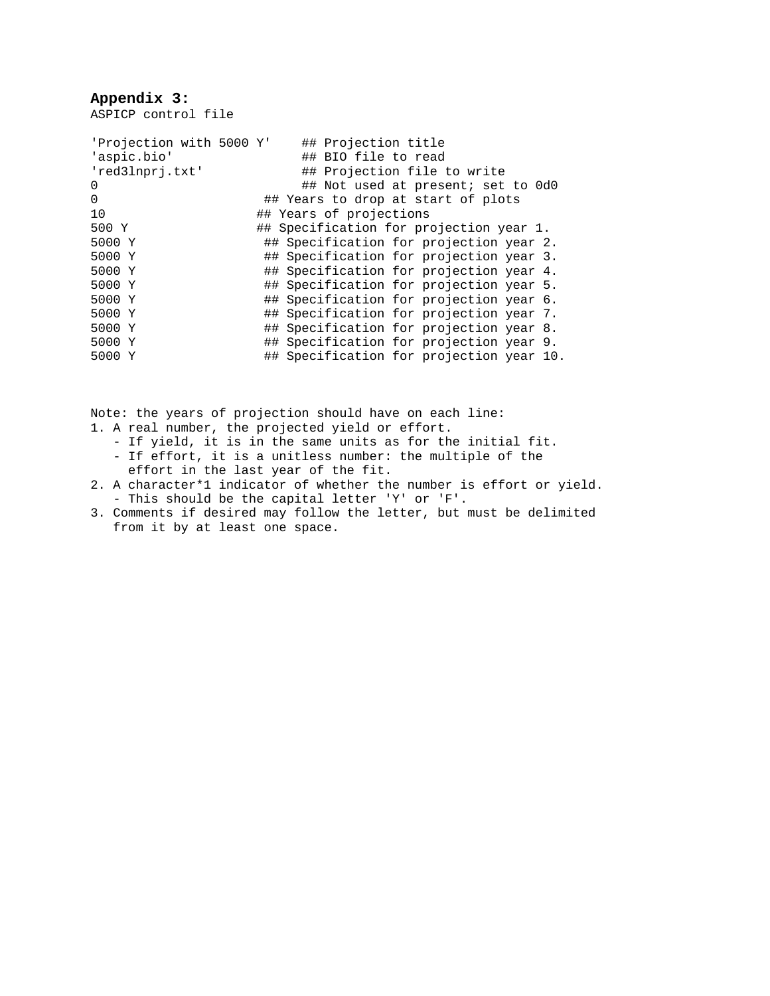# **Appendix 3:**

ASPICP control file

| 'Projection with 5000 Y' | ## Projection title                      |
|--------------------------|------------------------------------------|
| 'aspic.bio'              | ## BIO file to read                      |
| 'red3lnprj.txt'          | ## Projection file to write              |
| $\Omega$                 | ## Not used at present; set to 0d0       |
| $\Omega$                 | ## Years to drop at start of plots       |
| 10                       | ## Years of projections                  |
| 500 Y                    | ## Specification for projection year 1.  |
| 5000 Y                   | ## Specification for projection year 2.  |
| 5000 Y                   | ## Specification for projection year 3.  |
| 5000 Y                   | ## Specification for projection year 4.  |
| 5000 Y                   | ## Specification for projection year 5.  |
| 5000 Y                   | ## Specification for projection year 6.  |
| 5000 Y                   | ## Specification for projection year 7.  |
| 5000 Y                   | ## Specification for projection year 8.  |
| 5000 Y                   | ## Specification for projection year 9.  |
| 5000 Y                   | ## Specification for projection year 10. |

Note: the years of projection should have on each line:

- 1. A real number, the projected yield or effort.
	- If yield, it is in the same units as for the initial fit. - If effort, it is a unitless number: the multiple of the effort in the last year of the fit.
- 2. A character\*1 indicator of whether the number is effort or yield. - This should be the capital letter 'Y' or 'F'.
- 3. Comments if desired may follow the letter, but must be delimited from it by at least one space.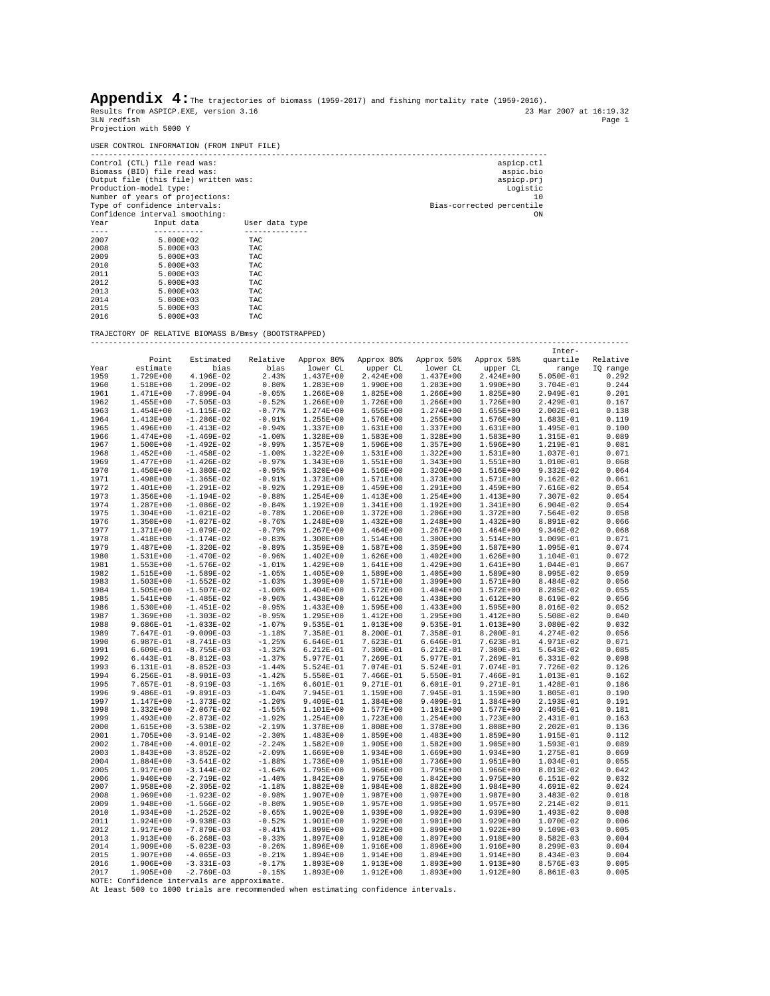|                                                                                                                                                                                                                                                                                                                                                                      | Appendix $4:$ The trajectories of biomass (1959-2017) and fishing mortality rate (1959-2016).<br>Results from ASPICP.EXE, version 3.16<br>23 Mar 2007 at 16:19.32<br>3LN redfish                                                                                                                                                                                                                                                                                                   |                                                                                                                                                                                                                                                                                                                                                                                                                                                                                                                                                                                                                                         |                                                                                                                                                                                                                                                                                                                                                                                                                                                            |                                                                                                                                                                                                                                                                                                                                                                                                                                                                                  |                                                                                                                                                                                                                                                                                                                                                                                                                                                                                  |                                                                                                                                                                                                                                                                                                                                                                                                                                                                                  |                                                                                                                                                                                                                                                                                                                                                                                                                                                                                  |                                                                                                                                                                                                                                                                                                                                                                                                                                                                                  |                                                                                                                                                                                                                                                                                                                                  |  |  |  |
|----------------------------------------------------------------------------------------------------------------------------------------------------------------------------------------------------------------------------------------------------------------------------------------------------------------------------------------------------------------------|------------------------------------------------------------------------------------------------------------------------------------------------------------------------------------------------------------------------------------------------------------------------------------------------------------------------------------------------------------------------------------------------------------------------------------------------------------------------------------|-----------------------------------------------------------------------------------------------------------------------------------------------------------------------------------------------------------------------------------------------------------------------------------------------------------------------------------------------------------------------------------------------------------------------------------------------------------------------------------------------------------------------------------------------------------------------------------------------------------------------------------------|------------------------------------------------------------------------------------------------------------------------------------------------------------------------------------------------------------------------------------------------------------------------------------------------------------------------------------------------------------------------------------------------------------------------------------------------------------|----------------------------------------------------------------------------------------------------------------------------------------------------------------------------------------------------------------------------------------------------------------------------------------------------------------------------------------------------------------------------------------------------------------------------------------------------------------------------------|----------------------------------------------------------------------------------------------------------------------------------------------------------------------------------------------------------------------------------------------------------------------------------------------------------------------------------------------------------------------------------------------------------------------------------------------------------------------------------|----------------------------------------------------------------------------------------------------------------------------------------------------------------------------------------------------------------------------------------------------------------------------------------------------------------------------------------------------------------------------------------------------------------------------------------------------------------------------------|----------------------------------------------------------------------------------------------------------------------------------------------------------------------------------------------------------------------------------------------------------------------------------------------------------------------------------------------------------------------------------------------------------------------------------------------------------------------------------|----------------------------------------------------------------------------------------------------------------------------------------------------------------------------------------------------------------------------------------------------------------------------------------------------------------------------------------------------------------------------------------------------------------------------------------------------------------------------------|----------------------------------------------------------------------------------------------------------------------------------------------------------------------------------------------------------------------------------------------------------------------------------------------------------------------------------|--|--|--|
|                                                                                                                                                                                                                                                                                                                                                                      | Projection with 5000 Y                                                                                                                                                                                                                                                                                                                                                                                                                                                             |                                                                                                                                                                                                                                                                                                                                                                                                                                                                                                                                                                                                                                         |                                                                                                                                                                                                                                                                                                                                                                                                                                                            |                                                                                                                                                                                                                                                                                                                                                                                                                                                                                  |                                                                                                                                                                                                                                                                                                                                                                                                                                                                                  |                                                                                                                                                                                                                                                                                                                                                                                                                                                                                  |                                                                                                                                                                                                                                                                                                                                                                                                                                                                                  |                                                                                                                                                                                                                                                                                                                                                                                                                                                                                  | Page 1                                                                                                                                                                                                                                                                                                                           |  |  |  |
|                                                                                                                                                                                                                                                                                                                                                                      |                                                                                                                                                                                                                                                                                                                                                                                                                                                                                    | USER CONTROL INFORMATION (FROM INPUT FILE)                                                                                                                                                                                                                                                                                                                                                                                                                                                                                                                                                                                              |                                                                                                                                                                                                                                                                                                                                                                                                                                                            |                                                                                                                                                                                                                                                                                                                                                                                                                                                                                  |                                                                                                                                                                                                                                                                                                                                                                                                                                                                                  |                                                                                                                                                                                                                                                                                                                                                                                                                                                                                  |                                                                                                                                                                                                                                                                                                                                                                                                                                                                                  |                                                                                                                                                                                                                                                                                                                                                                                                                                                                                  |                                                                                                                                                                                                                                                                                                                                  |  |  |  |
| Year<br>$- - - - -$                                                                                                                                                                                                                                                                                                                                                  | Control (CTL) file read was:<br>Biomass (BIO) file read was:<br>Production-model type:<br>Number of years of projections:<br>Type of confidence intervals:<br>Confidence interval smoothing:<br>Input data                                                                                                                                                                                                                                                                         | Output file (this file) written was:<br>-----------                                                                                                                                                                                                                                                                                                                                                                                                                                                                                                                                                                                     | User data type<br>--------------                                                                                                                                                                                                                                                                                                                                                                                                                           |                                                                                                                                                                                                                                                                                                                                                                                                                                                                                  | aspicp.ctl<br>aspic.bio<br>aspicp.prj<br>Logistic<br>10<br>Bias-corrected percentile<br>ON                                                                                                                                                                                                                                                                                                                                                                                       |                                                                                                                                                                                                                                                                                                                                                                                                                                                                                  |                                                                                                                                                                                                                                                                                                                                                                                                                                                                                  |                                                                                                                                                                                                                                                                                                                                                                                                                                                                                  |                                                                                                                                                                                                                                                                                                                                  |  |  |  |
| 2007<br>5.000E+02<br>TAC<br>2008<br>$5.000E + 03$<br>TAC<br>2009<br>$5.000E + 03$<br>TAC<br>2010<br>5.000E+03<br>TAC<br>2011<br>$5.000E + 03$<br>TAC<br>2012<br>5.000E+03<br>TAC<br>2013<br>$5.000E + 03$<br>TAC<br>$5.000E + 03$<br>2014<br>TAC<br>2015<br>$5.000E + 03$<br>TAC<br>2016<br>5.000E+03<br>TAC<br>TRAJECTORY OF RELATIVE BIOMASS B/Bmsy (BOOTSTRAPPED) |                                                                                                                                                                                                                                                                                                                                                                                                                                                                                    |                                                                                                                                                                                                                                                                                                                                                                                                                                                                                                                                                                                                                                         |                                                                                                                                                                                                                                                                                                                                                                                                                                                            |                                                                                                                                                                                                                                                                                                                                                                                                                                                                                  |                                                                                                                                                                                                                                                                                                                                                                                                                                                                                  |                                                                                                                                                                                                                                                                                                                                                                                                                                                                                  |                                                                                                                                                                                                                                                                                                                                                                                                                                                                                  |                                                                                                                                                                                                                                                                                                                                                                                                                                                                                  |                                                                                                                                                                                                                                                                                                                                  |  |  |  |
|                                                                                                                                                                                                                                                                                                                                                                      |                                                                                                                                                                                                                                                                                                                                                                                                                                                                                    |                                                                                                                                                                                                                                                                                                                                                                                                                                                                                                                                                                                                                                         |                                                                                                                                                                                                                                                                                                                                                                                                                                                            |                                                                                                                                                                                                                                                                                                                                                                                                                                                                                  |                                                                                                                                                                                                                                                                                                                                                                                                                                                                                  |                                                                                                                                                                                                                                                                                                                                                                                                                                                                                  |                                                                                                                                                                                                                                                                                                                                                                                                                                                                                  | Inter-                                                                                                                                                                                                                                                                                                                                                                                                                                                                           |                                                                                                                                                                                                                                                                                                                                  |  |  |  |
| Year<br>1959<br>1960<br>1961<br>1962<br>1963<br>1964<br>1965<br>1966<br>1967<br>1968<br>1969<br>1970<br>1971<br>1972<br>1973<br>1974<br>1975<br>1976<br>1977<br>1978<br>1979<br>1980<br>1981                                                                                                                                                                         | Point<br>estimate<br>1.729E+00<br>1.518E+00<br>1.471E+00<br>1.455E+00<br>1.454E+00<br>1.413E+00<br>1.496E+00<br>1.474E+00<br>1.500E+00<br>1.452E+00<br>1.477E+00<br>1.450E+00<br>1.498E+00<br>1.401E+00<br>1.356E+00<br>1.287E+00<br>1.304E+00<br>1.350E+00<br>1.371E+00<br>1.418E+00<br>1.487E+00<br>1.531E+00<br>1.553E+00                                                                                                                                                       | Estimated<br>bias<br>4.196E-02<br>1.209E-02<br>$-7.899E-04$<br>$-7.505E-03$<br>$-1.115E-02$<br>$-1.286E-02$<br>-1.413E-02<br>$-1.469E-02$<br>-1.492E-02<br>$-1.458E-02$<br>-1.426E-02<br>$-1.380E-02$<br>$-1.365E-02$<br>$-1.291E-02$<br>$-1.194E-02$<br>$-1.086E-02$<br>$-1.021E-02$<br>$-1.027E-02$<br>$-1.079E-02$<br>$-1.174E-02$<br>$-1.320E-02$<br>$-1.470E-02$<br>$-1.576E-02$                                                                                                                                                                                                                                                   | Relative<br>bias<br>2.43%<br>$0.80\%$<br>$-0.05%$<br>$-0.52%$<br>$-0.77%$<br>$-0.91%$<br>$-0.94%$<br>$-1.00\%$<br>$-0.99%$<br>$-1.00\%$<br>$-0.97%$<br>$-0.95%$<br>$-0.91\%$<br>$-0.92%$<br>$-0.88%$<br>$-0.84%$<br>$-0.78%$<br>$-0.76%$<br>$-0.79%$<br>$-0.83%$<br>$-0.89%$<br>$-0.96%$<br>$-1.01\$                                                                                                                                                       | Approx 80%<br>lower CL<br>1.437E+00<br>1.283E+00<br>1.266E+00<br>1.266E+00<br>1.274E+00<br>1.255E+00<br>1.337E+00<br>1.328E+00<br>1.357E+00<br>1.322E+00<br>1.343E+00<br>1.320E+00<br>1.373E+00<br>1.291E+00<br>1.254E+00<br>1.192E+00<br>1.206E+00<br>1.248E+00<br>1.267E+00<br>1.300E+00<br>1.359E+00<br>1.402E+00<br>1.429E+00                                                                                                                                                | Approx 80%<br>upper CL<br>2.424E+00<br>1.990E+00<br>1.825E+00<br>1.726E+00<br>1.655E+00<br>1.576E+00<br>1.631E+00<br>1.583E+00<br>1.596E+00<br>1.531E+00<br>1.551E+00<br>1.516E+00<br>1.571E+00<br>1.459E+00<br>1.413E+00<br>1.341E+00<br>1.372E+00<br>1.432E+00<br>1.464E+00<br>1.514E+00<br>1.587E+00<br>1.626E+00<br>1.641E+00                                                                                                                                                | Approx 50% Approx 50%<br>lower CL<br>1.437E+00<br>1.283E+00<br>1.266E+00<br>1.266E+00<br>1.274E+00<br>1.255E+00<br>1.337E+00<br>1.328E+00<br>1.357E+00<br>1.322E+00<br>1.343E+00<br>1.320E+00<br>1.373E+00<br>1.291E+00<br>1.254E+00<br>1.192E+00<br>1.206E+00<br>1.248E+00<br>1.267E+00<br>1.300E+00<br>1.359E+00<br>1.402E+00<br>1.429E+00                                                                                                                                     | upper CL<br>2.424E+00<br>1.990E+00<br>1.825E+00<br>1.726E+00<br>1.655E+00<br>1.576E+00<br>1.631E+00<br>1.583E+00<br>1.596E+00<br>1.531E+00<br>1.551E+00<br>1.516E+00<br>1.571E+00<br>1.459E+00<br>1.413E+00<br>1.341E+00<br>1.372E+00<br>1.432E+00<br>1.464E+00<br>1.514E+00<br>1.587E+00<br>1.626E+00<br>1.641E+00                                                                                                                                                              | range<br>$5.050E-01$<br>3.704E-01<br>2.949E-01<br>2.429E-01<br>2.002E-01<br>1.683E-01<br>1.495E-01<br>1.315E-01<br>1.219E-01<br>1.037E-01<br>1.010E-01<br>$9.332E-02$<br>9.162E-02<br>7.616E-02<br>7.307E-02<br>$6.904E-02$<br>7.564E-02<br>8.891E-02<br>9.346E-02<br>1.009E-01<br>1.095E-01<br>1.104E-01<br>1.044E-01                                                                                                                                                           | quartile Relative<br>IQ range<br>0.292<br>0.244<br>0.201<br>0.167<br>0.138<br>0.119<br>0.100<br>0.089<br>0.081<br>0.071<br>0.068<br>0.064<br>0.061<br>0.054<br>0.054<br>0.054<br>0.058<br>0.066<br>0.068<br>0.071<br>0.074<br>0.072<br>0.067                                                                                     |  |  |  |
| 1982<br>1983<br>1984<br>1985<br>1986<br>1987<br>1988<br>1989<br>1990<br>1991<br>1992<br>1993<br>1994<br>1995<br>1996<br>1997<br>1998<br>1999<br>2000<br>2001<br>2002<br>2003<br>2004<br>2005<br>2006<br>2007<br>2008<br>2009<br>2010<br>2011<br>2012<br>2013<br>2014<br>2015<br>2016<br>2017                                                                         | 1.515E+00<br>1.503E+00<br>1.505E+00<br>1.541E+00<br>1.530E+00<br>1.369E+00<br>9.686E-01<br>7.647E-01<br>6.987E-01<br>$6.609E-01$<br>6.443E-01<br>6.131E-01<br>6.256E-01<br>7.657E-01<br>9.486E-01<br>1.147E+00<br>1.332E+00<br>1.493E+00<br>1.615E+00<br>1.705E+00<br>1.784E+00<br>1.843E+00<br>1.884E+00<br>1.917E+00<br>1.940E+00<br>1.958E+00<br>1.969E+00<br>1.948E+00<br>1.934E+00<br>1.924E+00<br>1.917E+00<br>1.913E+00<br>1.909E+00<br>1.907E+00<br>1.906E+00<br>1.905E+00 | $-1.589E-02$<br>$-1.552E-02$<br>$-1.507E-02$<br>$-1.485E-02$<br>-1.451E-02<br>$-1.303E-02$<br>-1.033E-02<br>$-9.009E-03$<br>$-8.741E-03$<br>$-8.755E-03$<br>$-8.812E-03$<br>$-8.852E-03$<br>$-8.901E-03$<br>$-8.919E-03$<br>$-9.891E-03$<br>$-1.373E-02$<br>$-2.067E-02$<br>$-2.873E-02$<br>$-3.538E-02$<br>$-3.914E-02$<br>$-4.001E-02$<br>$-3.852E-02$<br>$-3.541E-02$<br>$-3.144E-02$<br>$-2.719E-02$<br>$-2.305E-02$<br>$-1.923E-02$<br>$-1.566E-02$<br>$-1.252E-02$<br>$-9.938E-03$<br>$-7.879E-03$<br>$-6.268E-03$<br>$-5.023E-03$<br>$-4.065E-03$<br>$-3.331E-03$<br>$-2.769E-03$<br>NOTE: Confidence intervals are approximate. | $-1.05%$<br>$-1.03%$<br>$-1.00%$<br>$-0.96\%$<br>$-0.95%$<br>$-0.95%$<br>$-1.07%$<br>$-1.18%$<br>$-1.25%$<br>$-1.32$ %<br>$-1.37%$<br>$-1.44%$<br>$-1.42$ %<br>$-1.16%$<br>$-1.04%$<br>$-1.20$ %<br>$-1.55%$<br>$-1.92$ $% -1.92$<br>$-2.19%$<br>$-2.30%$<br>$-2.24%$<br>$-2.09%$<br>$-1.88%$<br>$-1.64%$<br>$-1.40%$<br>$-1.18%$<br>$-0.98%$<br>$-0.80%$<br>$-0.65%$<br>$-0.52%$<br>$-0.41%$<br>$-0.33%$<br>$-0.26%$<br>$-0.21$ %<br>$-0.17%$<br>$-0.15%$ | 1.405E+00<br>1.399E+00<br>1.404E+00<br>1.438E+00<br>1.433E+00<br>1.295E+00<br>9.535E-01<br>7.358E-01<br>6.646E-01<br>6.212E-01<br>5.977E-01<br>5.524E-01<br>5.550E-01<br>6.601E-01<br>7.945E-01<br>9.409E-01<br>1.101E+00<br>1.254E+00<br>1.378E+00<br>1.483E+00<br>1.582E+00<br>1.669E+00<br>1.736E+00<br>1.795E+00<br>1.842E+00<br>1.882E+00<br>1.907E+00<br>1.905E+00<br>1.902E+00<br>1.901E+00<br>1.899E+00<br>1.897E+00<br>1.896E+00<br>1.894E+00<br>1.893E+00<br>1.893E+00 | 1.589E+00<br>1.571E+00<br>1.572E+00<br>1.612E+00<br>1.595E+00<br>1.412E+00<br>1.013E+00<br>8.200E-01<br>7.623E-01<br>7.300E-01<br>7.269E-01<br>7.074E-01<br>7.466E-01<br>9.271E-01<br>1.159E+00<br>1.384E+00<br>1.577E+00<br>1.723E+00<br>1.808E+00<br>1.859E+00<br>1.905E+00<br>1.934E+00<br>1.951E+00<br>1.966E+00<br>1.975E+00<br>1.984E+00<br>1.987E+00<br>1.957E+00<br>1.939E+00<br>1.929E+00<br>1.922E+00<br>1.918E+00<br>1.916E+00<br>1.914E+00<br>1.913E+00<br>1.912E+00 | 1.405E+00<br>1.399E+00<br>1.404E+00<br>1.438E+00<br>1.433E+00<br>1.295E+00<br>9.535E-01<br>7.358E-01<br>6.646E-01<br>6.212E-01<br>5.977E-01<br>5.524E-01<br>5.550E-01<br>6.601E-01<br>7.945E-01<br>9.409E-01<br>1.101E+00<br>1.254E+00<br>1.378E+00<br>1.483E+00<br>1.582E+00<br>1.669E+00<br>1.736E+00<br>1.795E+00<br>1.842E+00<br>1.882E+00<br>1.907E+00<br>1.905E+00<br>1.902E+00<br>1.901E+00<br>1.899E+00<br>1.897E+00<br>1.896E+00<br>1.894E+00<br>1.893E+00<br>1.893E+00 | 1.589E+00<br>1.571E+00<br>1.572E+00<br>1.612E+00<br>1.595E+00<br>1.412E+00<br>1.013E+00<br>8.200E-01<br>7.623E-01<br>7.300E-01<br>7.269E-01<br>7.074E-01<br>7.466E-01<br>9.271E-01<br>1.159E+00<br>1.384E+00<br>1.577E+00<br>1.723E+00<br>1.808E+00<br>1.859E+00<br>1.905E+00<br>1.934E+00<br>1.951E+00<br>1.966E+00<br>1.975E+00<br>1.984E+00<br>1.987E+00<br>1.957E+00<br>1.939E+00<br>1.929E+00<br>1.922E+00<br>1.918E+00<br>1.916E+00<br>1.914E+00<br>1.913E+00<br>1.912E+00 | 8.995E-02<br>8.484E-02<br>8.285E-02<br>8.619E-02<br>8.016E-02<br>5.508E-02<br>3.080E-02<br>4.274E-02<br>4.971E-02<br>5.643E-02<br>6.331E-02<br>7.726E-02<br>1.013E-01<br>1.428E-01<br>1.805E-01<br>2.193E-01<br>2.405E-01<br>2.431E-01<br>2.202E-01<br>1.915E-01<br>1.593E-01<br>1.275E-01<br>1.034E-01<br>8.013E-02<br>6.151E-02<br>4.691E-02<br>3.483E-02<br>2.214E-02<br>1.493E-02<br>1.070E-02<br>9.109E-03<br>8.582E-03<br>8.299E-03<br>8.434E-03<br>8.576E-03<br>8.861E-03 | 0.059<br>0.056<br>0.055<br>0.056<br>0.052<br>0.040<br>0.032<br>0.056<br>0.071<br>0.085<br>0.098<br>0.126<br>0.162<br>0.186<br>0.190<br>0.191<br>0.181<br>0.163<br>0.136<br>0.112<br>0.089<br>0.069<br>0.055<br>0.042<br>0.032<br>0.024<br>0.018<br>0.011<br>0.008<br>0.006<br>0.005<br>0.004<br>0.004<br>0.004<br>0.005<br>0.005 |  |  |  |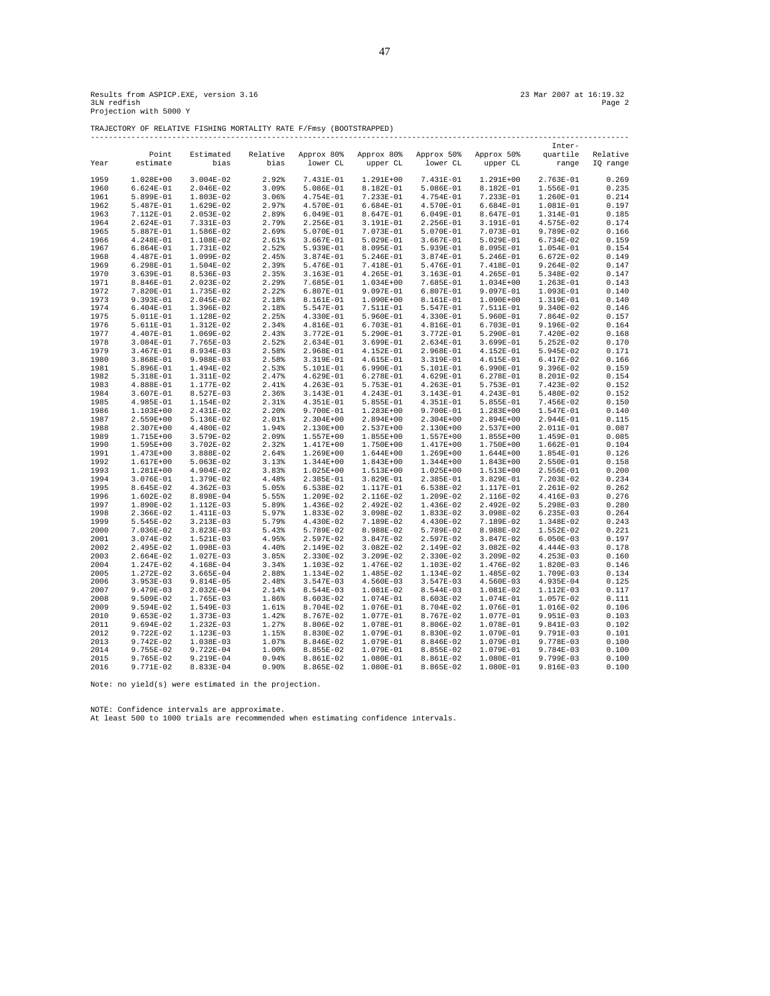Results from ASPICP.EXE, version 3.16<br>3LM redfish 23 Mar 2007 at 16:19.32<br>Projection with 5000 Y

TRAJECTORY OF RELATIVE FISHING MORTALITY RATE F/Fmsy (BOOTSTRAPPED) -----------------------------------------------------------------------------------------------------------------------

|              |                        |                        |                |                          |                        |                        |                        | Inter-                   |                |
|--------------|------------------------|------------------------|----------------|--------------------------|------------------------|------------------------|------------------------|--------------------------|----------------|
|              | Point                  | Estimated              | Relative       | Approx 80%               | Approx 80%             | Approx 50%             | Approx 50%             | quartile                 | Relative       |
| Year         | estimate               | bias                   | bias           | lower CL                 | upper CL               | lower CL               | upper CL               | range                    | IQ range       |
|              |                        |                        |                |                          |                        |                        |                        |                          |                |
| 1959         | 1.028E+00              | $3.004E - 02$          | 2.92%          | 7.431E-01                | $1.291E+00$            | 7.431E-01              | 1.291E+00              | $2.763E-01$              | 0.269          |
| 1960         | $6.624E-01$            | $2.046E-02$            | 3.09%          | 5.086E-01                | 8.182E-01              | 5.086E-01              | 8.182E-01              | 1.556E-01                | 0.235          |
| 1961         | 5.899E-01              | 1.803E-02              | 3.06%          | 4.754E-01                | 7.233E-01              | 4.754E-01              | 7.233E-01              | 1.260E-01                | 0.214          |
| 1962         | 5.487E-01              | 1.629E-02              | 2.97%          | 4.570E-01                | $6.684E-01$            | 4.570E-01              | $6.684E-01$            | 1.081E-01                | 0.197          |
| 1963         | 7.112E-01              | $2.053E-02$            | 2.89%          | 6.049E-01                | 8.647E-01              | 6.049E-01              | 8.647E-01              | 1.314E-01                | 0.185          |
| 1964         | 2.624E-01              | 7.331E-03              | 2.79%          | 2.256E-01                | 3.191E-01              | 2.256E-01              | 3.191E-01              | 4.575E-02                | 0.174          |
| 1965         | 5.887E-01              | 1.586E-02              | 2.69%          | 5.070E-01                | 7.073E-01              | 5.070E-01              | 7.073E-01              | 9.789E-02                | 0.166          |
| 1966         | 4.248E-01              | 1.108E-02              | 2.61%          | $3.667E-01$              | 5.029E-01              | $3.667E-01$            | 5.029E-01              | $6.734E-02$              | 0.159          |
| 1967         | $6.864E-01$            | 1.731E-02              | 2.52%          | 5.939E-01                | 8.095E-01              | 5.939E-01              | 8.095E-01              | 1.054E-01                | 0.154          |
| 1968         | 4.487E-01              | 1.099E-02              | 2.45%          | 3.874E-01                | $5.246E-01$            | 3.874E-01              | 5.246E-01              | $6.672E-02$              | 0.149          |
| 1969         | $6.298E-01$            | 1.504E-02              | 2.39%          | 5.476E-01                | 7.418E-01              | 5.476E-01              | 7.418E-01              | $9.264E-02$              | 0.147          |
| 1970         | 3.639E-01              | 8.536E-03              | 2.35%          | 3.163E-01                | 4.265E-01              | 3.163E-01              | 4.265E-01              | 5.348E-02                | 0.147          |
| 1971         | 8.846E-01              | $2.023E-02$            | 2.29%          | 7.685E-01                | 1.034E+00              | 7.685E-01              | 1.034E+00              | 1.263E-01                | 0.143          |
| 1972         | 7.820E-01              | 1.735E-02              | 2.22%          | 6.807E-01                | 9.097E-01              | 6.807E-01              | 9.097E-01              | 1.093E-01                | 0.140          |
| 1973         | 9.393E-01              | 2.045E-02              | 2.18%          | 8.161E-01                | $1.090E + 00$          | 8.161E-01              | 1.090E+00              | 1.319E-01                | 0.140          |
| 1974         | $6.404E-01$            | 1.396E-02              | 2.18%          | 5.547E-01                | 7.511E-01              | 5.547E-01              | 7.511E-01              | $9.340E - 02$            | 0.146          |
| 1975         | 5.011E-01              | 1.128E-02              | 2.25%          | 4.330E-01                | 5.960E-01              | 4.330E-01              | 5.960E-01              | 7.864E-02                | 0.157          |
| 1976         | 5.611E-01              | 1.312E-02              | 2.34%          | 4.816E-01                | 6.703E-01              | 4.816E-01              | 6.703E-01              | 9.196E-02                | 0.164          |
| 1977         | 4.407E-01              | 1.069E-02              | 2.43%          | 3.772E-01                | 5.290E-01              | 3.772E-01              | 5.290E-01              | 7.420E-02                | 0.168          |
| 1978         | 3.084E-01              | 7.765E-03              | 2.52%          | 2.634E-01                | 3.699E-01              | 2.634E-01              | 3.699E-01              | $5.252E-02$              | 0.170          |
| 1979         | 3.467E-01              | 8.934E-03              | 2.58%          | 2.968E-01                | 4.152E-01              | 2.968E-01              | 4.152E-01              | 5.945E-02                | 0.171          |
| 1980         | 3.868E-01              | $9.988E-03$            | 2.58%          | 3.319E-01                | 4.615E-01              | 3.319E-01              | 4.615E-01              | 6.417E-02                | 0.166          |
| 1981<br>1982 | 5.896E-01<br>5.318E-01 | 1.494E-02<br>1.311E-02 | 2.53%          | 5.101E-01                | 6.990E-01<br>6.278E-01 | 5.101E-01<br>4.629E-01 | 6.990E-01<br>6.278E-01 | $9.396E-02$<br>8.201E-02 | 0.159          |
|              | 4.888E-01              | 1.177E-02              | 2.47%<br>2.41% | 4.629E-01<br>$4.263E-01$ | 5.753E-01              | 4.263E-01              | 5.753E-01              | 7.423E-02                | 0.154<br>0.152 |
| 1983<br>1984 | 3.607E-01              | 8.527E-03              | 2.36%          | 3.143E-01                | 4.243E-01              | 3.143E-01              | 4.243E-01              | 5.480E-02                | 0.152          |
| 1985         | 4.985E-01              | 1.154E-02              | 2.31%          | 4.351E-01                | 5.855E-01              | 4.351E-01              | 5.855E-01              | 7.456E-02                | 0.150          |
| 1986         | 1.103E+00              | 2.431E-02              | 2.20%          | 9.700E-01                | 1.283E+00              | 9.700E-01              | 1.283E+00              | 1.547E-01                | 0.140          |
| 1987         | 2.559E+00              | 5.136E-02              | 2.01%          | $2.304E+00$              | 2.894E+00              | $2.304E+00$            | 2.894E+00              | 2.944E-01                | 0.115          |
| 1988         | 2.307E+00              | 4.480E-02              | 1.94%          | 2.130E+00                | 2.537E+00              | 2.130E+00              | 2.537E+00              | 2.011E-01                | 0.087          |
| 1989         | 1.715E+00              | 3.579E-02              | 2.09%          | 1.557E+00                | 1.855E+00              | 1.557E+00              | 1.855E+00              | 1.459E-01                | 0.085          |
| 1990         | 1.595E+00              | $3.702E-02$            | 2.32%          | 1.417E+00                | 1.750E+00              | 1.417E+00              | 1.750E+00              | $1.662E-01$              | 0.104          |
| 1991         | 1.473E+00              | 3.888E-02              | 2.64%          | 1.269E+00                | 1.644E+00              | 1.269E+00              | 1.644E+00              | 1.854E-01                | 0.126          |
| 1992         | 1.617E+00              | $5.063E-02$            | 3.13%          | 1.344E+00                | 1.843E+00              | 1.344E+00              | 1.843E+00              | 2.550E-01                | 0.158          |
| 1993         | 1.281E+00              | 4.904E-02              | 3.83%          | $1.025E + 00$            | 1.513E+00              | 1.025E+00              | 1.513E+00              | 2.556E-01                | 0.200          |
| 1994         | 3.076E-01              | 1.379E-02              | 4.48%          | 2.385E-01                | 3.829E-01              | 2.385E-01              | 3.829E-01              | $7.203E-02$              | 0.234          |
| 1995         | 8.645E-02              | $4.362E-03$            | 5.05%          | 6.538E-02                | 1.117E-01              | 6.538E-02              | 1.117E-01              | $2.261E-02$              | 0.262          |
| 1996         | 1.602E-02              | 8.898E-04              | 5.55%          | 1.209E-02                | 2.116E-02              | 1.209E-02              | 2.116E-02              | 4.416E-03                | 0.276          |
| 1997         | 1.890E-02              | 1.112E-03              | 5.89%          | 1.436E-02                | 2.492E-02              | 1.436E-02              | 2.492E-02              | $5.298E-03$              | 0.280          |
| 1998         | 2.366E-02              | 1.411E-03              | 5.97%          | 1.833E-02                | $3.098E-02$            | 1.833E-02              | 3.098E-02              | $6.235E-03$              | 0.264          |
| 1999         | 5.545E-02              | $3.213E-03$            | 5.79%          | 4.430E-02                | 7.189E-02              | 4.430E-02              | 7.189E-02              | 1.348E-02                | 0.243          |
| 2000         | 7.036E-02              | $3.823E-03$            | 5.43%          | 5.789E-02                | 8.988E-02              | 5.789E-02              | 8.988E-02              | 1.552E-02                | 0.221          |
| 2001         | 3.074E-02              | $1.521E-03$            | 4.95%          | 2.597E-02                | $3.847E-02$            | 2.597E-02              | 3.847E-02              | $6.050E-03$              | 0.197          |
| 2002         | 2.495E-02              | $1.098E-03$            | 4.40%          | 2.149E-02                | $3.082E-02$            | 2.149E-02              | $3.082E-02$            | $4.444E-03$              | 0.178          |
| 2003         | 2.664E-02              | $1.027E-03$            | 3.85%          | 2.330E-02                | 3.209E-02              | 2.330E-02              | 3.209E-02              | $4.253E-03$              | 0.160          |
| 2004         | 1.247E-02              | 4.168E-04              | 3.34%          | 1.103E-02                | 1.476E-02              | 1.103E-02              | 1.476E-02              | $1.820E-03$              | 0.146          |
| 2005         | 1.272E-02              | $3.665E-04$            | 2.88%          | 1.134E-02                | 1.485E-02              | 1.134E-02              | 1.485E-02              | 1.709E-03                | 0.134          |
| 2006         | $3.953E-03$            | $9.814E-05$            | 2.48%          | 3.547E-03                | 4.560E-03              | 3.547E-03              | 4.560E-03              | 4.935E-04                | 0.125          |
| 2007         | 9.479E-03              | $2.032E-04$            | 2.14%          | 8.544E-03                | 1.081E-02              | 8.544E-03              | 1.081E-02              | 1.112E-03                | 0.117          |
| 2008         | 9.509E-02              | $1.765E-03$            | 1.86%          | 8.603E-02                | 1.074E-01              | 8.603E-02              | 1.074E-01              | 1.057E-02                | 0.111          |
| 2009         | $9.594E-02$            | 1.549E-03              | 1.61%          | 8.704E-02                | 1.076E-01              | 8.704E-02              | 1.076E-01              | 1.016E-02                | 0.106          |
| 2010         | $9.653E-02$            | 1.373E-03              | 1.42%          | 8.767E-02                | 1.077E-01              | 8.767E-02              | 1.077E-01              | 9.951E-03                | 0.103          |
| 2011         | 9.694E-02              | $1.232E-03$            | 1.27%          | 8.806E-02                | 1.078E-01              | 8.806E-02              | 1.078E-01              | $9.841E-03$              | 0.102          |
| 2012         | 9.722E-02              | 1.123E-03              | 1.15%          | 8.830E-02                | 1.079E-01              | 8.830E-02              | 1.079E-01              | $9.791E-03$              | 0.101          |
| 2013         | 9.742E-02              | $1.038E-03$            | 1.07%          | 8.846E-02                | 1.079E-01              | 8.846E-02              | 1.079E-01              | 9.778E-03                | 0.100          |
| 2014         | 9.755E-02              | 9.722E-04              | 1.00%          | 8.855E-02                | 1.079E-01              | 8.855E-02              | 1.079E-01              | 9.784E-03                | 0.100          |
| 2015         | 9.765E-02              | $9.219E-04$            | 0.94%          | 8.861E-02                | 1.080E-01              | 8.861E-02              | 1.080E-01              | 9.799E-03                | 0.100          |
| 2016         | 9.771E-02              | 8.833E-04              | 0.90%          | 8.865E-02                | 1.080E-01              | 8.865E-02              | 1.080E-01              | $9.816E-03$              | 0.100          |
|              |                        |                        |                |                          |                        |                        |                        |                          |                |

Note: no yield(s) were estimated in the projection.

NOTE: Confidence intervals are approximate. At least 500 to 1000 trials are recommended when estimating confidence intervals.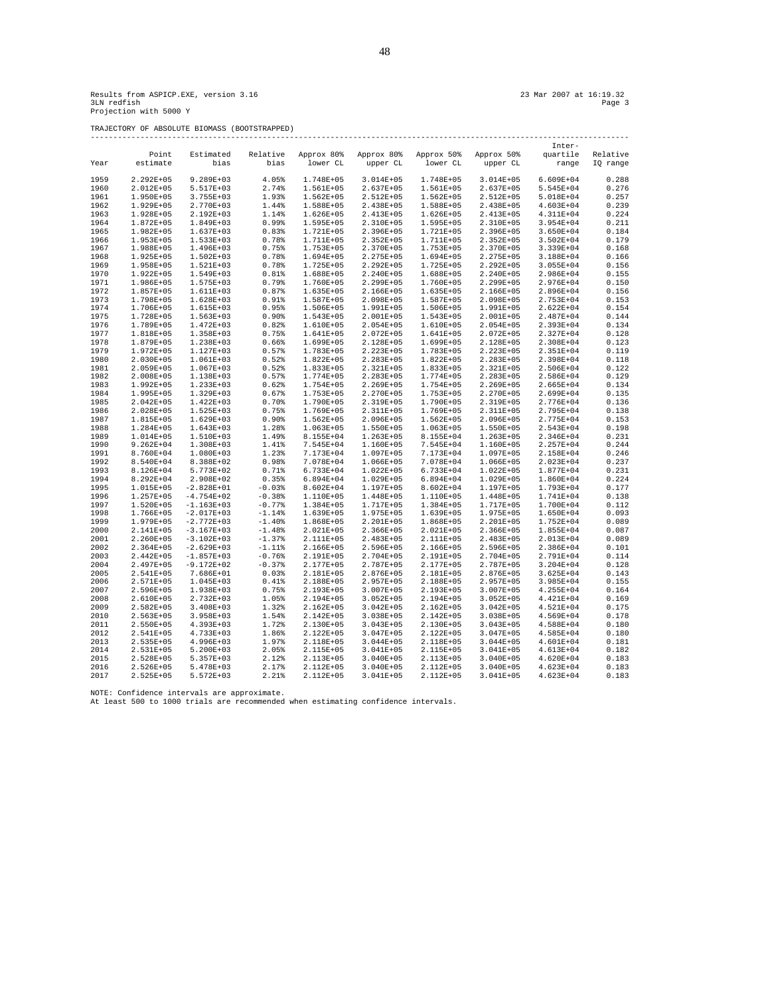TRAJECTORY OF ABSOLUTE BIOMASS (BOOTSTRAPPED)

|  |  | 23 Mar 2007 at 16:19.32 |
|--|--|-------------------------|
|  |  | Page 3                  |

|      |                        |                          |                |                        |                            |                        |                        | Inter-        |          |
|------|------------------------|--------------------------|----------------|------------------------|----------------------------|------------------------|------------------------|---------------|----------|
|      | Point                  | Estimated                | Relative       | Approx 80%             | Approx 80%                 | Approx 50% Approx 50%  |                        | quartile      | Relative |
| Year | estimate               | bias                     | bias           | lower CL               | upper CL                   | lower CL               | upper CL               | range         | IQ range |
|      |                        |                          |                |                        |                            |                        |                        |               |          |
| 1959 | 2.292E+05              | $9.289E + 03$            | 4.05%          | 1.748E+05              | $3.014E + 05$              | 1.748E+05              | 3.014E+05              | $6.609E + 04$ | 0.288    |
| 1960 | 2.012E+05              | 5.517E+03                | 2.74%          | 1.561E+05              | $2.637E + 05$              | 1.561E+05              | 2.637E+05              | 5.545E+04     | 0.276    |
| 1961 | 1.950E+05              | $3.755E + 03$            | 1.93%          | $1.562E + 05$          | 2.512E+05                  | $1.562E + 05$          | 2.512E+05              | 5.018E+04     | 0.257    |
| 1962 | 1.929E+05              | 2.770E+03                | 1.44%          | 1.588E+05              | 2.438E+05                  | 1.588E+05              | 2.438E+05              | 4.603E+04     | 0.239    |
| 1963 | 1.928E+05              | 2.192E+03                | 1.14%          | 1.626E+05              | 2.413E+05                  | 1.626E+05              | 2.413E+05              | 4.311E+04     | 0.224    |
| 1964 | 1.872E+05              | 1.849E+03                | 0.99%          | 1.595E+05              | 2.310E+05                  | 1.595E+05              | 2.310E+05              | $3.954E + 04$ | 0.211    |
| 1965 | 1.982E+05              | 1.637E+03                | 0.83%          | 1.721E+05              | 2.396E+05                  | 1.721E+05              | 2.396E+05              | $3.650E + 04$ | 0.184    |
| 1966 | 1.953E+05              | 1.533E+03                | 0.78%          | 1.711E+05              | $2.352E+05$                | 1.711E+05              | $2.352E+05$            | $3.502E + 04$ | 0.179    |
| 1967 | 1.988E+05              | 1.496E+03                | 0.75%          | 1.753E+05              | 2.370E+05                  | 1.753E+05              | 2.370E+05              | 3.339E+04     | 0.168    |
| 1968 | 1.925E+05              | $1.502E+03$              | 0.78%          | 1.694E+05              | 2.275E+05                  | 1.694E+05              | 2.275E+05              | 3.188E+04     | 0.166    |
| 1969 | 1.958E+05              | 1.521E+03                | 0.78%          | 1.725E+05              | $2.292E+05$                | 1.725E+05              | $2.292E + 05$          | $3.055E + 04$ | 0.156    |
| 1970 | 1.922E+05              | 1.549E+03                | 0.81%          | 1.688E+05              | 2.240E+05                  | 1.688E+05              | 2.240E+05              | 2.986E+04     | 0.155    |
| 1971 | 1.986E+05              | 1.575E+03                | 0.79%          | 1.760E+05              | 2.299E+05                  | 1.760E+05              | 2.299E+05              | 2.976E+04     | 0.150    |
| 1972 | 1.857E+05              | 1.611E+03                | 0.87%          | 1.635E+05              | 2.166E+05                  | 1.635E+05              | 2.166E+05              | 2.896E+04     | 0.156    |
| 1973 | 1.798E+05              | $1.628E+03$              | 0.91%          | 1.587E+05              | 2.098E+05                  | 1.587E+05              | 2.098E+05              | 2.753E+04     | 0.153    |
| 1974 |                        |                          |                |                        |                            |                        |                        |               |          |
| 1975 | 1.706E+05<br>1.728E+05 | 1.615E+03<br>$1.563E+03$ | 0.95%<br>0.90% | 1.506E+05<br>1.543E+05 | 1.991E+05<br>$2.001E + 05$ | 1.506E+05<br>1.543E+05 | 1.991E+05<br>2.001E+05 | 2.622E+04     | 0.154    |
|      |                        |                          |                |                        |                            |                        |                        | 2.487E+04     | 0.144    |
| 1976 | 1.789E+05              | $1.472E + 03$            | 0.82%          | 1.610E+05              | $2.054E + 05$              | 1.610E+05              | 2.054E+05              | 2.393E+04     | 0.134    |
| 1977 | 1.818E+05              | 1.358E+03                | 0.75%          | 1.641E+05              | 2.072E+05                  | 1.641E+05              | 2.072E+05              | 2.327E+04     | 0.128    |
| 1978 | 1.879E+05              | 1.238E+03                | 0.66%          | 1.699E+05              | 2.128E+05                  | 1.699E+05              | 2.128E+05              | 2.308E+04     | 0.123    |
| 1979 | 1.972E+05              | 1.127E+03                | 0.57%          | 1.783E+05              | 2.223E+05                  | 1.783E+05              | 2.223E+05              | 2.351E+04     | 0.119    |
| 1980 | 2.030E+05              | $1.061E+03$              | 0.52%          | 1.822E+05              | 2.283E+05                  | $1.822E + 05$          | 2.283E+05              | 2.398E+04     | 0.118    |
| 1981 | 2.059E+05              | 1.067E+03                | 0.52%          | 1.833E+05              | 2.321E+05                  | 1.833E+05              | 2.321E+05              | 2.506E+04     | 0.122    |
| 1982 | 2.008E+05              | 1.138E+03                | 0.57%          | 1.774E+05              | 2.283E+05                  | 1.774E+05              | 2.283E+05              | 2.586E+04     | 0.129    |
| 1983 | 1.992E+05              | 1.233E+03                | 0.62%          | 1.754E+05              | 2.269E+05                  | 1.754E+05              | 2.269E+05              | 2.665E+04     | 0.134    |
| 1984 | 1.995E+05              | 1.329E+03                | 0.67%          | 1.753E+05              | 2.270E+05                  | 1.753E+05              | 2.270E+05              | 2.699E+04     | 0.135    |
| 1985 | 2.042E+05              | 1.422E+03                | 0.70%          | 1.790E+05              | 2.319E+05                  | 1.790E+05              | 2.319E+05              | 2.776E+04     | 0.136    |
| 1986 | 2.028E+05              | 1.525E+03                | 0.75%          | 1.769E+05              | 2.311E+05                  | 1.769E+05              | 2.311E+05              | 2.795E+04     | 0.138    |
| 1987 | 1.815E+05              | $1.629E+03$              | 0.90%          | $1.562E + 05$          | $2.096E + 05$              | $1.562E + 05$          | 2.096E+05              | 2.775E+04     | 0.153    |
| 1988 | 1.284E+05              | 1.643E+03                | 1.28%          | 1.063E+05              | 1.550E+05                  | 1.063E+05              | 1.550E+05              | 2.543E+04     | 0.198    |
| 1989 | 1.014E+05              | 1.510E+03                | 1.49%          | 8.155E+04              | $1.263E + 05$              | 8.155E+04              | 1.263E+05              | 2.346E+04     | 0.231    |
| 1990 | $9.262E + 04$          | $1.308E+03$              | 1.41%          | 7.545E+04              | 1.160E+05                  | 7.545E+04              | 1.160E+05              | 2.257E+04     | 0.244    |
| 1991 | 8.760E+04              | $1.080E + 03$            | 1.23%          | 7.173E+04              | 1.097E+05                  | 7.173E+04              | 1.097E+05              | 2.158E+04     | 0.246    |
| 1992 | 8.540E+04              | 8.388E+02                | 0.98%          | 7.078E+04              | 1.066E+05                  | 7.078E+04              | 1.066E+05              | $2.023E + 04$ | 0.237    |
| 1993 | 8.126E+04              | 5.773E+02                | 0.71%          | 6.733E+04              | $1.022E + 05$              | 6.733E+04              | 1.022E+05              | 1.877E+04     | 0.231    |
| 1994 | 8.292E+04              | 2.908E+02                | 0.35%          | $6.894E + 04$          | 1.029E+05                  | 6.894E+04              | 1.029E+05              | $1.860E + 04$ | 0.224    |
| 1995 | 1.015E+05              | $-2.828E+01$             | $-0.03%$       | 8.602E+04              | 1.197E+05                  | 8.602E+04              | 1.197E+05              | 1.793E+04     | 0.177    |
| 1996 | 1.257E+05              | $-4.754E+02$             | $-0.38%$       | 1.110E+05              | 1.448E+05                  | 1.110E+05              | 1.448E+05              | 1.741E+04     | 0.138    |
| 1997 | 1.520E+05              | $-1.163E+03$             | $-0.77%$       | 1.384E+05              | 1.717E+05                  | 1.384E+05              | 1.717E+05              | 1.700E+04     | 0.112    |
| 1998 | 1.766E+05              | $-2.017E+03$             | $-1.14%$       | 1.639E+05              | 1.975E+05                  | 1.639E+05              | 1.975E+05              | $1.650E + 04$ | 0.093    |
| 1999 | 1.979E+05              | $-2.772E+03$             | $-1.40%$       | 1.868E+05              | 2.201E+05                  | 1.868E+05              | 2.201E+05              | 1.752E+04     | 0.089    |
| 2000 | 2.141E+05              | $-3.167E+03$             | $-1.48%$       | 2.021E+05              | 2.366E+05                  | 2.021E+05              | 2.366E+05              | $1.855E + 04$ | 0.087    |
| 2001 | 2.260E+05              | $-3.102E+03$             | $-1.37%$       | 2.111E+05              | 2.483E+05                  | 2.111E+05              | 2.483E+05              | 2.013E+04     | 0.089    |
| 2002 | 2.364E+05              | $-2.629E+03$             | $-1.118$       | 2.166E+05              | 2.596E+05                  | 2.166E+05              | 2.596E+05              | 2.386E+04     | 0.101    |
| 2003 | 2.442E+05              | $-1.857E+03$             | $-0.76%$       | 2.191E+05              | 2.704E+05                  | 2.191E+05              | 2.704E+05              | 2.791E+04     | 0.114    |
| 2004 | 2.497E+05              | $-9.172E+02$             | $-0.37%$       | 2.177E+05              | 2.787E+05                  | 2.177E+05              | 2.787E+05              | $3.204E + 04$ | 0.128    |
| 2005 | 2.541E+05              | 7.686E+01                | 0.03%          | 2.181E+05              | 2.876E+05                  | 2.181E+05              | 2.876E+05              | $3.625E + 04$ | 0.143    |
| 2006 | 2.571E+05              | 1.045E+03                | 0.41%          | 2.188E+05              | $2.957E+05$                | 2.188E+05              | 2.957E+05              | 3.985E+04     | 0.155    |
| 2007 | 2.596E+05              | 1.938E+03                | 0.75%          | 2.193E+05              | $3.007E + 05$              | 2.193E+05              | $3.007E + 05$          | 4.255E+04     | 0.164    |
| 2008 | 2.610E+05              | 2.732E+03                | 1.05%          | 2.194E+05              | $3.052E + 05$              | 2.194E+05              | $3.052E + 05$          | 4.421E+04     | 0.169    |
| 2009 | $2.582E+05$            | $3.408E + 03$            | 1.32%          | $2.162E + 05$          | $3.042E + 05$              | $2.162E + 05$          | $3.042E + 05$          | $4.521E+04$   | 0.175    |
| 2010 | 2.563E+05              | $3.958E+03$              | 1.54%          | 2.142E+05              | $3.038E + 05$              | 2.142E+05              | 3.038E+05              | 4.569E+04     | 0.178    |
| 2011 | 2.550E+05              | 4.393E+03                | 1.72%          | 2.130E+05              | $3.043E + 05$              | 2.130E+05              | $3.043E + 05$          | 4.588E+04     | 0.180    |
| 2012 | 2.541E+05              | 4.733E+03                | 1.86%          | 2.122E+05              | $3.047E + 05$              | 2.122E+05              | $3.047E + 05$          | 4.585E+04     | 0.180    |
| 2013 |                        |                          |                |                        |                            |                        |                        |               |          |
|      | 2.535E+05              | 4.996E+03                | 1.97%          | 2.118E+05              | $3.044E + 05$              | 2.118E+05              | $3.044E + 05$          | 4.601E+04     | 0.181    |
| 2014 | 2.531E+05              | $5.200E+03$              | 2.05%          | 2.115E+05              | $3.041E + 05$              | 2.115E+05              | 3.041E+05              | 4.613E+04     | 0.182    |
| 2015 | 2.528E+05              | $5.357E+03$              | 2.12%          | 2.113E+05              | $3.040E + 05$              | 2.113E+05              | $3.040E + 05$          | 4.620E+04     | 0.183    |
| 2016 | 2.526E+05              | $5.478E+03$              | 2.17%          | 2.112E+05              | $3.040E + 05$              | 2.112E+05              | $3.040E + 05$          | 4.623E+04     | 0.183    |
| 2017 | 2.525E+05              | $5.572E+03$              | 2.21%          | 2.112E+05              | $3.041E + 05$              | 2.112E+05              | 3.041E+05              | 4.623E+04     | 0.183    |

NOTE: Confidence intervals are approximate. At least 500 to 1000 trials are recommended when estimating confidence intervals.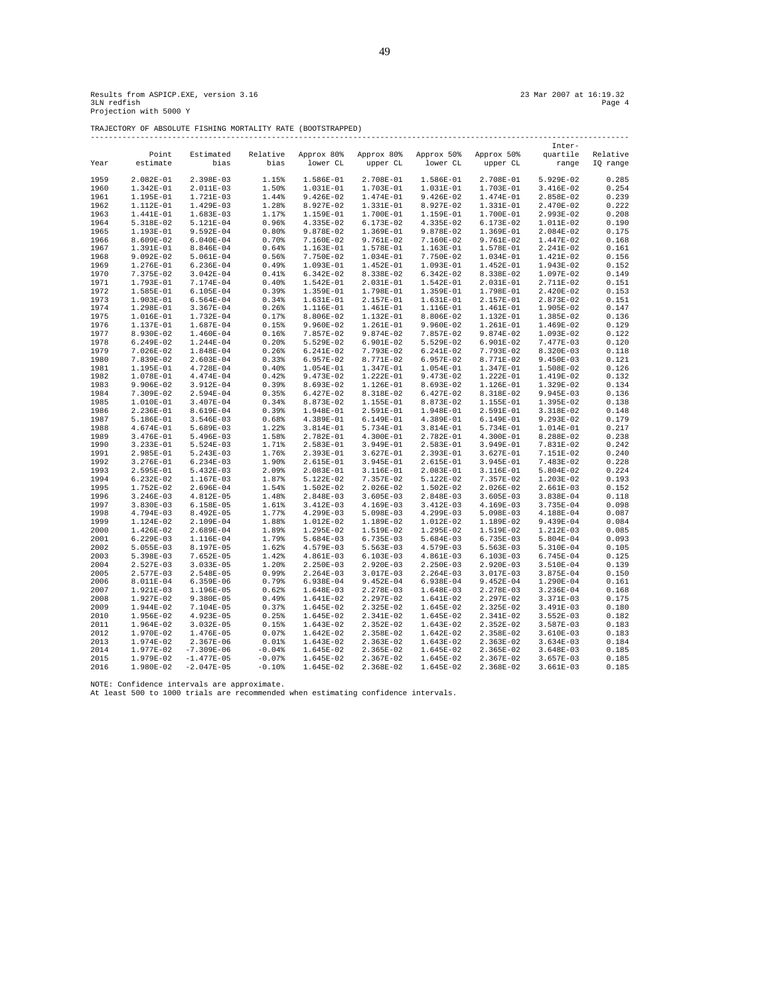TRAJECTORY OF ABSOLUTE FISHING MORTALITY RATE (BOOTSTRAPPED) -----------------------------------------------------------------------------------------------------------------------

|      |             |                |          |             |             |             |             | Inter-      |          |
|------|-------------|----------------|----------|-------------|-------------|-------------|-------------|-------------|----------|
|      | Point       | Estimated      | Relative | Approx 80%  | Approx 80%  | Approx 50%  | Approx 50%  | quartile    | Relative |
| Year | estimate    | bias           | bias     | lower CL    | upper CL    | lower CL    | upper CL    | range       | IO range |
|      |             |                |          |             |             |             |             |             |          |
| 1959 | 2.082E-01   | 2.398E-03      | 1.15%    | 1.586E-01   | 2.708E-01   | 1.586E-01   | 2.708E-01   | 5.929E-02   | 0.285    |
| 1960 | 1.342E-01   | 2.011E-03      | 1.50%    | 1.031E-01   | 1.703E-01   | 1.031E-01   | 1.703E-01   | $3.416E-02$ | 0.254    |
| 1961 | 1.195E-01   | 1.721E-03      | 1.44%    | $9.426E-02$ | 1.474E-01   | 9.426E-02   | 1.474E-01   | 2.858E-02   | 0.239    |
|      |             |                |          |             |             |             |             |             |          |
| 1962 | 1.112E-01   | 1.429E-03      | 1.28%    | 8.927E-02   | 1.331E-01   | 8.927E-02   | 1.331E-01   | 2.470E-02   | 0.222    |
| 1963 | 1.441E-01   | $1.683E-03$    | 1.17%    | 1.159E-01   | 1.700E-01   | 1.159E-01   | 1.700E-01   | 2.993E-02   | 0.208    |
| 1964 | 5.318E-02   | 5.121E-04      | 0.96%    | 4.335E-02   | 6.173E-02   | 4.335E-02   | 6.173E-02   | 1.011E-02   | 0.190    |
| 1965 | 1.193E-01   | $9.592E-04$    | 0.80%    | 9.878E-02   | 1.369E-01   | 9.878E-02   | 1.369E-01   | 2.084E-02   | 0.175    |
| 1966 | 8.609E-02   | $6.040E-04$    | 0.70%    | 7.160E-02   | 9.761E-02   | 7.160E-02   | 9.761E-02   | 1.447E-02   | 0.168    |
| 1967 | 1.391E-01   | 8.846E-04      | 0.64%    | 1.163E-01   | 1.578E-01   | 1.163E-01   | 1.578E-01   | 2.241E-02   | 0.161    |
| 1968 | $9.092E-02$ | $5.061E-04$    | 0.56%    | 7.750E-02   | 1.034E-01   | 7.750E-02   | 1.034E-01   | 1.421E-02   | 0.156    |
| 1969 | 1.276E-01   | $6.236E-04$    | 0.49%    | 1.093E-01   | $1.452E-01$ | 1.093E-01   | 1.452E-01   | 1.943E-02   | 0.152    |
| 1970 | 7.375E-02   | $3.042E - 04$  | 0.41%    | $6.342E-02$ | 8.338E-02   | $6.342E-02$ | 8.338E-02   | 1.097E-02   | 0.149    |
| 1971 | 1.793E-01   | 7.174E-04      | 0.40%    | 1.542E-01   | 2.031E-01   | 1.542E-01   | 2.031E-01   | 2.711E-02   | 0.151    |
|      |             |                |          |             |             |             |             |             |          |
| 1972 | 1.585E-01   | $6.105E-04$    | 0.39%    | 1.359E-01   | 1.798E-01   | 1.359E-01   | 1.798E-01   | 2.420E-02   | 0.153    |
| 1973 | 1.903E-01   | $6.564E-04$    | 0.34%    | 1.631E-01   | 2.157E-01   | 1.631E-01   | 2.157E-01   | 2.873E-02   | 0.151    |
| 1974 | 1.298E-01   | $3.367E-04$    | 0.26%    | 1.116E-01   | 1.461E-01   | 1.116E-01   | 1.461E-01   | 1.905E-02   | 0.147    |
| 1975 | 1.016E-01   | 1.732E-04      | 0.17%    | 8.806E-02   | 1.132E-01   | 8.806E-02   | 1.132E-01   | 1.385E-02   | 0.136    |
| 1976 | 1.137E-01   | 1.687E-04      | 0.15%    | 9.960E-02   | 1.261E-01   | 9.960E-02   | 1.261E-01   | 1.469E-02   | 0.129    |
| 1977 | 8.930E-02   | 1.460E-04      | 0.16%    | 7.857E-02   | $9.874E-02$ | 7.857E-02   | 9.874E-02   | 1.093E-02   | 0.122    |
| 1978 | $6.249E-02$ | 1.244E-04      | 0.20%    | 5.529E-02   | $6.901E-02$ | 5.529E-02   | 6.901E-02   | 7.477E-03   | 0.120    |
| 1979 | 7.026E-02   | 1.848E-04      | 0.26%    | 6.241E-02   | 7.793E-02   | 6.241E-02   | 7.793E-02   | 8.320E-03   | 0.118    |
| 1980 | 7.839E-02   | $2.603E-04$    | 0.33%    | 6.957E-02   | 8.771E-02   | $6.957E-02$ | 8.771E-02   | $9.450E-03$ | 0.121    |
| 1981 | 1.195E-01   | 4.728E-04      | 0.40%    | 1.054E-01   | 1.347E-01   | 1.054E-01   | 1.347E-01   | 1.508E-02   | 0.126    |
| 1982 | 1.078E-01   | $4.474E-04$    | 0.42%    | 9.473E-02   | 1.222E-01   | 9.473E-02   | 1.222E-01   | 1.419E-02   | 0.132    |
| 1983 | 9.906E-02   | 3.912E-04      | 0.39%    | 8.693E-02   | 1.126E-01   | 8.693E-02   | 1.126E-01   | 1.329E-02   | 0.134    |
| 1984 | 7.309E-02   | 2.594E-04      | 0.35%    | $6.427E-02$ | 8.318E-02   | $6.427E-02$ | 8.318E-02   | $9.945E-03$ | 0.136    |
|      |             |                |          |             |             |             |             |             |          |
| 1985 | 1.010E-01   | $3.407E-04$    | 0.34%    | 8.873E-02   | 1.155E-01   | 8.873E-02   | 1.155E-01   | 1.395E-02   | 0.138    |
| 1986 | 2.236E-01   | 8.619E-04      | 0.39%    | 1.948E-01   | 2.591E-01   | 1.948E-01   | 2.591E-01   | 3.318E-02   | 0.148    |
| 1987 | 5.186E-01   | $3.546E-03$    | 0.68%    | 4.389E-01   | 6.149E-01   | 4.389E-01   | 6.149E-01   | $9.293E-02$ | 0.179    |
| 1988 | 4.674E-01   | $5.689E-03$    | 1.22%    | 3.814E-01   | 5.734E-01   | 3.814E-01   | 5.734E-01   | 1.014E-01   | 0.217    |
| 1989 | 3.476E-01   | 5.496E-03      | 1.58%    | 2.782E-01   | 4.300E-01   | 2.782E-01   | 4.300E-01   | 8.288E-02   | 0.238    |
| 1990 | 3.233E-01   | $5.524E-03$    | 1.71%    | 2.583E-01   | 3.949E-01   | 2.583E-01   | 3.949E-01   | 7.831E-02   | 0.242    |
| 1991 | 2.985E-01   | $5.243E-03$    | 1.76%    | 2.393E-01   | $3.627E-01$ | 2.393E-01   | 3.627E-01   | 7.151E-02   | 0.240    |
| 1992 | 3.276E-01   | $6.234E-03$    | 1.90%    | 2.615E-01   | 3.945E-01   | 2.615E-01   | 3.945E-01   | 7.483E-02   | 0.228    |
| 1993 | 2.595E-01   | $5.432E-03$    | 2.09%    | 2.083E-01   | 3.116E-01   | 2.083E-01   | 3.116E-01   | $5.804E-02$ | 0.224    |
| 1994 | $6.232E-02$ | 1.167E-03      | 1.87%    | 5.122E-02   | 7.357E-02   | 5.122E-02   | 7.357E-02   | 1.203E-02   | 0.193    |
| 1995 | 1.752E-02   | $2.696E-04$    | 1.54%    | 1.502E-02   | $2.026E-02$ | 1.502E-02   | 2.026E-02   | $2.661E-03$ | 0.152    |
| 1996 | $3.246E-03$ | $4.812E-05$    | 1.48%    | 2.848E-03   | $3.605E-03$ | 2.848E-03   | $3.605E-03$ | 3.838E-04   | 0.118    |
| 1997 | $3.830E-03$ | $6.158E-05$    | 1.61%    | $3.412E-03$ | 4.169E-03   | $3.412E-03$ | 4.169E-03   | 3.735E-04   | 0.098    |
| 1998 | 4.794E-03   | 8.492E-05      | 1.77%    | 4.299E-03   | $5.098E-03$ | 4.299E-03   | 5.098E-03   | 4.188E-04   | 0.087    |
|      |             |                |          |             |             |             |             |             |          |
| 1999 | 1.124E-02   | 2.109E-04      | 1.88%    | 1.012E-02   | 1.189E-02   | 1.012E-02   | 1.189E-02   | 9.439E-04   | 0.084    |
| 2000 | 1.426E-02   | 2.689E-04      | 1.89%    | 1.295E-02   | 1.519E-02   | 1.295E-02   | 1.519E-02   | 1.212E-03   | 0.085    |
| 2001 | $6.229E-03$ | 1.116E-04      | 1.79%    | $5.684E-03$ | $6.735E-03$ | $5.684E-03$ | 6.735E-03   | $5.804E-04$ | 0.093    |
| 2002 | 5.055E-03   | 8.197E-05      | 1.62%    | 4.579E-03   | $5.563E-03$ | 4.579E-03   | $5.563E-03$ | 5.310E-04   | 0.105    |
| 2003 | 5.398E-03   | $7.652E-05$    | 1.42%    | 4.861E-03   | $6.103E-03$ | $4.861E-03$ | $6.103E-03$ | 6.745E-04   | 0.125    |
| 2004 | 2.527E-03   | $3.033E - 05$  | 1.20%    | 2.250E-03   | $2.920E-03$ | 2.250E-03   | 2.920E-03   | 3.510E-04   | 0.139    |
| 2005 | 2.577E-03   | 2.548E-05      | 0.99%    | 2.264E-03   | 3.017E-03   | 2.264E-03   | 3.017E-03   | $3.875E-04$ | 0.150    |
| 2006 | 8.011E-04   | $6.359E-06$    | 0.79%    | 6.938E-04   | $9.452E-04$ | 6.938E-04   | $9.452E-04$ | 1.290E-04   | 0.161    |
| 2007 | 1.921E-03   | 1.196E-05      | 0.62%    | 1.648E-03   | 2.278E-03   | 1.648E-03   | 2.278E-03   | $3.236E-04$ | 0.168    |
| 2008 | 1.927E-02   | $9.380E-05$    | 0.49%    | 1.641E-02   | 2.297E-02   | 1.641E-02   | 2.297E-02   | $3.371E-03$ | 0.175    |
| 2009 | 1.944E-02   | 7.104E-05      | 0.37%    | 1.645E-02   | 2.325E-02   | 1.645E-02   | 2.325E-02   | $3.491E-03$ | 0.180    |
| 2010 | 1.956E-02   | 4.923E-05      | 0.25%    | 1.645E-02   | 2.341E-02   | 1.645E-02   | 2.341E-02   | $3.552E-03$ | 0.182    |
|      |             |                |          |             |             |             |             |             |          |
| 2011 | 1.964E-02   | $3.032E - 05$  | 0.15%    | 1.643E-02   | $2.352E-02$ | 1.643E-02   | 2.352E-02   | $3.587E-03$ | 0.183    |
| 2012 | 1.970E-02   | 1.476E-05      | 0.07%    | 1.642E-02   | 2.358E-02   | $1.642E-02$ | 2.358E-02   | $3.610E-03$ | 0.183    |
| 2013 | 1.974E-02   | $2.367E-06$    | 0.01%    | 1.643E-02   | 2.363E-02   | 1.643E-02   | 2.363E-02   | $3.634E-03$ | 0.184    |
| 2014 | 1.977E-02   | $-7.309E - 06$ | $-0.04%$ | $1.645E-02$ | 2.365E-02   | 1.645E-02   | 2.365E-02   | $3.648E-03$ | 0.185    |
| 2015 | 1.979E-02   | $-1.477E-05$   | $-0.07%$ | 1.645E-02   | $2.367E-02$ | 1.645E-02   | 2.367E-02   | $3.657E-03$ | 0.185    |
| 2016 | 1.980E-02   | $-2.047E-05$   | $-0.10%$ | 1.645E-02   | 2.368E-02   | 1.645E-02   | 2.368E-02   | $3.661E-03$ | 0.185    |

NOTE: Confidence intervals are approximate. At least 500 to 1000 trials are recommended when estimating confidence intervals.

49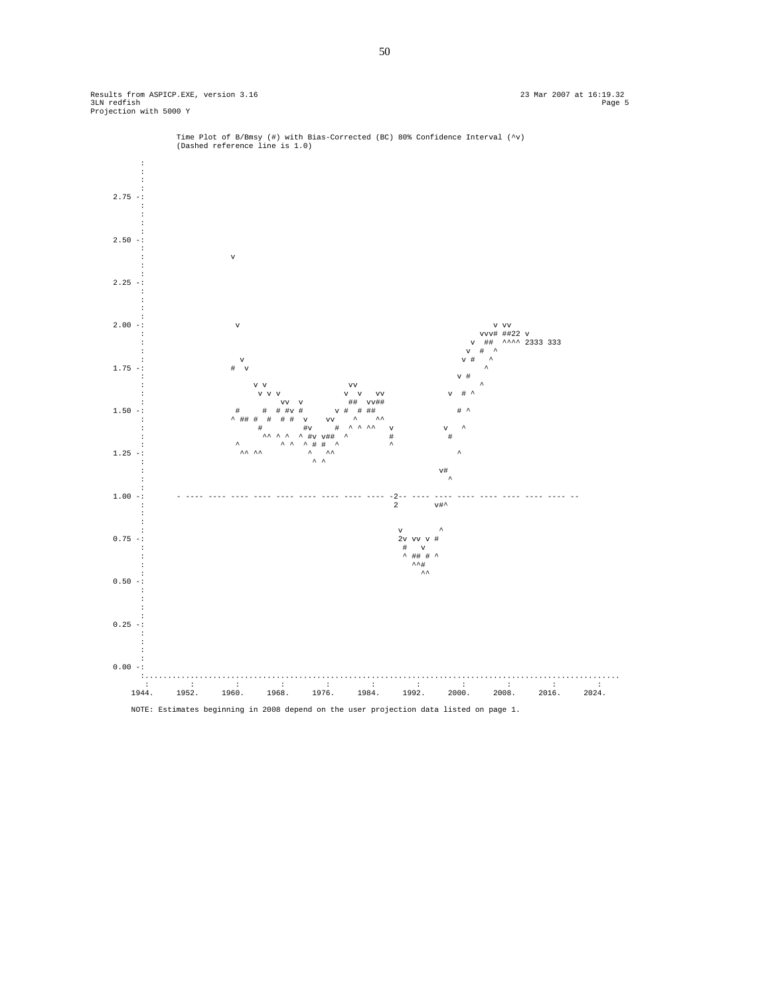



50